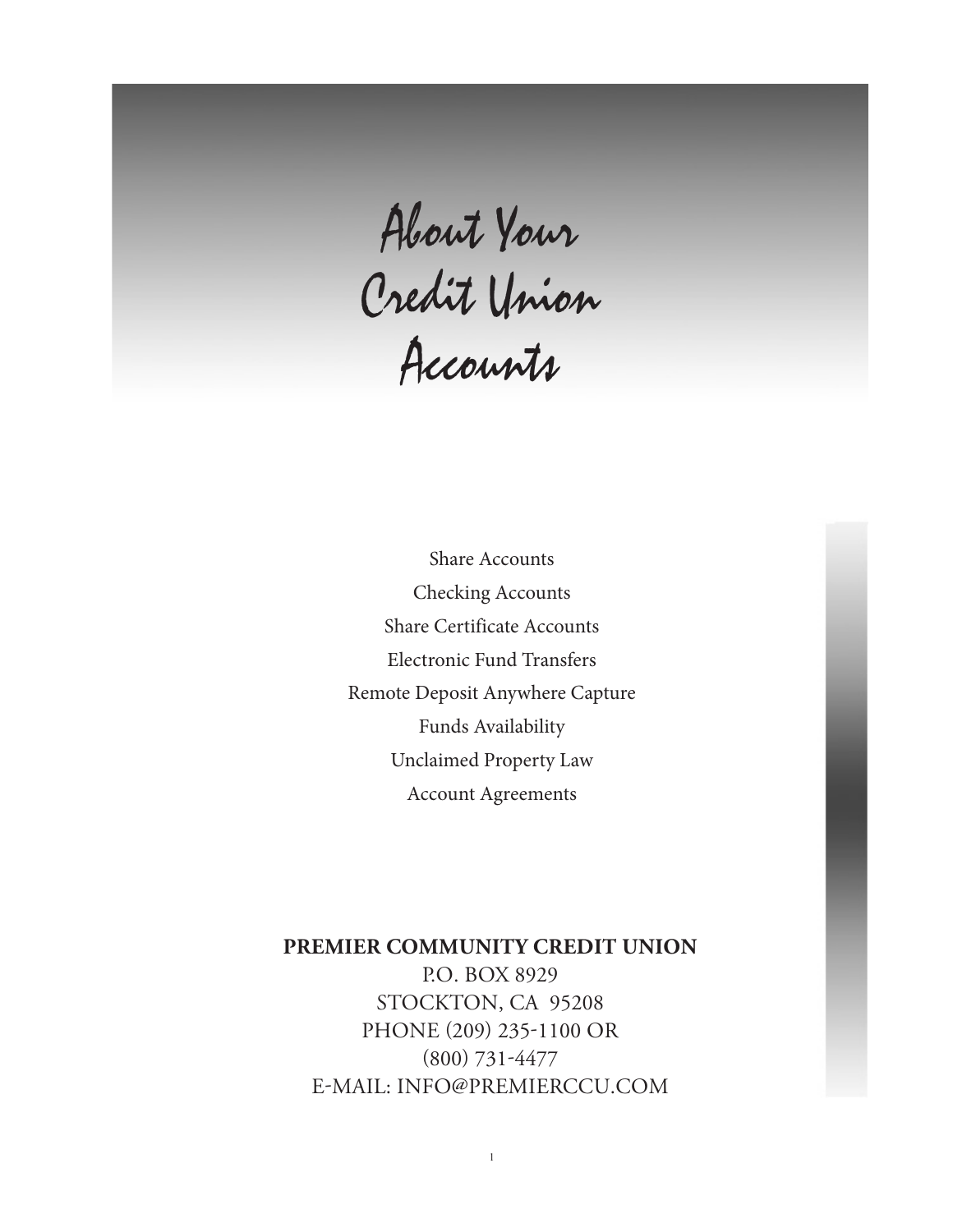About Your<br>Credit Union<br>Accounts

Share Accounts Checking Accounts Share Certificate Accounts Electronic Fund Transfers Remote Deposit Anywhere Capture Funds Availability Unclaimed Property Law Account Agreements

### **PREMIER COMMUNITY CREDIT UNION**

P.O. BOX 8929 STOCKTON, CA 95208 PHONE (209) 235-1100 OR (800) 731-4477 E-MAIL: INFO@PREMIERCCU.COM

1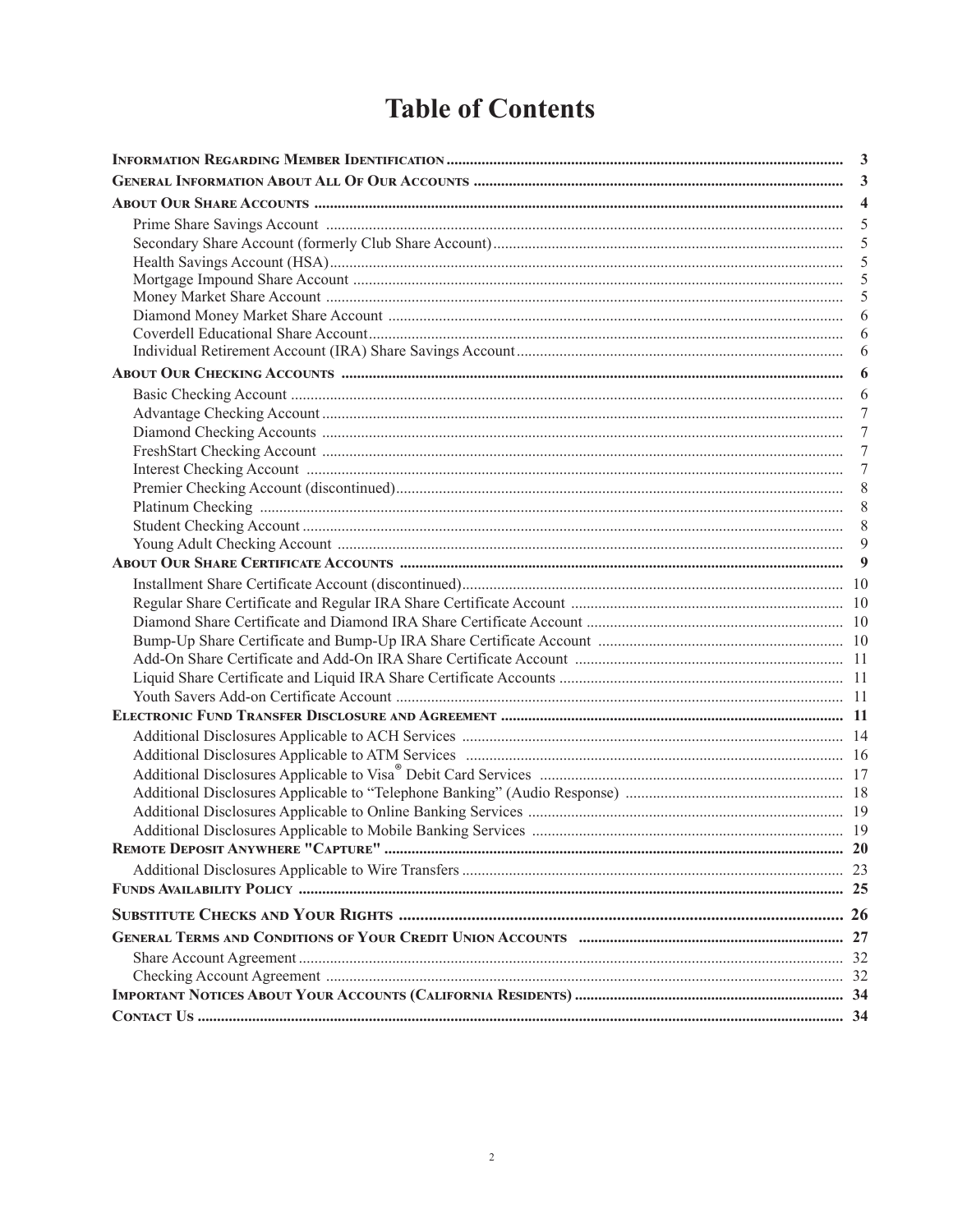# **Table of Contents**

| 5                |
|------------------|
| 5                |
| 5                |
| 5                |
| 6                |
| 6                |
| 6                |
| 6                |
| 6                |
| 7                |
| 7                |
| 7                |
| 7                |
| 8                |
| 8                |
| 8                |
| 9                |
| $\boldsymbol{9}$ |
|                  |
|                  |
|                  |
|                  |
|                  |
|                  |
|                  |
|                  |
|                  |
|                  |
|                  |
|                  |
|                  |
|                  |
|                  |
|                  |
|                  |
|                  |
|                  |
|                  |
|                  |
|                  |
|                  |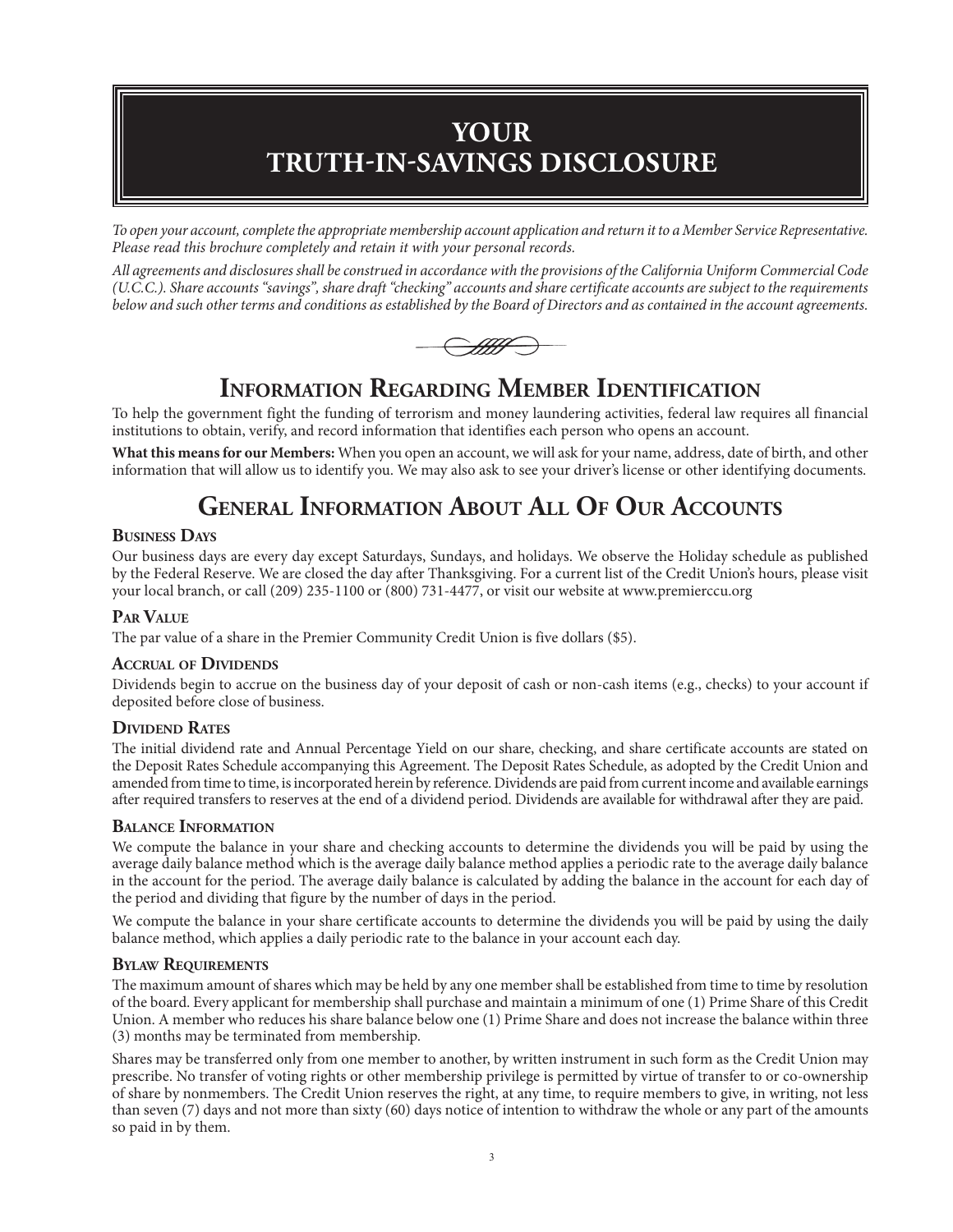# **YOUR TRUTH-IN-SAVINGS DISCLOSURE**

*To open your account, complete the appropriate membership account application and return it to a Member Service Representative. Please read this brochure completely and retain it with your personal records.*

*All agreements and disclosures shall be construed in accordance with the provisions of the California Uniform Commercial Code (U.C.C.). Share accounts "savings", share draft "checking" accounts and share certificate accounts are subject to the requirements below and such other terms and conditions as established by the Board of Directors and as contained in the account agreements.*



## **Information Regarding Member Identification**

To help the government fight the funding of terrorism and money laundering activities, federal law requires all financial institutions to obtain, verify, and record information that identifies each person who opens an account.

**What this means for our Members:** When you open an account, we will ask for your name, address, date of birth, and other information that will allow us to identify you. We may also ask to see your driver's license or other identifying documents.

# **General Information About All Of Our Accounts**

#### **Business Days**

Our business days are every day except Saturdays, Sundays, and holidays. We observe the Holiday schedule as published by the Federal Reserve. We are closed the day after Thanksgiving. For a current list of the Credit Union's hours, please visit your local branch, or call (209) 235-1100 or (800) 731-4477, or visit our website at www.premierccu.org

#### **Par Value**

The par value of a share in the Premier Community Credit Union is five dollars (\$5).

#### **Accrual of Dividends**

Dividends begin to accrue on the business day of your deposit of cash or non-cash items (e.g., checks) to your account if deposited before close of business.

#### **Dividend Rates**

The initial dividend rate and Annual Percentage Yield on our share, checking, and share certificate accounts are stated on the Deposit Rates Schedule accompanying this Agreement. The Deposit Rates Schedule, as adopted by the Credit Union and amended from time to time, is incorporated herein by reference. Dividends are paid from current income and available earnings after required transfers to reserves at the end of a dividend period. Dividends are available for withdrawal after they are paid.

#### **Balance Information**

We compute the balance in your share and checking accounts to determine the dividends you will be paid by using the average daily balance method which is the average daily balance method applies a periodic rate to the average daily balance in the account for the period. The average daily balance is calculated by adding the balance in the account for each day of the period and dividing that figure by the number of days in the period.

We compute the balance in your share certificate accounts to determine the dividends you will be paid by using the daily balance method, which applies a daily periodic rate to the balance in your account each day.

#### **Bylaw Requirements**

The maximum amount of shares which may be held by any one member shall be established from time to time by resolution of the board. Every applicant for membership shall purchase and maintain a minimum of one (1) Prime Share of this Credit Union. A member who reduces his share balance below one (1) Prime Share and does not increase the balance within three (3) months may be terminated from membership.

Shares may be transferred only from one member to another, by written instrument in such form as the Credit Union may prescribe. No transfer of voting rights or other membership privilege is permitted by virtue of transfer to or co-ownership of share by nonmembers. The Credit Union reserves the right, at any time, to require members to give, in writing, not less than seven (7) days and not more than sixty (60) days notice of intention to withdraw the whole or any part of the amounts so paid in by them.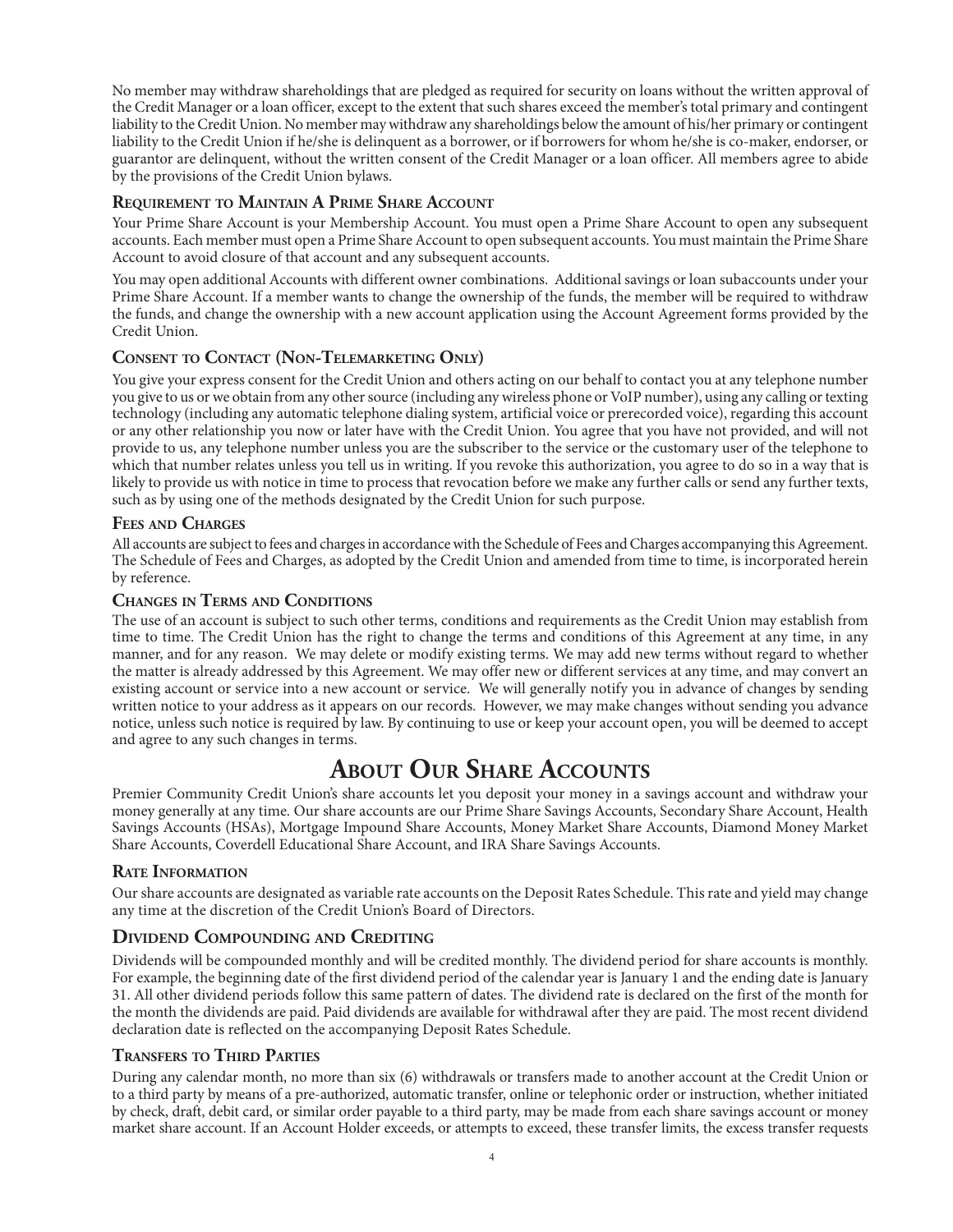No member may withdraw shareholdings that are pledged as required for security on loans without the written approval of the Credit Manager or a loan officer, except to the extent that such shares exceed the member's total primary and contingent liability to the Credit Union. No member may withdraw any shareholdings below the amount of his/her primary or contingent liability to the Credit Union if he/she is delinquent as a borrower, or if borrowers for whom he/she is co-maker, endorser, or guarantor are delinquent, without the written consent of the Credit Manager or a loan officer. All members agree to abide by the provisions of the Credit Union bylaws.

#### **Requirement to Maintain A Prime Share Account**

Your Prime Share Account is your Membership Account. You must open a Prime Share Account to open any subsequent accounts. Each member must open a Prime Share Account to open subsequent accounts. You must maintain the Prime Share Account to avoid closure of that account and any subsequent accounts.

You may open additional Accounts with different owner combinations. Additional savings or loan subaccounts under your Prime Share Account. If a member wants to change the ownership of the funds, the member will be required to withdraw the funds, and change the ownership with a new account application using the Account Agreement forms provided by the Credit Union.

### **Consent to Contact (Non-Telemarketing Only)**

You give your express consent for the Credit Union and others acting on our behalf to contact you at any telephone number you give to us or we obtain from any other source (including any wireless phone or VoIP number), using any calling or texting technology (including any automatic telephone dialing system, artificial voice or prerecorded voice), regarding this account or any other relationship you now or later have with the Credit Union. You agree that you have not provided, and will not provide to us, any telephone number unless you are the subscriber to the service or the customary user of the telephone to which that number relates unless you tell us in writing. If you revoke this authorization, you agree to do so in a way that is likely to provide us with notice in time to process that revocation before we make any further calls or send any further texts, such as by using one of the methods designated by the Credit Union for such purpose.

#### **Fees and Charges**

All accounts are subject to fees and charges in accordance with the Schedule of Fees and Charges accompanying this Agreement. The Schedule of Fees and Charges, as adopted by the Credit Union and amended from time to time, is incorporated herein by reference.

#### **Changes in Terms and Conditions**

The use of an account is subject to such other terms, conditions and requirements as the Credit Union may establish from time to time. The Credit Union has the right to change the terms and conditions of this Agreement at any time, in any manner, and for any reason. We may delete or modify existing terms. We may add new terms without regard to whether the matter is already addressed by this Agreement. We may offer new or different services at any time, and may convert an existing account or service into a new account or service. We will generally notify you in advance of changes by sending written notice to your address as it appears on our records. However, we may make changes without sending you advance notice, unless such notice is required by law. By continuing to use or keep your account open, you will be deemed to accept and agree to any such changes in terms.

## **About Our Share Accounts**

Premier Community Credit Union's share accounts let you deposit your money in a savings account and withdraw your money generally at any time. Our share accounts are our Prime Share Savings Accounts, Secondary Share Account, Health Savings Accounts (HSAs), Mortgage Impound Share Accounts, Money Market Share Accounts, Diamond Money Market Share Accounts, Coverdell Educational Share Account, and IRA Share Savings Accounts.

#### **Rate Information**

Our share accounts are designated as variable rate accounts on the Deposit Rates Schedule. This rate and yield may change any time at the discretion of the Credit Union's Board of Directors.

## **Dividend Compounding and Crediting**

Dividends will be compounded monthly and will be credited monthly. The dividend period for share accounts is monthly. For example, the beginning date of the first dividend period of the calendar year is January 1 and the ending date is January 31. All other dividend periods follow this same pattern of dates. The dividend rate is declared on the first of the month for the month the dividends are paid. Paid dividends are available for withdrawal after they are paid. The most recent dividend declaration date is reflected on the accompanying Deposit Rates Schedule.

#### **Transfers to Third Parties**

During any calendar month, no more than six (6) withdrawals or transfers made to another account at the Credit Union or to a third party by means of a pre-authorized, automatic transfer, online or telephonic order or instruction, whether initiated by check, draft, debit card, or similar order payable to a third party, may be made from each share savings account or money market share account. If an Account Holder exceeds, or attempts to exceed, these transfer limits, the excess transfer requests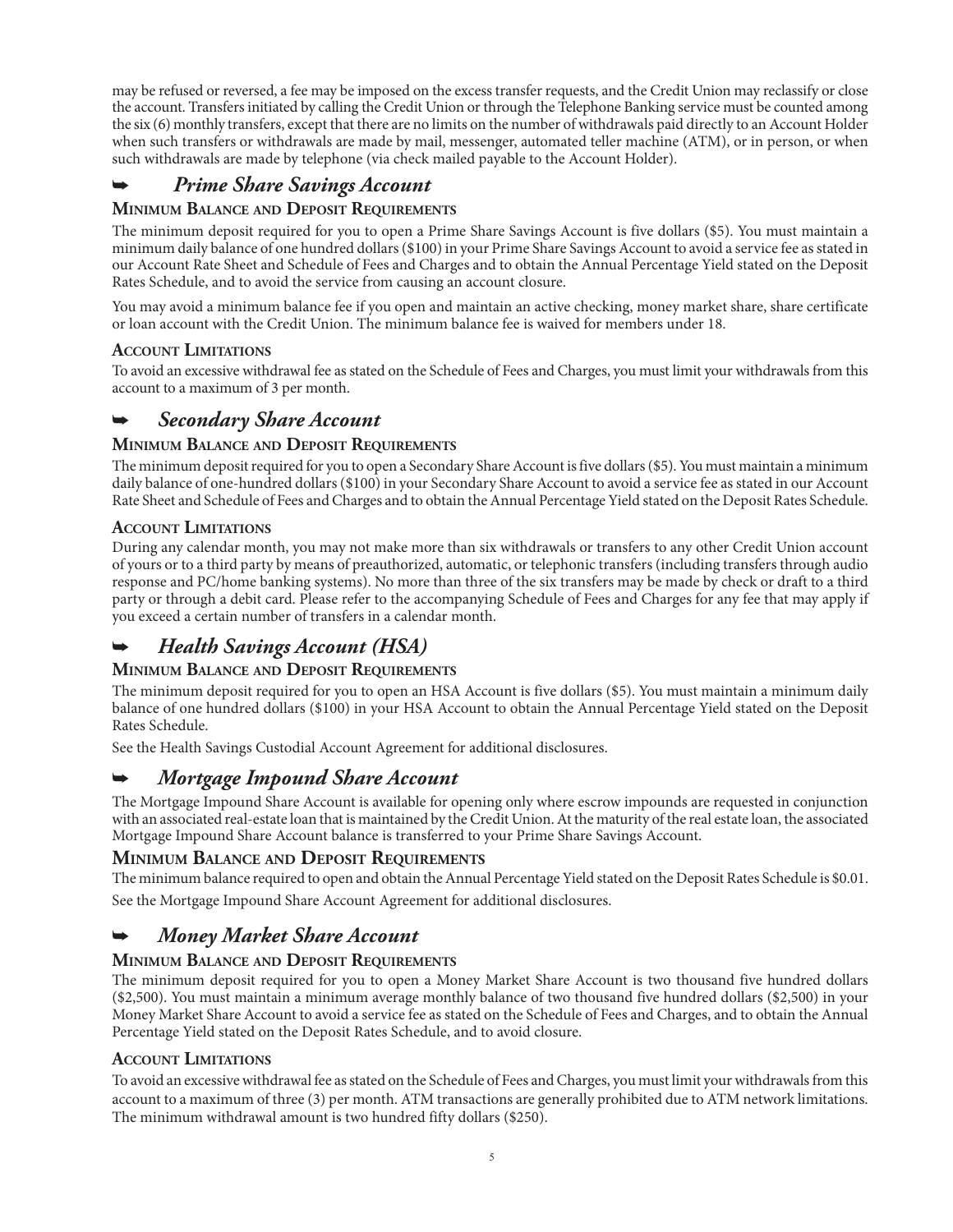may be refused or reversed, a fee may be imposed on the excess transfer requests, and the Credit Union may reclassify or close the account. Transfers initiated by calling the Credit Union or through the Telephone Banking service must be counted among the six (6) monthly transfers, except that there are no limits on the number of withdrawals paid directly to an Account Holder when such transfers or withdrawals are made by mail, messenger, automated teller machine (ATM), or in person, or when such withdrawals are made by telephone (via check mailed payable to the Account Holder).

## *Prime Share Savings Account*

### **Minimum Balance and Deposit Requirements**

The minimum deposit required for you to open a Prime Share Savings Account is five dollars (\$5). You must maintain a minimum daily balance of one hundred dollars (\$100) in your Prime Share Savings Account to avoid a service fee as stated in our Account Rate Sheet and Schedule of Fees and Charges and to obtain the Annual Percentage Yield stated on the Deposit Rates Schedule, and to avoid the service from causing an account closure.

You may avoid a minimum balance fee if you open and maintain an active checking, money market share, share certificate or loan account with the Credit Union. The minimum balance fee is waived for members under 18.

#### **Account Limitations**

To avoid an excessive withdrawal fee as stated on the Schedule of Fees and Charges, you must limit your withdrawals from this account to a maximum of 3 per month.

## *Secondary Share Account*

#### **Minimum Balance and Deposit Requirements**

The minimum deposit required for you to open a Secondary Share Account is five dollars (\$5). You must maintain a minimum daily balance of one-hundred dollars (\$100) in your Secondary Share Account to avoid a service fee as stated in our Account Rate Sheet and Schedule of Fees and Charges and to obtain the Annual Percentage Yield stated on the Deposit Rates Schedule.

#### **Account Limitations**

During any calendar month, you may not make more than six withdrawals or transfers to any other Credit Union account of yours or to a third party by means of preauthorized, automatic, or telephonic transfers (including transfers through audio response and PC/home banking systems). No more than three of the six transfers may be made by check or draft to a third party or through a debit card. Please refer to the accompanying Schedule of Fees and Charges for any fee that may apply if you exceed a certain number of transfers in a calendar month.

## *Health Savings Account (HSA)*

#### **Minimum Balance and Deposit Requirements**

The minimum deposit required for you to open an HSA Account is five dollars (\$5). You must maintain a minimum daily balance of one hundred dollars (\$100) in your HSA Account to obtain the Annual Percentage Yield stated on the Deposit Rates Schedule.

See the Health Savings Custodial Account Agreement for additional disclosures.

## *Mortgage Impound Share Account*

The Mortgage Impound Share Account is available for opening only where escrow impounds are requested in conjunction with an associated real-estate loan that is maintained by the Credit Union. At the maturity of the real estate loan, the associated Mortgage Impound Share Account balance is transferred to your Prime Share Savings Account.

#### **Minimum Balance and Deposit Requirements**

The minimum balance required to open and obtain the Annual Percentage Yield stated on the Deposit Rates Schedule is \$0.01. See the Mortgage Impound Share Account Agreement for additional disclosures.

## *Money Market Share Account*

#### **Minimum Balance and Deposit Requirements**

The minimum deposit required for you to open a Money Market Share Account is two thousand five hundred dollars (\$2,500). You must maintain a minimum average monthly balance of two thousand five hundred dollars (\$2,500) in your Money Market Share Account to avoid a service fee as stated on the Schedule of Fees and Charges, and to obtain the Annual Percentage Yield stated on the Deposit Rates Schedule, and to avoid closure.

#### **Account Limitations**

To avoid an excessive withdrawal fee as stated on the Schedule of Fees and Charges, you must limit your withdrawals from this account to a maximum of three (3) per month. ATM transactions are generally prohibited due to ATM network limitations. The minimum withdrawal amount is two hundred fifty dollars (\$250).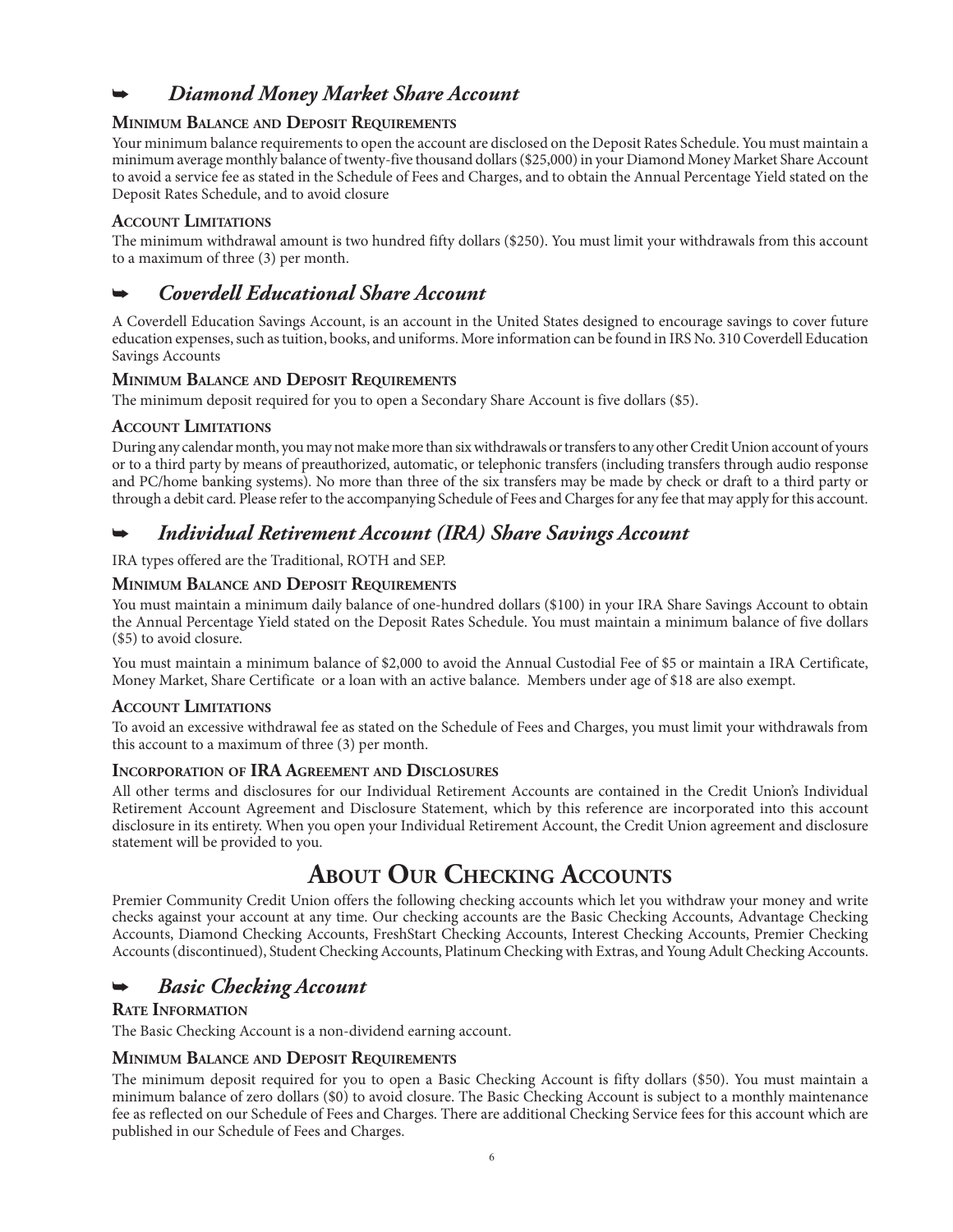## *Diamond Money Market Share Account*

### **Minimum Balance and Deposit Requirements**

Your minimum balance requirements to open the account are disclosed on the Deposit Rates Schedule. You must maintain a minimum average monthly balance of twenty-five thousand dollars (\$25,000) in your Diamond Money Market Share Account to avoid a service fee as stated in the Schedule of Fees and Charges, and to obtain the Annual Percentage Yield stated on the Deposit Rates Schedule, and to avoid closure

## **Account Limitations**

The minimum withdrawal amount is two hundred fifty dollars (\$250). You must limit your withdrawals from this account to a maximum of three (3) per month.

## *Coverdell Educational Share Account*

A Coverdell Education Savings Account, is an account in the United States designed to encourage savings to cover future education expenses, such as tuition, books, and uniforms. More information can be found in IRS No. 310 Coverdell Education Savings Accounts

### **Minimum Balance and Deposit Requirements**

The minimum deposit required for you to open a Secondary Share Account is five dollars (\$5).

### **Account Limitations**

During any calendar month, you may not make more than six withdrawals or transfers to any other Credit Union account of yours or to a third party by means of preauthorized, automatic, or telephonic transfers (including transfers through audio response and PC/home banking systems). No more than three of the six transfers may be made by check or draft to a third party or through a debit card. Please refer to the accompanying Schedule of Fees and Charges for any fee that may apply for this account.

## *Individual Retirement Account (IRA) Share Savings Account*

IRA types offered are the Traditional, ROTH and SEP.

### **Minimum Balance and Deposit Requirements**

You must maintain a minimum daily balance of one-hundred dollars (\$100) in your IRA Share Savings Account to obtain the Annual Percentage Yield stated on the Deposit Rates Schedule. You must maintain a minimum balance of five dollars (\$5) to avoid closure.

You must maintain a minimum balance of \$2,000 to avoid the Annual Custodial Fee of \$5 or maintain a IRA Certificate, Money Market, Share Certificate or a loan with an active balance. Members under age of \$18 are also exempt.

#### **Account Limitations**

To avoid an excessive withdrawal fee as stated on the Schedule of Fees and Charges, you must limit your withdrawals from this account to a maximum of three (3) per month.

#### **Incorporation of IRA Agreement and Disclosures**

All other terms and disclosures for our Individual Retirement Accounts are contained in the Credit Union's Individual Retirement Account Agreement and Disclosure Statement, which by this reference are incorporated into this account disclosure in its entirety. When you open your Individual Retirement Account, the Credit Union agreement and disclosure statement will be provided to you.

## **About Our Checking Accounts**

Premier Community Credit Union offers the following checking accounts which let you withdraw your money and write checks against your account at any time. Our checking accounts are the Basic Checking Accounts, Advantage Checking Accounts, Diamond Checking Accounts, FreshStart Checking Accounts, Interest Checking Accounts, Premier Checking Accounts (discontinued), Student Checking Accounts, Platinum Checking with Extras, and Young Adult Checking Accounts.

## *Basic Checking Account*

#### **Rate Information**

The Basic Checking Account is a non-dividend earning account.

#### **Minimum Balance and Deposit Requirements**

The minimum deposit required for you to open a Basic Checking Account is fifty dollars (\$50). You must maintain a minimum balance of zero dollars (\$0) to avoid closure. The Basic Checking Account is subject to a monthly maintenance fee as reflected on our Schedule of Fees and Charges. There are additional Checking Service fees for this account which are published in our Schedule of Fees and Charges.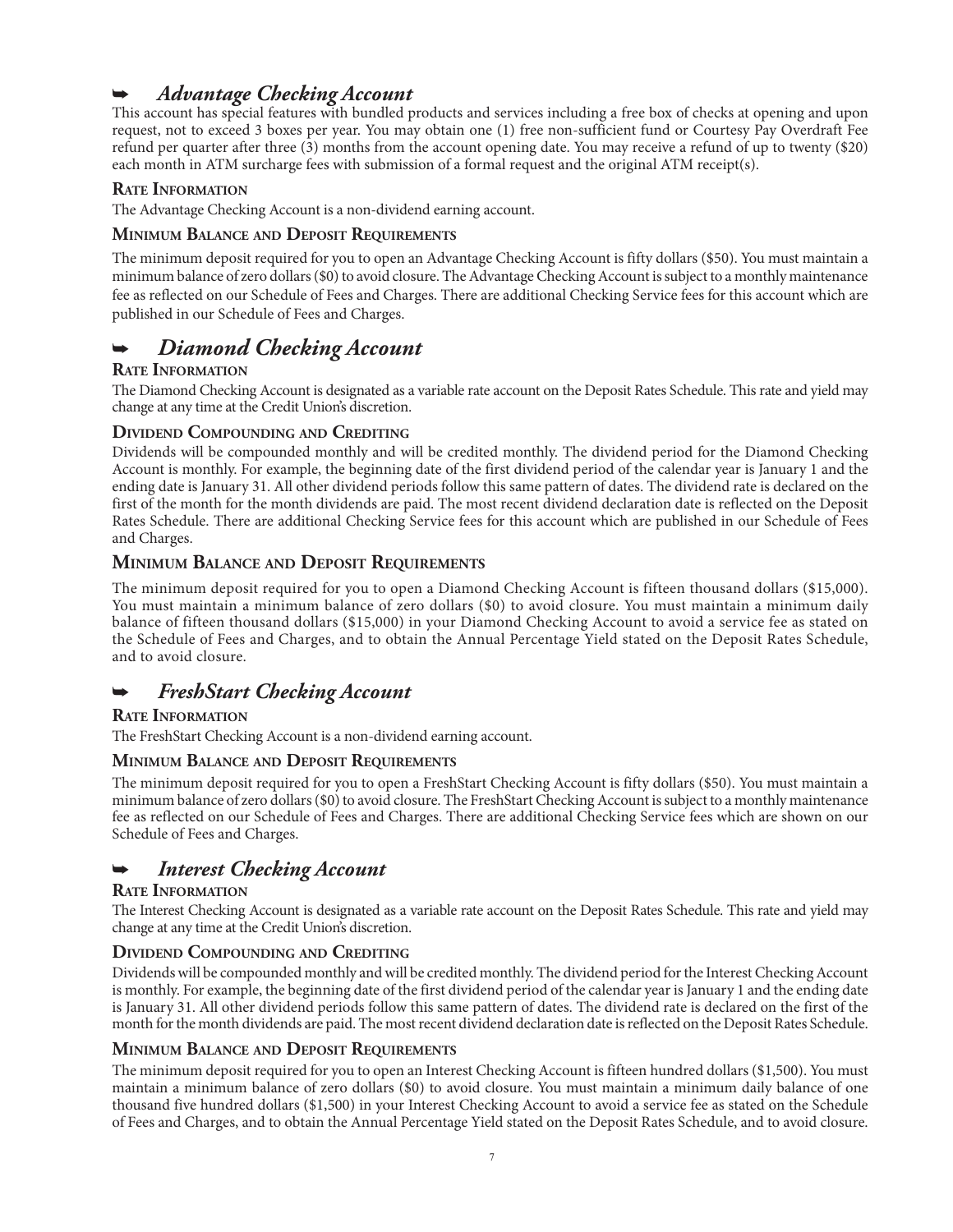## *Advantage Checking Account*

This account has special features with bundled products and services including a free box of checks at opening and upon request, not to exceed 3 boxes per year. You may obtain one (1) free non-sufficient fund or Courtesy Pay Overdraft Fee refund per quarter after three (3) months from the account opening date. You may receive a refund of up to twenty (\$20) each month in ATM surcharge fees with submission of a formal request and the original ATM receipt(s).

### **Rate Information**

The Advantage Checking Account is a non-dividend earning account.

### **Minimum Balance and Deposit Requirements**

The minimum deposit required for you to open an Advantage Checking Account is fifty dollars (\$50). You must maintain a minimum balance of zero dollars (\$0) to avoid closure. The Advantage Checking Account is subject to a monthly maintenance fee as reflected on our Schedule of Fees and Charges. There are additional Checking Service fees for this account which are published in our Schedule of Fees and Charges.

## *Diamond Checking Account*

### **Rate Information**

The Diamond Checking Account is designated as a variable rate account on the Deposit Rates Schedule. This rate and yield may change at any time at the Credit Union's discretion.

#### **Dividend Compounding and Crediting**

Dividends will be compounded monthly and will be credited monthly. The dividend period for the Diamond Checking Account is monthly. For example, the beginning date of the first dividend period of the calendar year is January 1 and the ending date is January 31. All other dividend periods follow this same pattern of dates. The dividend rate is declared on the first of the month for the month dividends are paid. The most recent dividend declaration date is reflected on the Deposit Rates Schedule. There are additional Checking Service fees for this account which are published in our Schedule of Fees and Charges.

## **Minimum Balance and Deposit Requirements**

The minimum deposit required for you to open a Diamond Checking Account is fifteen thousand dollars (\$15,000). You must maintain a minimum balance of zero dollars (\$0) to avoid closure. You must maintain a minimum daily balance of fifteen thousand dollars (\$15,000) in your Diamond Checking Account to avoid a service fee as stated on the Schedule of Fees and Charges, and to obtain the Annual Percentage Yield stated on the Deposit Rates Schedule, and to avoid closure.

## *FreshStart Checking Account*

#### **Rate Information**

The FreshStart Checking Account is a non-dividend earning account.

#### **Minimum Balance and Deposit Requirements**

The minimum deposit required for you to open a FreshStart Checking Account is fifty dollars (\$50). You must maintain a minimum balance of zero dollars (\$0) to avoid closure. The FreshStart Checking Account is subject to a monthly maintenance fee as reflected on our Schedule of Fees and Charges. There are additional Checking Service fees which are shown on our Schedule of Fees and Charges.

## *Interest Checking Account*

#### **Rate Information**

The Interest Checking Account is designated as a variable rate account on the Deposit Rates Schedule. This rate and yield may change at any time at the Credit Union's discretion.

#### **Dividend Compounding and Crediting**

Dividends will be compounded monthly and will be credited monthly. The dividend period for the Interest Checking Account is monthly. For example, the beginning date of the first dividend period of the calendar year is January 1 and the ending date is January 31. All other dividend periods follow this same pattern of dates. The dividend rate is declared on the first of the month for the month dividends are paid. The most recent dividend declaration date is reflected on the Deposit Rates Schedule.

#### **Minimum Balance and Deposit Requirements**

The minimum deposit required for you to open an Interest Checking Account is fifteen hundred dollars (\$1,500). You must maintain a minimum balance of zero dollars (\$0) to avoid closure. You must maintain a minimum daily balance of one thousand five hundred dollars (\$1,500) in your Interest Checking Account to avoid a service fee as stated on the Schedule of Fees and Charges, and to obtain the Annual Percentage Yield stated on the Deposit Rates Schedule, and to avoid closure.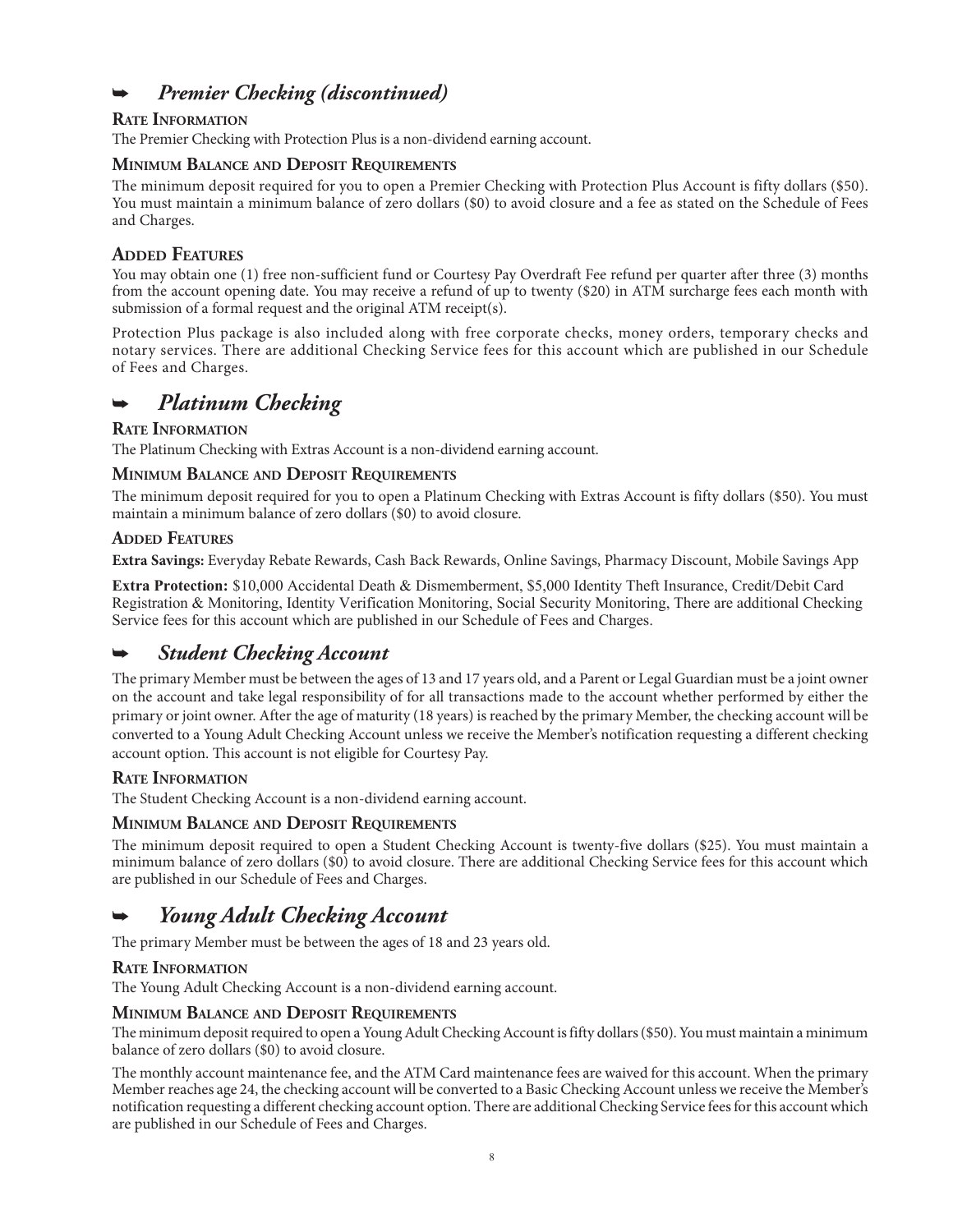## *Premier Checking (discontinued)*

### **Rate Information**

The Premier Checking with Protection Plus is a non-dividend earning account.

#### **Minimum Balance and Deposit Requirements**

The minimum deposit required for you to open a Premier Checking with Protection Plus Account is fifty dollars (\$50). You must maintain a minimum balance of zero dollars (\$0) to avoid closure and a fee as stated on the Schedule of Fees and Charges.

### **Added Features**

You may obtain one (1) free non-sufficient fund or Courtesy Pay Overdraft Fee refund per quarter after three (3) months from the account opening date. You may receive a refund of up to twenty (\$20) in ATM surcharge fees each month with submission of a formal request and the original ATM receipt(s).

Protection Plus package is also included along with free corporate checks, money orders, temporary checks and notary services. There are additional Checking Service fees for this account which are published in our Schedule of Fees and Charges.

## *Platinum Checking*

#### **Rate Information**

The Platinum Checking with Extras Account is a non-dividend earning account.

#### **Minimum Balance and Deposit Requirements**

The minimum deposit required for you to open a Platinum Checking with Extras Account is fifty dollars (\$50). You must maintain a minimum balance of zero dollars (\$0) to avoid closure.

#### **Added Features**

**Extra Savings:** Everyday Rebate Rewards, Cash Back Rewards, Online Savings, Pharmacy Discount, Mobile Savings App

**Extra Protection:** \$10,000 Accidental Death & Dismemberment, \$5,000 Identity Theft Insurance, Credit/Debit Card Registration & Monitoring, Identity Verification Monitoring, Social Security Monitoring, There are additional Checking Service fees for this account which are published in our Schedule of Fees and Charges.

## *Student Checking Account*

The primary Member must be between the ages of 13 and 17 years old, and a Parent or Legal Guardian must be a joint owner on the account and take legal responsibility of for all transactions made to the account whether performed by either the primary or joint owner. After the age of maturity (18 years) is reached by the primary Member, the checking account will be converted to a Young Adult Checking Account unless we receive the Member's notification requesting a different checking account option. This account is not eligible for Courtesy Pay.

#### **Rate Information**

The Student Checking Account is a non-dividend earning account.

#### **Minimum Balance and Deposit Requirements**

The minimum deposit required to open a Student Checking Account is twenty-five dollars (\$25). You must maintain a minimum balance of zero dollars (\$0) to avoid closure. There are additional Checking Service fees for this account which are published in our Schedule of Fees and Charges.

## *Young Adult Checking Account*

The primary Member must be between the ages of 18 and 23 years old.

#### **Rate Information**

The Young Adult Checking Account is a non-dividend earning account.

#### **Minimum Balance and Deposit Requirements**

The minimum deposit required to open a Young Adult Checking Account is fifty dollars (\$50). You must maintain a minimum balance of zero dollars (\$0) to avoid closure.

The monthly account maintenance fee, and the ATM Card maintenance fees are waived for this account. When the primary Member reaches age 24, the checking account will be converted to a Basic Checking Account unless we receive the Member's notification requesting a different checking account option. There are additional Checking Service fees for this account which are published in our Schedule of Fees and Charges.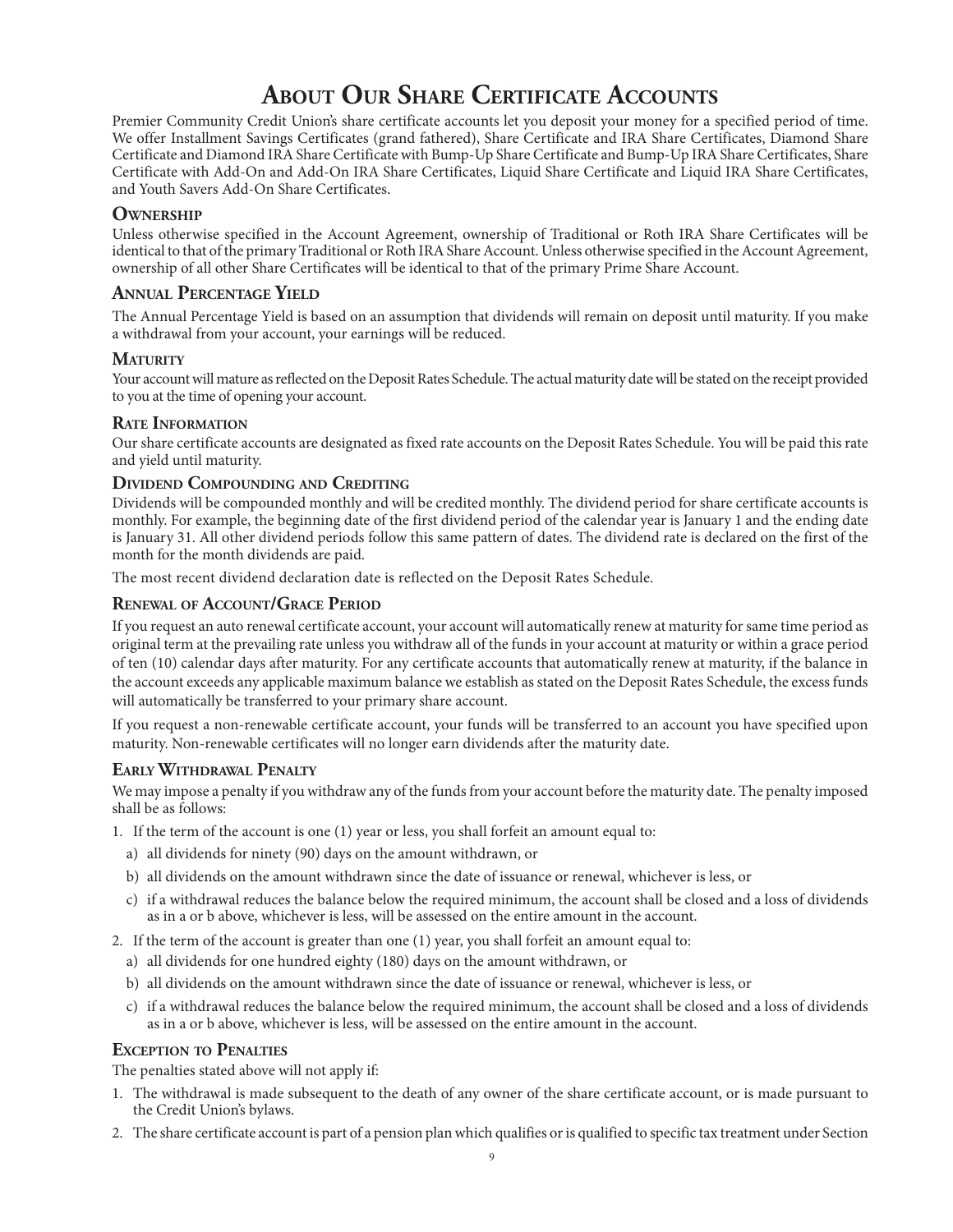# **About Our Share Certificate Accounts**

Premier Community Credit Union's share certificate accounts let you deposit your money for a specified period of time. We offer Installment Savings Certificates (grand fathered), Share Certificate and IRA Share Certificates, Diamond Share Certificate and Diamond IRA Share Certificate with Bump-Up Share Certificate and Bump-Up IRA Share Certificates, Share Certificate with Add-On and Add-On IRA Share Certificates, Liquid Share Certificate and Liquid IRA Share Certificates, and Youth Savers Add-On Share Certificates.

#### **Ownership**

Unless otherwise specified in the Account Agreement, ownership of Traditional or Roth IRA Share Certificates will be identical to that of the primary Traditional or Roth IRA Share Account. Unless otherwise specified in the Account Agreement, ownership of all other Share Certificates will be identical to that of the primary Prime Share Account.

### **Annual Percentage Yield**

The Annual Percentage Yield is based on an assumption that dividends will remain on deposit until maturity. If you make a withdrawal from your account, your earnings will be reduced.

#### **MATURITY**

Your account will mature as reflected on the Deposit Rates Schedule. The actual maturity date will be stated on the receipt provided to you at the time of opening your account.

#### **Rate Information**

Our share certificate accounts are designated as fixed rate accounts on the Deposit Rates Schedule. You will be paid this rate and yield until maturity.

#### **Dividend Compounding and Crediting**

Dividends will be compounded monthly and will be credited monthly. The dividend period for share certificate accounts is monthly. For example, the beginning date of the first dividend period of the calendar year is January 1 and the ending date is January 31. All other dividend periods follow this same pattern of dates. The dividend rate is declared on the first of the month for the month dividends are paid.

The most recent dividend declaration date is reflected on the Deposit Rates Schedule.

#### **Renewal of Account/Grace Period**

If you request an auto renewal certificate account, your account will automatically renew at maturity for same time period as original term at the prevailing rate unless you withdraw all of the funds in your account at maturity or within a grace period of ten (10) calendar days after maturity. For any certificate accounts that automatically renew at maturity, if the balance in the account exceeds any applicable maximum balance we establish as stated on the Deposit Rates Schedule, the excess funds will automatically be transferred to your primary share account.

If you request a non-renewable certificate account, your funds will be transferred to an account you have specified upon maturity. Non-renewable certificates will no longer earn dividends after the maturity date.

#### **Early Withdrawal Penalty**

We may impose a penalty if you withdraw any of the funds from your account before the maturity date. The penalty imposed shall be as follows:

1. If the term of the account is one (1) year or less, you shall forfeit an amount equal to:

- a) all dividends for ninety (90) days on the amount withdrawn, or
- b) all dividends on the amount withdrawn since the date of issuance or renewal, whichever is less, or
- c) if a withdrawal reduces the balance below the required minimum, the account shall be closed and a loss of dividends as in a or b above, whichever is less, will be assessed on the entire amount in the account.

2. If the term of the account is greater than one (1) year, you shall forfeit an amount equal to:

- a) all dividends for one hundred eighty (180) days on the amount withdrawn, or
- b) all dividends on the amount withdrawn since the date of issuance or renewal, whichever is less, or
- c) if a withdrawal reduces the balance below the required minimum, the account shall be closed and a loss of dividends as in a or b above, whichever is less, will be assessed on the entire amount in the account.

#### **Exception to Penalties**

The penalties stated above will not apply if:

- 1. The withdrawal is made subsequent to the death of any owner of the share certificate account, or is made pursuant to the Credit Union's bylaws.
- 2. The share certificate account is part of a pension plan which qualifies or is qualified to specific tax treatment under Section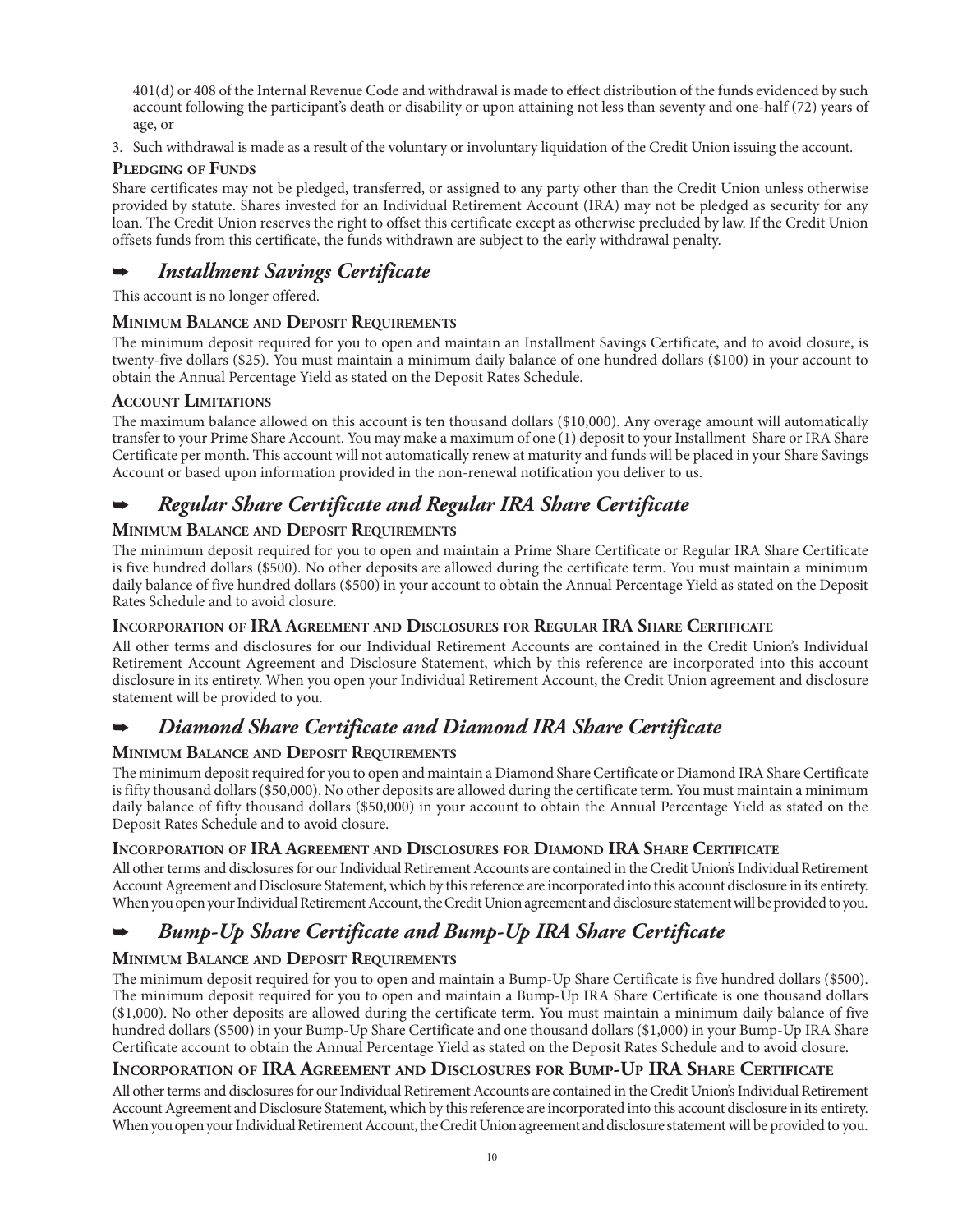401(d) or 408 of the Internal Revenue Code and withdrawal is made to effect distribution of the funds evidenced by such account following the participant's death or disability or upon attaining not less than seventy and one-half (72) years of age, or

3. Such withdrawal is made as a result of the voluntary or involuntary liquidation of the Credit Union issuing the account.

#### **Pledging of Funds**

Share certificates may not be pledged, transferred, or assigned to any party other than the Credit Union unless otherwise provided by statute. Shares invested for an Individual Retirement Account (IRA) may not be pledged as security for any loan. The Credit Union reserves the right to offset this certificate except as otherwise precluded by law. If the Credit Union offsets funds from this certificate, the funds withdrawn are subject to the early withdrawal penalty.

## *Installment Savings Certificate*

This account is no longer offered.

#### **Minimum Balance and Deposit Requirements**

The minimum deposit required for you to open and maintain an Installment Savings Certificate, and to avoid closure, is twenty-five dollars (\$25). You must maintain a minimum daily balance of one hundred dollars (\$100) in your account to obtain the Annual Percentage Yield as stated on the Deposit Rates Schedule.

### **Account Limitations**

The maximum balance allowed on this account is ten thousand dollars (\$10,000). Any overage amount will automatically transfer to your Prime Share Account. You may make a maximum of one (1) deposit to your Installment Share or IRA Share Certificate per month. This account will not automatically renew at maturity and funds will be placed in your Share Savings Account or based upon information provided in the non-renewal notification you deliver to us.

## *Regular Share Certificate and Regular IRA Share Certificate*

### **Minimum Balance and Deposit Requirements**

The minimum deposit required for you to open and maintain a Prime Share Certificate or Regular IRA Share Certificate is five hundred dollars (\$500). No other deposits are allowed during the certificate term. You must maintain a minimum daily balance of five hundred dollars (\$500) in your account to obtain the Annual Percentage Yield as stated on the Deposit Rates Schedule and to avoid closure.

#### **Incorporation of IRA Agreement and Disclosures for Regular IRA Share Certificate**

All other terms and disclosures for our Individual Retirement Accounts are contained in the Credit Union's Individual Retirement Account Agreement and Disclosure Statement, which by this reference are incorporated into this account disclosure in its entirety. When you open your Individual Retirement Account, the Credit Union agreement and disclosure statement will be provided to you.

## *Diamond Share Certificate and Diamond IRA Share Certificate*

## **Minimum Balance and Deposit Requirements**

The minimum deposit required for you to open and maintain a Diamond Share Certificate or Diamond IRA Share Certificate is fifty thousand dollars (\$50,000). No other deposits are allowed during the certificate term. You must maintain a minimum daily balance of fifty thousand dollars (\$50,000) in your account to obtain the Annual Percentage Yield as stated on the Deposit Rates Schedule and to avoid closure.

#### **Incorporation of IRA Agreement and Disclosures for Diamond IRA Share Certificate**

All other terms and disclosures for our Individual Retirement Accounts are contained in the Credit Union's Individual Retirement Account Agreement and Disclosure Statement, which by this reference are incorporated into this account disclosure in its entirety. When you open your Individual Retirement Account, the Credit Union agreement and disclosure statement will be provided to you.

## *Bump-Up Share Certificate and Bump-Up IRA Share Certificate*

## **Minimum Balance and Deposit Requirements**

The minimum deposit required for you to open and maintain a Bump-Up Share Certificate is five hundred dollars (\$500). The minimum deposit required for you to open and maintain a Bump-Up IRA Share Certificate is one thousand dollars (\$1,000). No other deposits are allowed during the certificate term. You must maintain a minimum daily balance of five hundred dollars (\$500) in your Bump-Up Share Certificate and one thousand dollars (\$1,000) in your Bump-Up IRA Share Certificate account to obtain the Annual Percentage Yield as stated on the Deposit Rates Schedule and to avoid closure.

## **Incorporation of IRA Agreement and Disclosures for Bump-Up IRA Share Certificate**

All other terms and disclosures for our Individual Retirement Accounts are contained in the Credit Union's Individual Retirement Account Agreement and Disclosure Statement, which by this reference are incorporated into this account disclosure in its entirety. When you open your Individual Retirement Account, the Credit Union agreement and disclosure statement will be provided to you.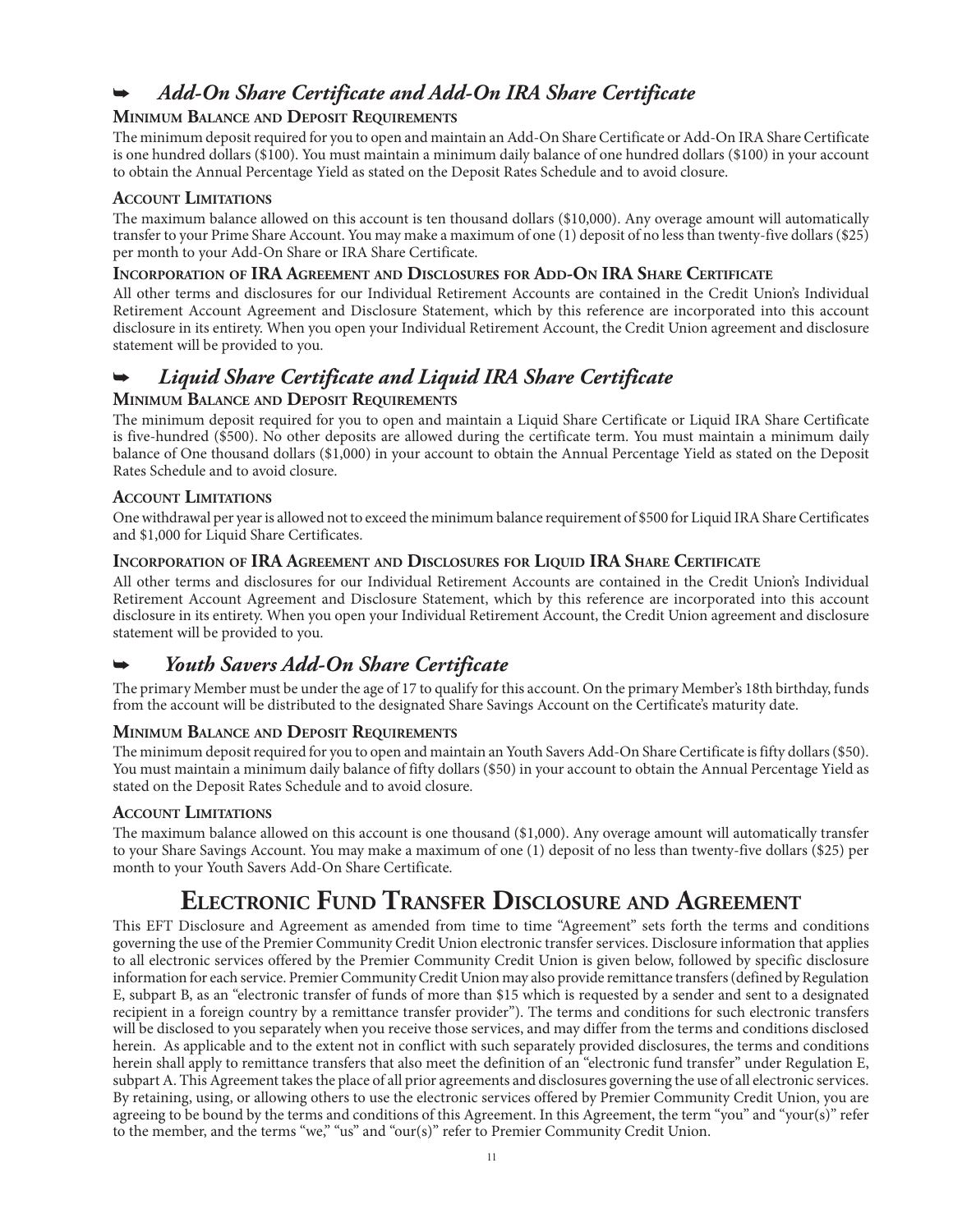## *Add-On Share Certificate and Add-On IRA Share Certificate*

#### **Minimum Balance and Deposit Requirements**

The minimum deposit required for you to open and maintain an Add-On Share Certificate or Add-On IRA Share Certificate is one hundred dollars (\$100). You must maintain a minimum daily balance of one hundred dollars (\$100) in your account to obtain the Annual Percentage Yield as stated on the Deposit Rates Schedule and to avoid closure.

#### **Account Limitations**

The maximum balance allowed on this account is ten thousand dollars (\$10,000). Any overage amount will automatically transfer to your Prime Share Account. You may make a maximum of one (1) deposit of no less than twenty-five dollars (\$25) per month to your Add-On Share or IRA Share Certificate.

#### **Incorporation of IRA Agreement and Disclosures for Add-On IRA Share Certificate**

All other terms and disclosures for our Individual Retirement Accounts are contained in the Credit Union's Individual Retirement Account Agreement and Disclosure Statement, which by this reference are incorporated into this account disclosure in its entirety. When you open your Individual Retirement Account, the Credit Union agreement and disclosure statement will be provided to you.

## *Liquid Share Certificate and Liquid IRA Share Certificate*

#### **Minimum Balance and Deposit Requirements**

The minimum deposit required for you to open and maintain a Liquid Share Certificate or Liquid IRA Share Certificate is five-hundred (\$500). No other deposits are allowed during the certificate term. You must maintain a minimum daily balance of One thousand dollars (\$1,000) in your account to obtain the Annual Percentage Yield as stated on the Deposit Rates Schedule and to avoid closure.

#### **Account Limitations**

One withdrawal per year is allowed not to exceed the minimum balance requirement of \$500 for Liquid IRA Share Certificates and \$1,000 for Liquid Share Certificates.

#### **Incorporation of IRA Agreement and Disclosures for Liquid IRA Share Certificate**

All other terms and disclosures for our Individual Retirement Accounts are contained in the Credit Union's Individual Retirement Account Agreement and Disclosure Statement, which by this reference are incorporated into this account disclosure in its entirety. When you open your Individual Retirement Account, the Credit Union agreement and disclosure statement will be provided to you.

## *Youth Savers Add-On Share Certificate*

The primary Member must be under the age of 17 to qualify for this account. On the primary Member's 18th birthday, funds from the account will be distributed to the designated Share Savings Account on the Certificate's maturity date.

#### **Minimum Balance and Deposit Requirements**

The minimum deposit required for you to open and maintain an Youth Savers Add-On Share Certificate is fifty dollars (\$50). You must maintain a minimum daily balance of fifty dollars (\$50) in your account to obtain the Annual Percentage Yield as stated on the Deposit Rates Schedule and to avoid closure.

#### **Account Limitations**

The maximum balance allowed on this account is one thousand (\$1,000). Any overage amount will automatically transfer to your Share Savings Account. You may make a maximum of one (1) deposit of no less than twenty-five dollars (\$25) per month to your Youth Savers Add-On Share Certificate.

## **Electronic Fund Transfer Disclosure and Agreement**

This EFT Disclosure and Agreement as amended from time to time "Agreement" sets forth the terms and conditions governing the use of the Premier Community Credit Union electronic transfer services. Disclosure information that applies to all electronic services offered by the Premier Community Credit Union is given below, followed by specific disclosure information for each service. Premier Community Credit Union may also provide remittance transfers (defined by Regulation E, subpart B, as an "electronic transfer of funds of more than \$15 which is requested by a sender and sent to a designated recipient in a foreign country by a remittance transfer provider"). The terms and conditions for such electronic transfers will be disclosed to you separately when you receive those services, and may differ from the terms and conditions disclosed herein. As applicable and to the extent not in conflict with such separately provided disclosures, the terms and conditions herein shall apply to remittance transfers that also meet the definition of an "electronic fund transfer" under Regulation E, subpart A. This Agreement takes the place of all prior agreements and disclosures governing the use of all electronic services. By retaining, using, or allowing others to use the electronic services offered by Premier Community Credit Union, you are agreeing to be bound by the terms and conditions of this Agreement. In this Agreement, the term "you" and "your(s)" refer to the member, and the terms "we," "us" and "our(s)" refer to Premier Community Credit Union.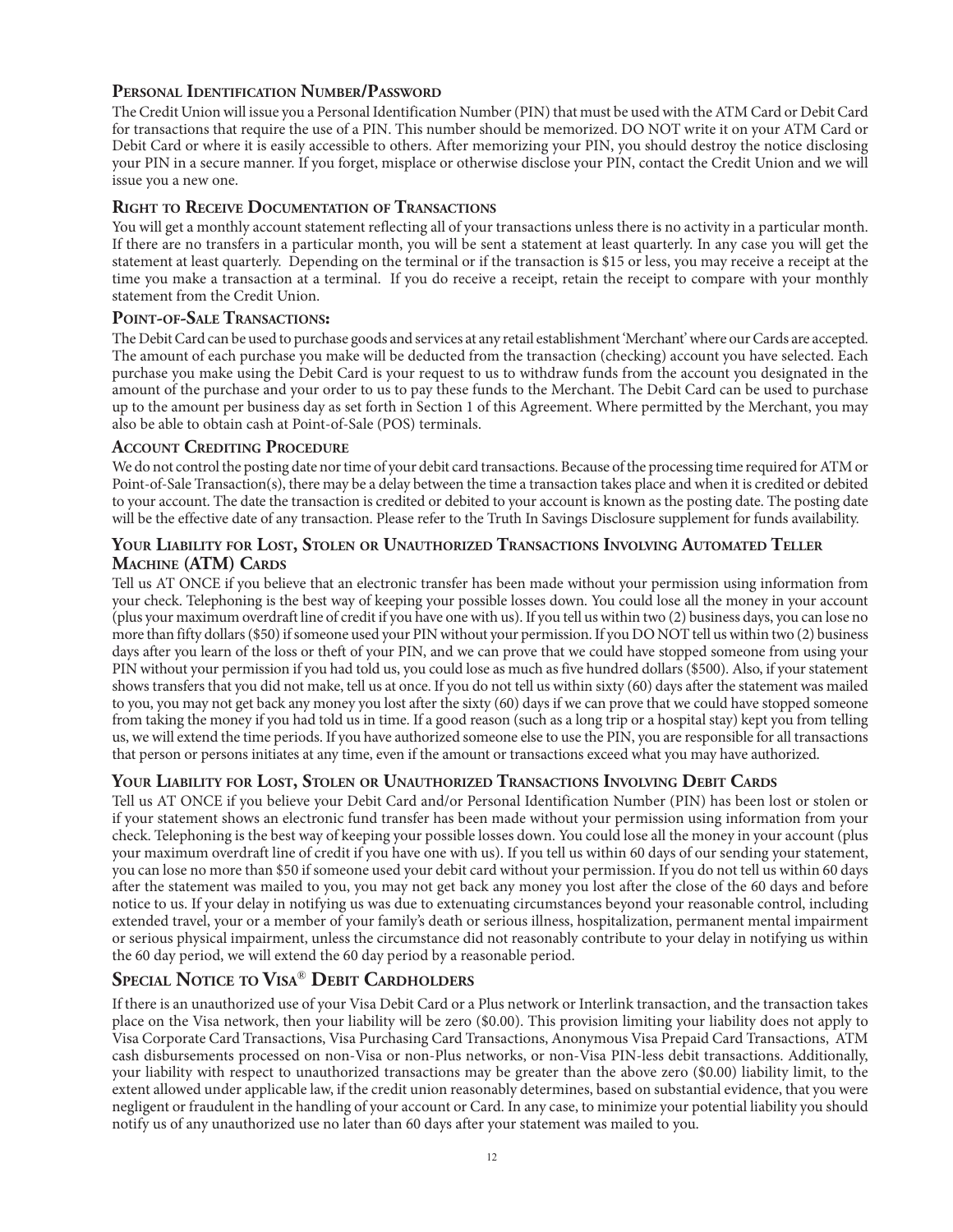#### **Personal Identification Number/Password**

The Credit Union will issue you a Personal Identification Number (PIN) that must be used with the ATM Card or Debit Card for transactions that require the use of a PIN. This number should be memorized. DO NOT write it on your ATM Card or Debit Card or where it is easily accessible to others. After memorizing your PIN, you should destroy the notice disclosing your PIN in a secure manner. If you forget, misplace or otherwise disclose your PIN, contact the Credit Union and we will issue you a new one.

#### **Right to Receive Documentation of Transactions**

You will get a monthly account statement reflecting all of your transactions unless there is no activity in a particular month. If there are no transfers in a particular month, you will be sent a statement at least quarterly. In any case you will get the statement at least quarterly. Depending on the terminal or if the transaction is \$15 or less, you may receive a receipt at the time you make a transaction at a terminal. If you do receive a receipt, retain the receipt to compare with your monthly statement from the Credit Union.

#### **Point-of-Sale Transactions:**

The Debit Card can be used to purchase goods and services at any retail establishment 'Merchant' where our Cards are accepted. The amount of each purchase you make will be deducted from the transaction (checking) account you have selected. Each purchase you make using the Debit Card is your request to us to withdraw funds from the account you designated in the amount of the purchase and your order to us to pay these funds to the Merchant. The Debit Card can be used to purchase up to the amount per business day as set forth in Section 1 of this Agreement. Where permitted by the Merchant, you may also be able to obtain cash at Point-of-Sale (POS) terminals.

#### **Account Crediting Procedure**

We do not control the posting date nor time of your debit card transactions. Because of the processing time required for ATM or Point-of-Sale Transaction(s), there may be a delay between the time a transaction takes place and when it is credited or debited to your account. The date the transaction is credited or debited to your account is known as the posting date. The posting date will be the effective date of any transaction. Please refer to the Truth In Savings Disclosure supplement for funds availability.

#### **Your Liability for Lost, Stolen or Unauthorized Transactions Involving Automated Teller Machine (ATM) Cards**

Tell us AT ONCE if you believe that an electronic transfer has been made without your permission using information from your check. Telephoning is the best way of keeping your possible losses down. You could lose all the money in your account (plus your maximum overdraft line of credit if you have one with us). If you tell us within two (2) business days, you can lose no more than fifty dollars (\$50) if someone used your PIN without your permission. If you DO NOT tell us within two (2) business days after you learn of the loss or theft of your PIN, and we can prove that we could have stopped someone from using your PIN without your permission if you had told us, you could lose as much as five hundred dollars (\$500). Also, if your statement shows transfers that you did not make, tell us at once. If you do not tell us within sixty (60) days after the statement was mailed to you, you may not get back any money you lost after the sixty (60) days if we can prove that we could have stopped someone from taking the money if you had told us in time. If a good reason (such as a long trip or a hospital stay) kept you from telling us, we will extend the time periods. If you have authorized someone else to use the PIN, you are responsible for all transactions that person or persons initiates at any time, even if the amount or transactions exceed what you may have authorized.

#### **Your Liability for Lost, Stolen or Unauthorized Transactions Involving Debit Cards**

Tell us AT ONCE if you believe your Debit Card and/or Personal Identification Number (PIN) has been lost or stolen or if your statement shows an electronic fund transfer has been made without your permission using information from your check. Telephoning is the best way of keeping your possible losses down. You could lose all the money in your account (plus your maximum overdraft line of credit if you have one with us). If you tell us within 60 days of our sending your statement, you can lose no more than \$50 if someone used your debit card without your permission. If you do not tell us within 60 days after the statement was mailed to you, you may not get back any money you lost after the close of the 60 days and before notice to us. If your delay in notifying us was due to extenuating circumstances beyond your reasonable control, including extended travel, your or a member of your family's death or serious illness, hospitalization, permanent mental impairment or serious physical impairment, unless the circumstance did not reasonably contribute to your delay in notifying us within the 60 day period, we will extend the 60 day period by a reasonable period.

## **Special Notice to Visa**® **Debit Cardholders**

If there is an unauthorized use of your Visa Debit Card or a Plus network or Interlink transaction, and the transaction takes place on the Visa network, then your liability will be zero (\$0.00). This provision limiting your liability does not apply to Visa Corporate Card Transactions, Visa Purchasing Card Transactions, Anonymous Visa Prepaid Card Transactions, ATM cash disbursements processed on non-Visa or non-Plus networks, or non-Visa PIN-less debit transactions. Additionally, your liability with respect to unauthorized transactions may be greater than the above zero (\$0.00) liability limit, to the extent allowed under applicable law, if the credit union reasonably determines, based on substantial evidence, that you were negligent or fraudulent in the handling of your account or Card. In any case, to minimize your potential liability you should notify us of any unauthorized use no later than 60 days after your statement was mailed to you.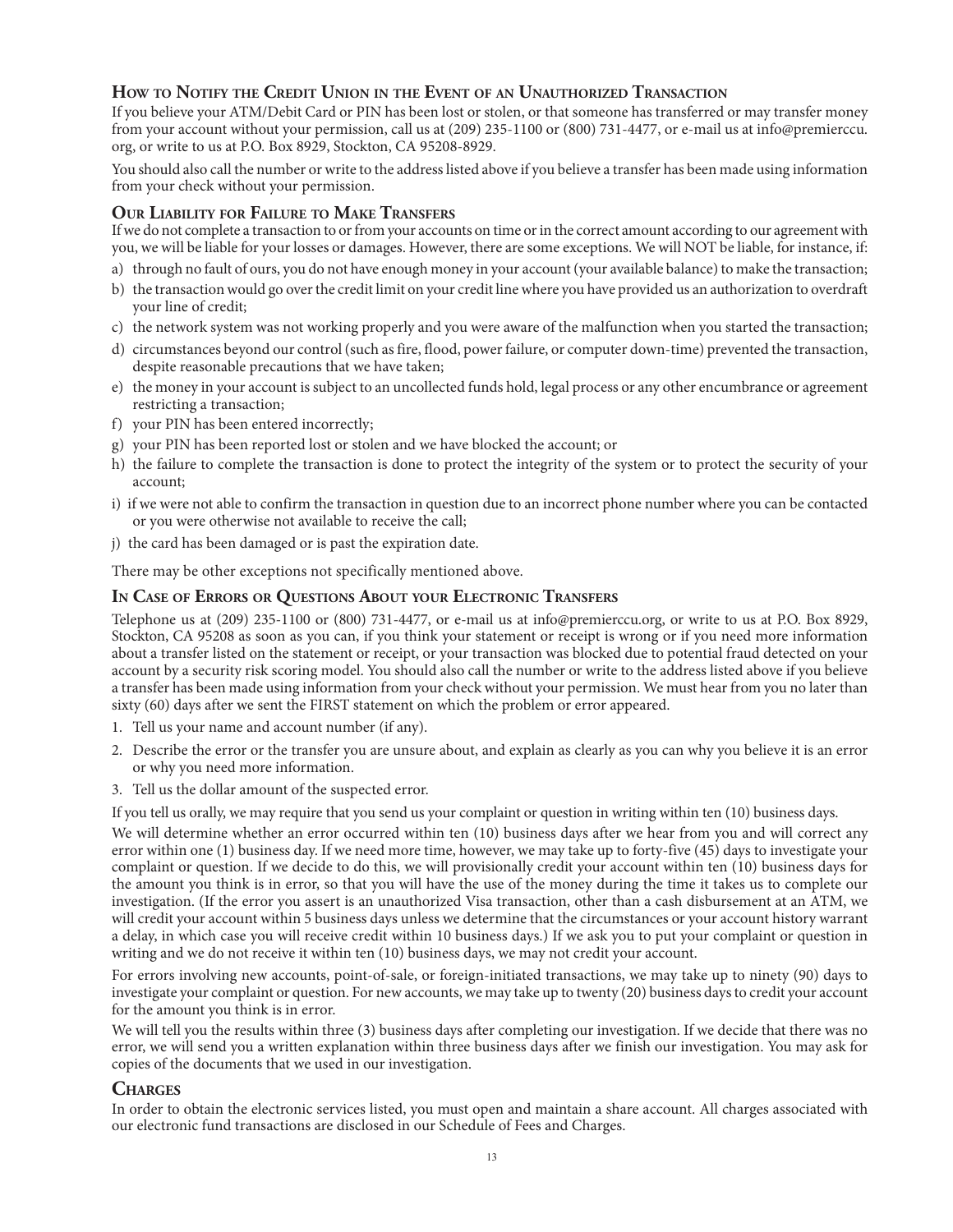### **How to Notify the Credit Union in the Event of an Unauthorized Transaction**

If you believe your ATM/Debit Card or PIN has been lost or stolen, or that someone has transferred or may transfer money from your account without your permission, call us at (209) 235-1100 or (800) 731-4477, or e-mail us at info@premierccu. org, or write to us at P.O. Box 8929, Stockton, CA 95208-8929.

You should also call the number or write to the address listed above if you believe a transfer has been made using information from your check without your permission.

#### **Our Liability for Failure to Make Transfers**

If we do not complete a transaction to or from your accounts on time or in the correct amount according to our agreement with you, we will be liable for your losses or damages. However, there are some exceptions. We will NOT be liable, for instance, if:

- a) through no fault of ours, you do not have enough money in your account (your available balance) to make the transaction;
- b) the transaction would go over the credit limit on your credit line where you have provided us an authorization to overdraft your line of credit;
- c) the network system was not working properly and you were aware of the malfunction when you started the transaction;
- d) circumstances beyond our control (such as fire, flood, power failure, or computer down-time) prevented the transaction, despite reasonable precautions that we have taken;
- e) the money in your account is subject to an uncollected funds hold, legal process or any other encumbrance or agreement restricting a transaction;
- f) your PIN has been entered incorrectly;
- g) your PIN has been reported lost or stolen and we have blocked the account; or
- h) the failure to complete the transaction is done to protect the integrity of the system or to protect the security of your account;
- i) if we were not able to confirm the transaction in question due to an incorrect phone number where you can be contacted or you were otherwise not available to receive the call;
- j) the card has been damaged or is past the expiration date.

There may be other exceptions not specifically mentioned above.

#### **In Case of Errors or Questions About your Electronic Transfers**

Telephone us at (209) 235-1100 or (800) 731-4477, or e-mail us at info@premierccu.org, or write to us at P.O. Box 8929, Stockton, CA 95208 as soon as you can, if you think your statement or receipt is wrong or if you need more information about a transfer listed on the statement or receipt, or your transaction was blocked due to potential fraud detected on your account by a security risk scoring model. You should also call the number or write to the address listed above if you believe a transfer has been made using information from your check without your permission. We must hear from you no later than sixty (60) days after we sent the FIRST statement on which the problem or error appeared.

- 1. Tell us your name and account number (if any).
- 2. Describe the error or the transfer you are unsure about, and explain as clearly as you can why you believe it is an error or why you need more information.
- 3. Tell us the dollar amount of the suspected error.

If you tell us orally, we may require that you send us your complaint or question in writing within ten (10) business days.

We will determine whether an error occurred within ten (10) business days after we hear from you and will correct any error within one (1) business day. If we need more time, however, we may take up to forty-five (45) days to investigate your complaint or question. If we decide to do this, we will provisionally credit your account within ten (10) business days for the amount you think is in error, so that you will have the use of the money during the time it takes us to complete our investigation. (If the error you assert is an unauthorized Visa transaction, other than a cash disbursement at an ATM, we will credit your account within 5 business days unless we determine that the circumstances or your account history warrant a delay, in which case you will receive credit within 10 business days.) If we ask you to put your complaint or question in writing and we do not receive it within ten (10) business days, we may not credit your account.

For errors involving new accounts, point-of-sale, or foreign-initiated transactions, we may take up to ninety (90) days to investigate your complaint or question. For new accounts, we may take up to twenty (20) business days to credit your account for the amount you think is in error.

We will tell you the results within three (3) business days after completing our investigation. If we decide that there was no error, we will send you a written explanation within three business days after we finish our investigation. You may ask for copies of the documents that we used in our investigation.

#### **Charges**

In order to obtain the electronic services listed, you must open and maintain a share account. All charges associated with our electronic fund transactions are disclosed in our Schedule of Fees and Charges.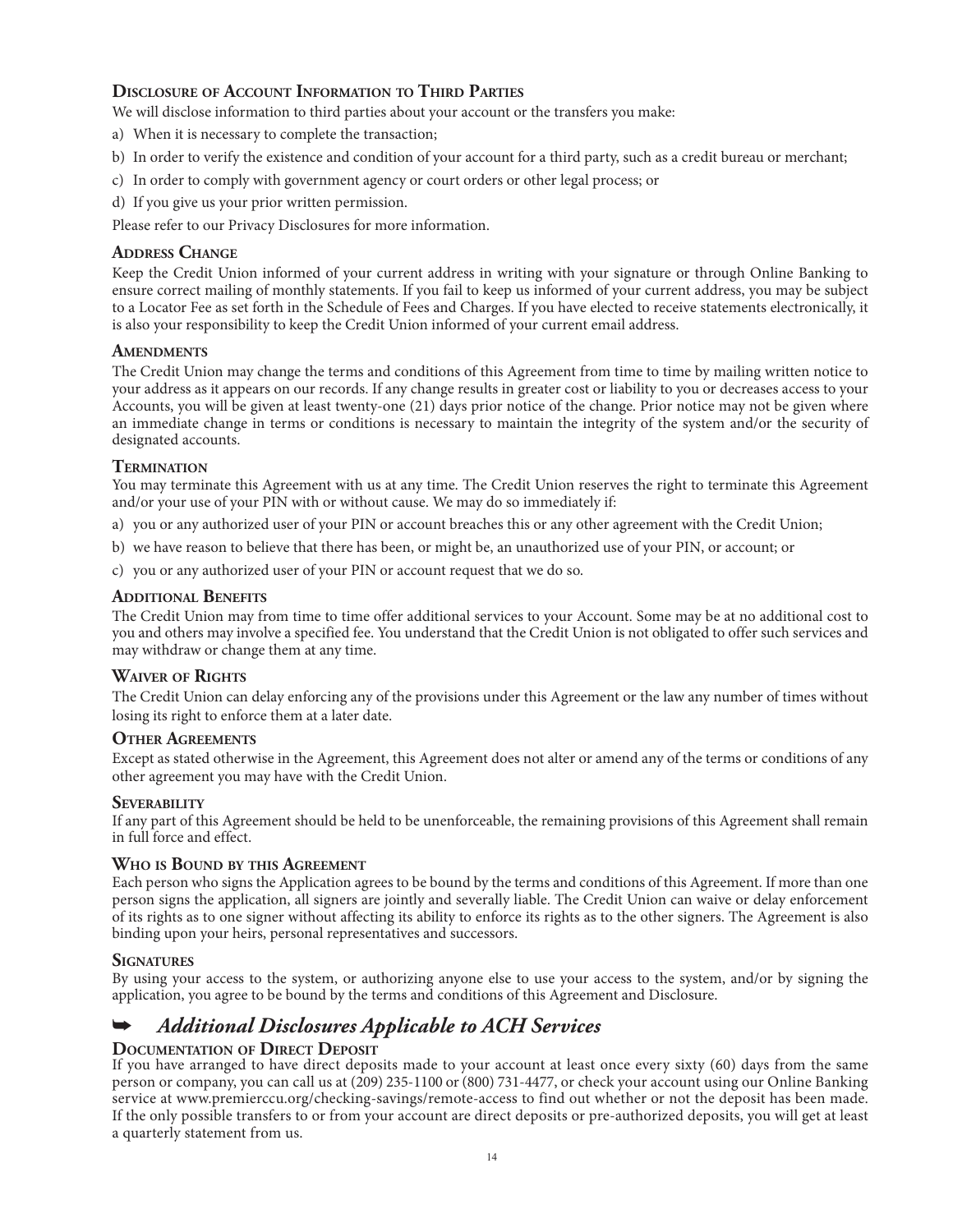### **Disclosure of Account Information to Third Parties**

We will disclose information to third parties about your account or the transfers you make:

- a) When it is necessary to complete the transaction;
- b) In order to verify the existence and condition of your account for a third party, such as a credit bureau or merchant;
- c) In order to comply with government agency or court orders or other legal process; or
- d) If you give us your prior written permission.

Please refer to our Privacy Disclosures for more information.

#### **Address Change**

Keep the Credit Union informed of your current address in writing with your signature or through Online Banking to ensure correct mailing of monthly statements. If you fail to keep us informed of your current address, you may be subject to a Locator Fee as set forth in the Schedule of Fees and Charges. If you have elected to receive statements electronically, it is also your responsibility to keep the Credit Union informed of your current email address.

#### **Amendments**

The Credit Union may change the terms and conditions of this Agreement from time to time by mailing written notice to your address as it appears on our records. If any change results in greater cost or liability to you or decreases access to your Accounts, you will be given at least twenty-one (21) days prior notice of the change. Prior notice may not be given where an immediate change in terms or conditions is necessary to maintain the integrity of the system and/or the security of designated accounts.

#### **Termination**

You may terminate this Agreement with us at any time. The Credit Union reserves the right to terminate this Agreement and/or your use of your PIN with or without cause. We may do so immediately if:

- a) you or any authorized user of your PIN or account breaches this or any other agreement with the Credit Union;
- b) we have reason to believe that there has been, or might be, an unauthorized use of your PIN, or account; or
- c) you or any authorized user of your PIN or account request that we do so.

#### **Additional Benefits**

The Credit Union may from time to time offer additional services to your Account. Some may be at no additional cost to you and others may involve a specified fee. You understand that the Credit Union is not obligated to offer such services and may withdraw or change them at any time.

#### **Waiver of Rights**

The Credit Union can delay enforcing any of the provisions under this Agreement or the law any number of times without losing its right to enforce them at a later date.

#### **Other Agreements**

Except as stated otherwise in the Agreement, this Agreement does not alter or amend any of the terms or conditions of any other agreement you may have with the Credit Union.

#### **Severability**

If any part of this Agreement should be held to be unenforceable, the remaining provisions of this Agreement shall remain in full force and effect.

#### **Who is Bound by this Agreement**

Each person who signs the Application agrees to be bound by the terms and conditions of this Agreement. If more than one person signs the application, all signers are jointly and severally liable. The Credit Union can waive or delay enforcement of its rights as to one signer without affecting its ability to enforce its rights as to the other signers. The Agreement is also binding upon your heirs, personal representatives and successors.

#### **Signatures**

By using your access to the system, or authorizing anyone else to use your access to the system, and/or by signing the application, you agree to be bound by the terms and conditions of this Agreement and Disclosure.

## *Additional Disclosures Applicable to ACH Services*

#### **Documentation of Direct Deposit**

If you have arranged to have direct deposits made to your account at least once every sixty (60) days from the same person or company, you can call us at (209) 235-1100 or (800) 731-4477, or check your account using our Online Banking service at www.premierccu.org/checking-savings/remote-access to find out whether or not the deposit has been made. If the only possible transfers to or from your account are direct deposits or pre-authorized deposits, you will get at least a quarterly statement from us.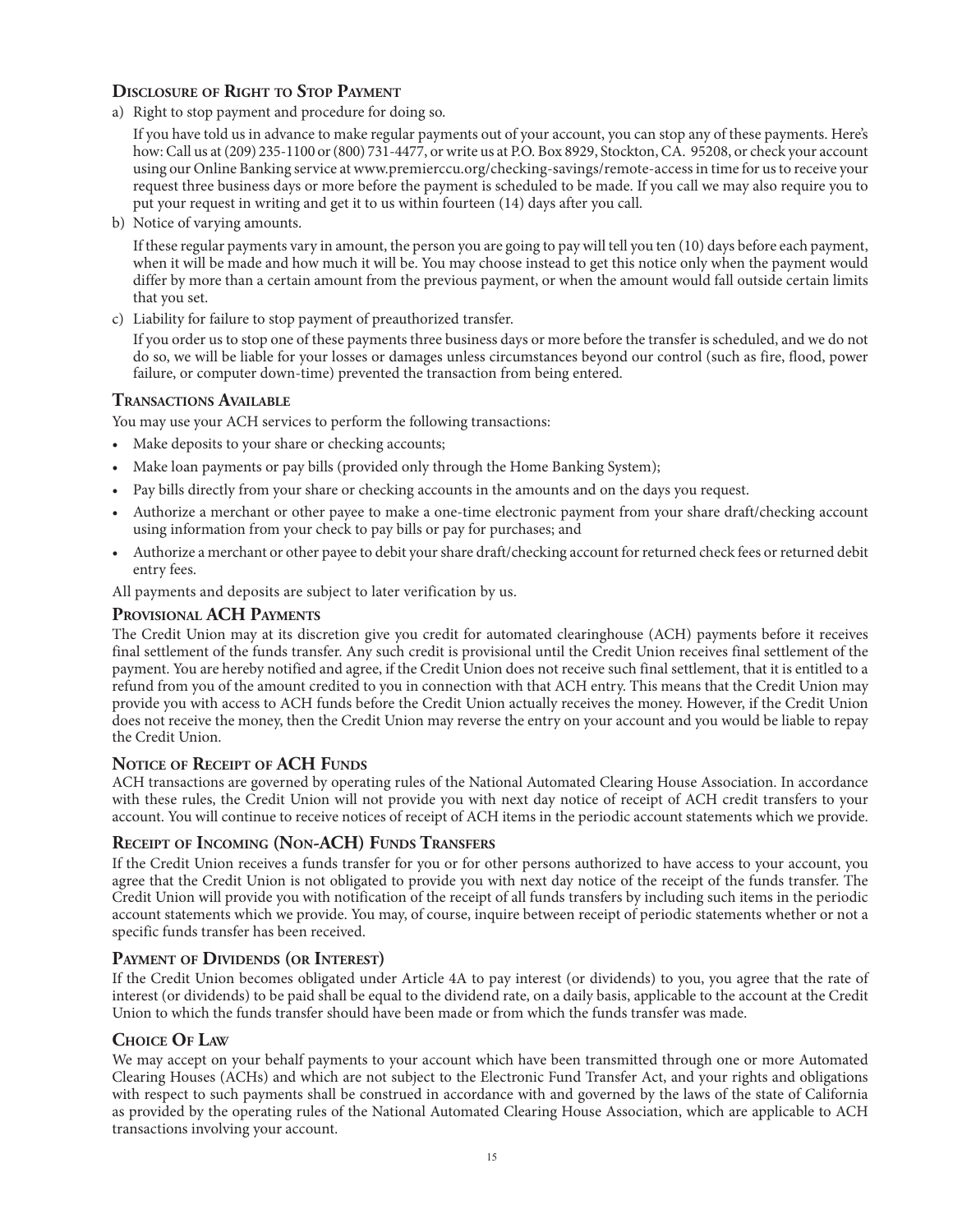### **Disclosure of Right to Stop Payment**

a) Right to stop payment and procedure for doing so.

If you have told us in advance to make regular payments out of your account, you can stop any of these payments. Here's how: Call us at (209) 235-1100 or (800) 731-4477, or write us at P.O. Box 8929, Stockton, CA. 95208, or check your account using our Online Banking service at www.premierccu.org/checking-savings/remote-access in time for us to receive your request three business days or more before the payment is scheduled to be made. If you call we may also require you to put your request in writing and get it to us within fourteen (14) days after you call.

b) Notice of varying amounts.

If these regular payments vary in amount, the person you are going to pay will tell you ten (10) days before each payment, when it will be made and how much it will be. You may choose instead to get this notice only when the payment would differ by more than a certain amount from the previous payment, or when the amount would fall outside certain limits that you set.

c) Liability for failure to stop payment of preauthorized transfer.

If you order us to stop one of these payments three business days or more before the transfer is scheduled, and we do not do so, we will be liable for your losses or damages unless circumstances beyond our control (such as fire, flood, power failure, or computer down-time) prevented the transaction from being entered.

### **Transactions Available**

You may use your ACH services to perform the following transactions:

- Make deposits to your share or checking accounts;
- Make loan payments or pay bills (provided only through the Home Banking System);
- Pay bills directly from your share or checking accounts in the amounts and on the days you request.
- Authorize a merchant or other payee to make a one-time electronic payment from your share draft/checking account using information from your check to pay bills or pay for purchases; and
- Authorize a merchant or other payee to debit your share draft/checking account for returned check fees or returned debit entry fees.

All payments and deposits are subject to later verification by us.

#### **Provisional ACH Payments**

The Credit Union may at its discretion give you credit for automated clearinghouse (ACH) payments before it receives final settlement of the funds transfer. Any such credit is provisional until the Credit Union receives final settlement of the payment. You are hereby notified and agree, if the Credit Union does not receive such final settlement, that it is entitled to a refund from you of the amount credited to you in connection with that ACH entry. This means that the Credit Union may provide you with access to ACH funds before the Credit Union actually receives the money. However, if the Credit Union does not receive the money, then the Credit Union may reverse the entry on your account and you would be liable to repay the Credit Union.

#### **Notice of Receipt of ACH Funds**

ACH transactions are governed by operating rules of the National Automated Clearing House Association. In accordance with these rules, the Credit Union will not provide you with next day notice of receipt of ACH credit transfers to your account. You will continue to receive notices of receipt of ACH items in the periodic account statements which we provide.

#### **Receipt of Incoming (Non-ACH) Funds Transfers**

If the Credit Union receives a funds transfer for you or for other persons authorized to have access to your account, you agree that the Credit Union is not obligated to provide you with next day notice of the receipt of the funds transfer. The Credit Union will provide you with notification of the receipt of all funds transfers by including such items in the periodic account statements which we provide. You may, of course, inquire between receipt of periodic statements whether or not a specific funds transfer has been received.

#### **Payment of Dividends (or Interest)**

If the Credit Union becomes obligated under Article 4A to pay interest (or dividends) to you, you agree that the rate of interest (or dividends) to be paid shall be equal to the dividend rate, on a daily basis, applicable to the account at the Credit Union to which the funds transfer should have been made or from which the funds transfer was made.

#### **Choice Of Law**

We may accept on your behalf payments to your account which have been transmitted through one or more Automated Clearing Houses (ACHs) and which are not subject to the Electronic Fund Transfer Act, and your rights and obligations with respect to such payments shall be construed in accordance with and governed by the laws of the state of California as provided by the operating rules of the National Automated Clearing House Association, which are applicable to ACH transactions involving your account.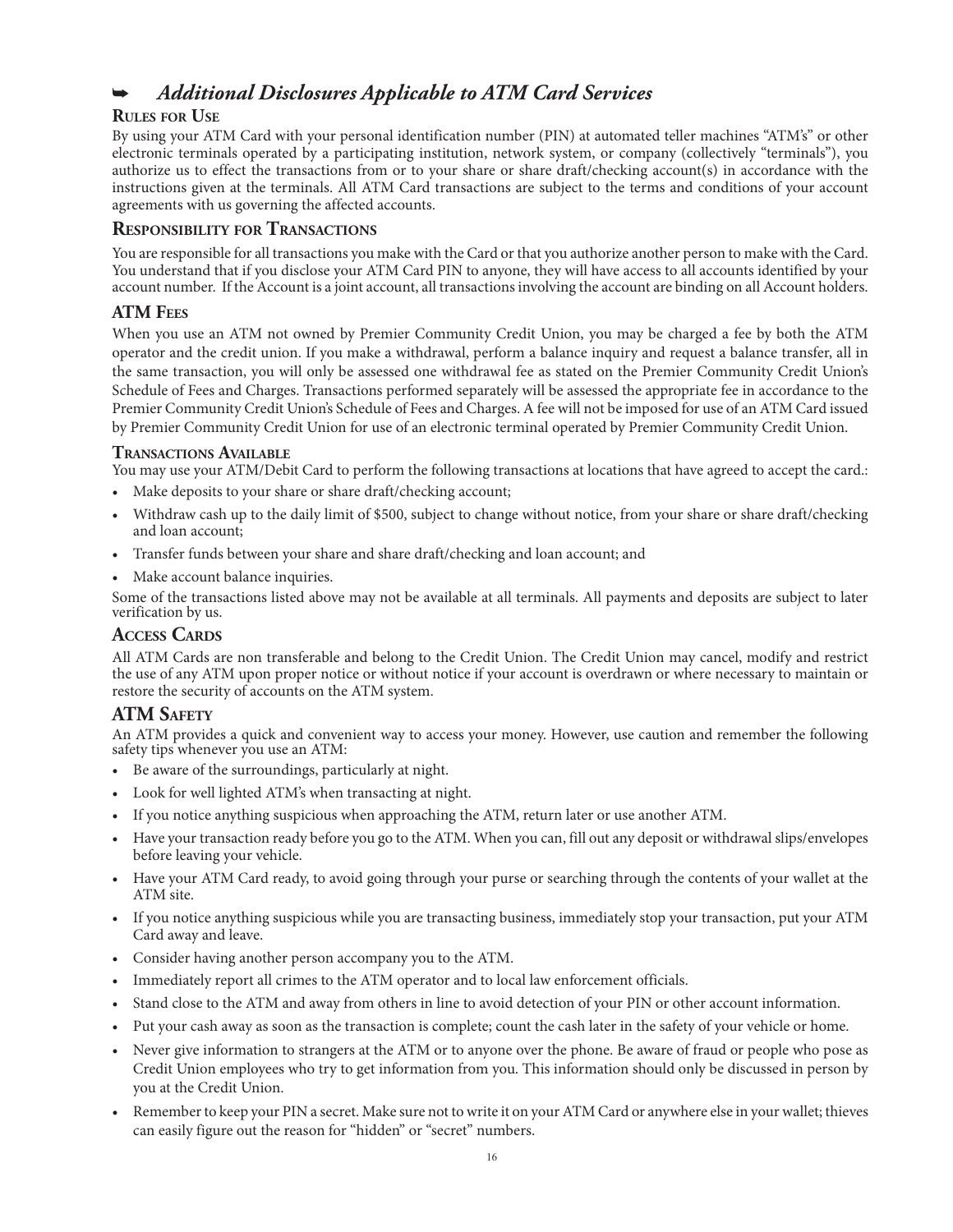## *Additional Disclosures Applicable to ATM Card Services*

### **Rules for Use**

By using your ATM Card with your personal identification number (PIN) at automated teller machines "ATM's" or other electronic terminals operated by a participating institution, network system, or company (collectively "terminals"), you authorize us to effect the transactions from or to your share or share draft/checking account(s) in accordance with the instructions given at the terminals. All ATM Card transactions are subject to the terms and conditions of your account agreements with us governing the affected accounts.

### **Responsibility for Transactions**

You are responsible for all transactions you make with the Card or that you authorize another person to make with the Card. You understand that if you disclose your ATM Card PIN to anyone, they will have access to all accounts identified by your account number. If the Account is a joint account, all transactions involving the account are binding on all Account holders.

### **ATM Fees**

When you use an ATM not owned by Premier Community Credit Union, you may be charged a fee by both the ATM operator and the credit union. If you make a withdrawal, perform a balance inquiry and request a balance transfer, all in the same transaction, you will only be assessed one withdrawal fee as stated on the Premier Community Credit Union's Schedule of Fees and Charges. Transactions performed separately will be assessed the appropriate fee in accordance to the Premier Community Credit Union's Schedule of Fees and Charges. A fee will not be imposed for use of an ATM Card issued by Premier Community Credit Union for use of an electronic terminal operated by Premier Community Credit Union.

#### **Transactions Available**

You may use your ATM/Debit Card to perform the following transactions at locations that have agreed to accept the card.:

- Make deposits to your share or share draft/checking account;
- Withdraw cash up to the daily limit of \$500, subject to change without notice, from your share or share draft/checking and loan account;
- Transfer funds between your share and share draft/checking and loan account; and
- Make account balance inquiries.

Some of the transactions listed above may not be available at all terminals. All payments and deposits are subject to later verification by us.

#### **Access Cards**

All ATM Cards are non transferable and belong to the Credit Union. The Credit Union may cancel, modify and restrict the use of any ATM upon proper notice or without notice if your account is overdrawn or where necessary to maintain or restore the security of accounts on the ATM system.

#### **ATM Safety**

An ATM provides a quick and convenient way to access your money. However, use caution and remember the following safety tips whenever you use an ATM:

- Be aware of the surroundings, particularly at night.
- Look for well lighted ATM's when transacting at night.
- If you notice anything suspicious when approaching the ATM, return later or use another ATM.
- Have your transaction ready before you go to the ATM. When you can, fill out any deposit or withdrawal slips/envelopes before leaving your vehicle.
- Have your ATM Card ready, to avoid going through your purse or searching through the contents of your wallet at the ATM site.
- If you notice anything suspicious while you are transacting business, immediately stop your transaction, put your ATM Card away and leave.
- Consider having another person accompany you to the ATM.
- Immediately report all crimes to the ATM operator and to local law enforcement officials.
- Stand close to the ATM and away from others in line to avoid detection of your PIN or other account information.
- Put your cash away as soon as the transaction is complete; count the cash later in the safety of your vehicle or home.
- Never give information to strangers at the ATM or to anyone over the phone. Be aware of fraud or people who pose as Credit Union employees who try to get information from you. This information should only be discussed in person by you at the Credit Union.
- Remember to keep your PIN a secret. Make sure not to write it on your ATM Card or anywhere else in your wallet; thieves can easily figure out the reason for "hidden" or "secret" numbers.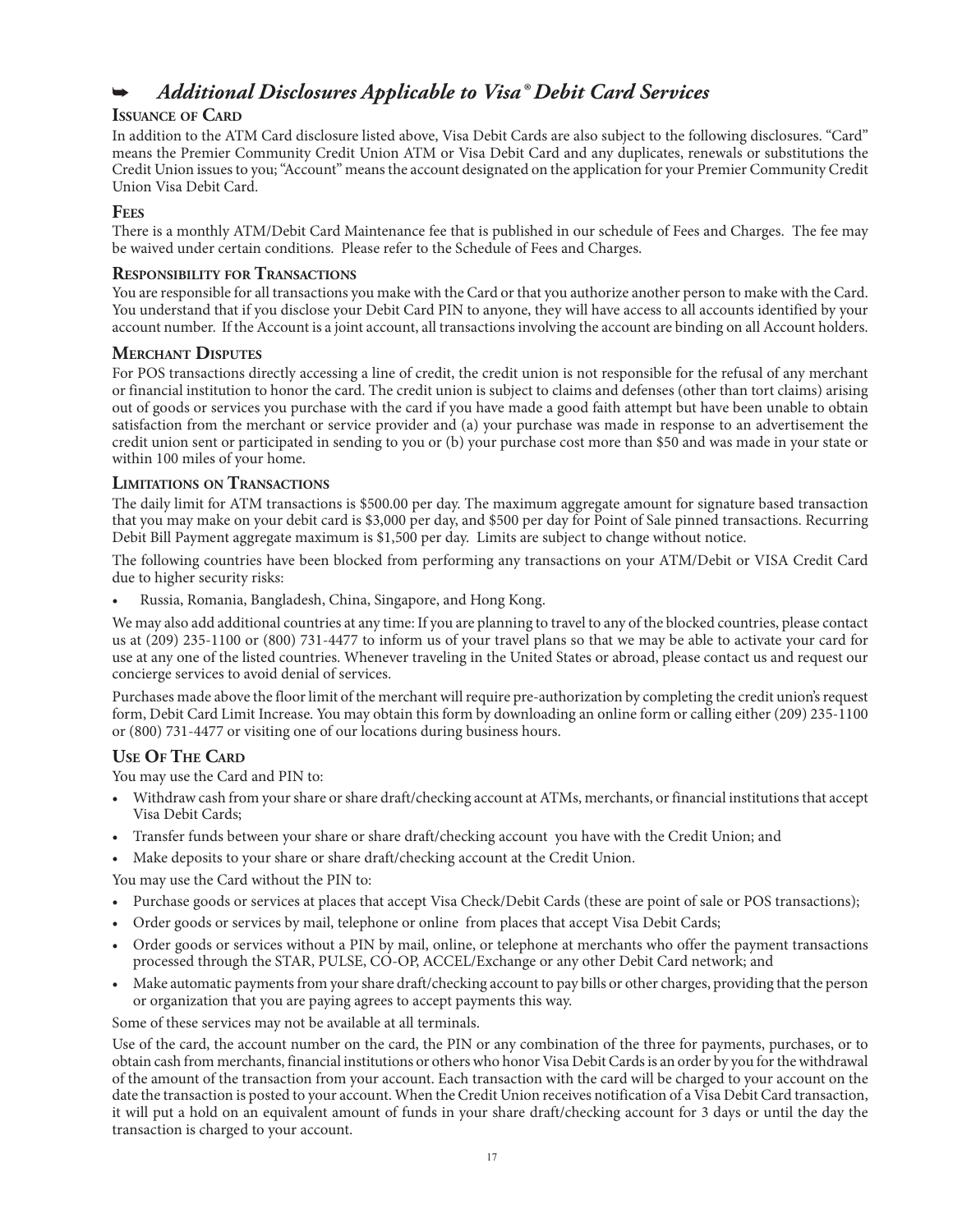## *Additional Disclosures Applicable to Visa® Debit Card Services*

#### **Issuance of Card**

In addition to the ATM Card disclosure listed above, Visa Debit Cards are also subject to the following disclosures. "Card" means the Premier Community Credit Union ATM or Visa Debit Card and any duplicates, renewals or substitutions the Credit Union issues to you; "Account" means the account designated on the application for your Premier Community Credit Union Visa Debit Card.

#### **Fees**

There is a monthly ATM/Debit Card Maintenance fee that is published in our schedule of Fees and Charges. The fee may be waived under certain conditions. Please refer to the Schedule of Fees and Charges.

#### **Responsibility for Transactions**

You are responsible for all transactions you make with the Card or that you authorize another person to make with the Card. You understand that if you disclose your Debit Card PIN to anyone, they will have access to all accounts identified by your account number. If the Account is a joint account, all transactions involving the account are binding on all Account holders.

#### **Merchant Disputes**

For POS transactions directly accessing a line of credit, the credit union is not responsible for the refusal of any merchant or financial institution to honor the card. The credit union is subject to claims and defenses (other than tort claims) arising out of goods or services you purchase with the card if you have made a good faith attempt but have been unable to obtain satisfaction from the merchant or service provider and (a) your purchase was made in response to an advertisement the credit union sent or participated in sending to you or (b) your purchase cost more than \$50 and was made in your state or within 100 miles of your home.

#### **Limitations on Transactions**

The daily limit for ATM transactions is \$500.00 per day. The maximum aggregate amount for signature based transaction that you may make on your debit card is \$3,000 per day, and \$500 per day for Point of Sale pinned transactions. Recurring Debit Bill Payment aggregate maximum is \$1,500 per day. Limits are subject to change without notice.

The following countries have been blocked from performing any transactions on your ATM/Debit or VISA Credit Card due to higher security risks:

• Russia, Romania, Bangladesh, China, Singapore, and Hong Kong.

We may also add additional countries at any time: If you are planning to travel to any of the blocked countries, please contact us at (209) 235-1100 or (800) 731-4477 to inform us of your travel plans so that we may be able to activate your card for use at any one of the listed countries. Whenever traveling in the United States or abroad, please contact us and request our concierge services to avoid denial of services.

Purchases made above the floor limit of the merchant will require pre-authorization by completing the credit union's request form, Debit Card Limit Increase. You may obtain this form by downloading an online form or calling either (209) 235-1100 or (800) 731-4477 or visiting one of our locations during business hours.

## **Use Of The Card**

You may use the Card and PIN to:

- Withdraw cash from your share or share draft/checking account at ATMs, merchants, or financial institutions that accept Visa Debit Cards;
- Transfer funds between your share or share draft/checking account you have with the Credit Union; and
- Make deposits to your share or share draft/checking account at the Credit Union.

You may use the Card without the PIN to:

- Purchase goods or services at places that accept Visa Check/Debit Cards (these are point of sale or POS transactions);
- Order goods or services by mail, telephone or online from places that accept Visa Debit Cards;
- Order goods or services without a PIN by mail, online, or telephone at merchants who offer the payment transactions processed through the STAR, PULSE, CO-OP, ACCEL/Exchange or any other Debit Card network; and
- Make automatic payments from your share draft/checking account to pay bills or other charges, providing that the person or organization that you are paying agrees to accept payments this way.

Some of these services may not be available at all terminals.

Use of the card, the account number on the card, the PIN or any combination of the three for payments, purchases, or to obtain cash from merchants, financial institutions or others who honor Visa Debit Cards is an order by you for the withdrawal of the amount of the transaction from your account. Each transaction with the card will be charged to your account on the date the transaction is posted to your account. When the Credit Union receives notification of a Visa Debit Card transaction, it will put a hold on an equivalent amount of funds in your share draft/checking account for 3 days or until the day the transaction is charged to your account.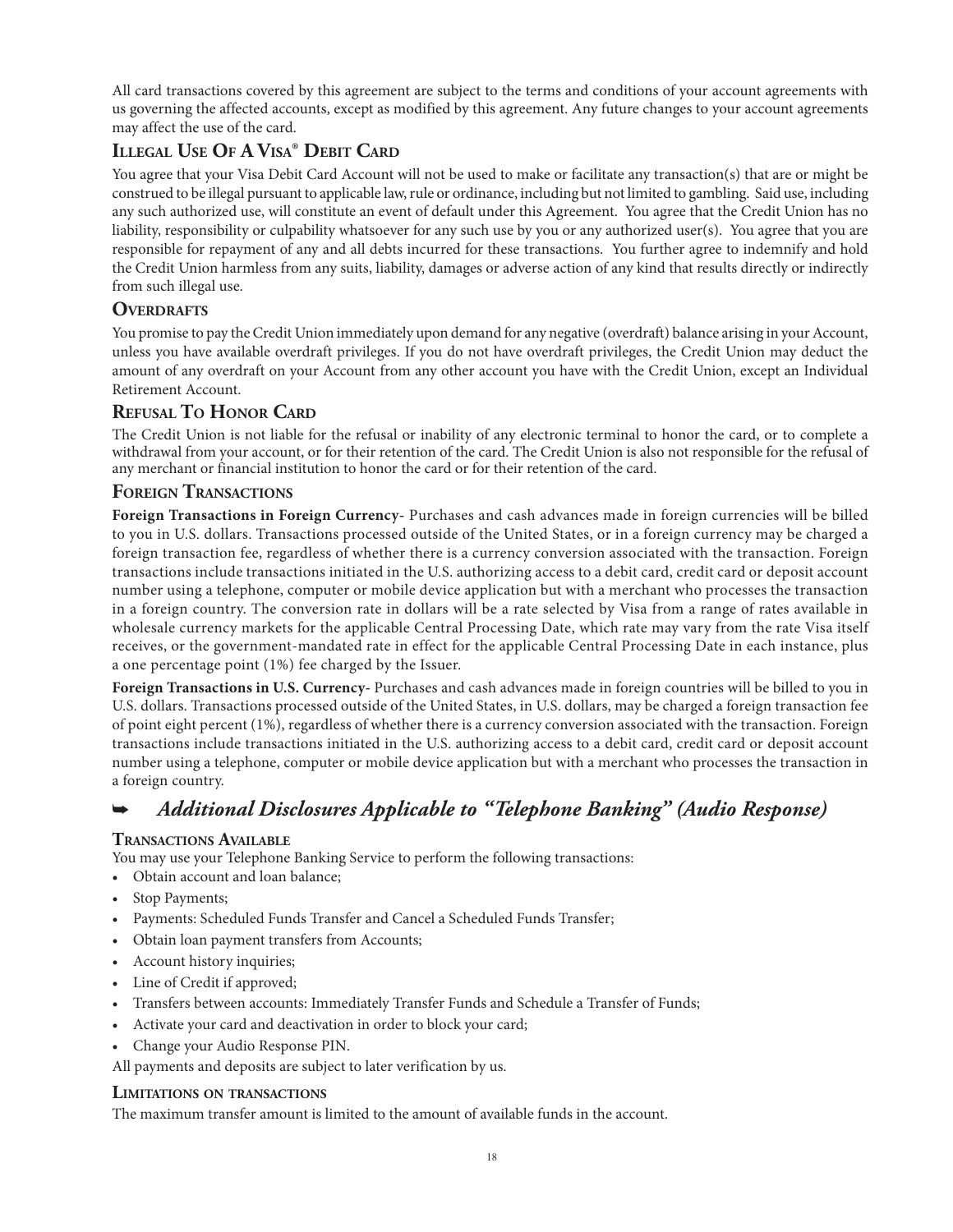All card transactions covered by this agreement are subject to the terms and conditions of your account agreements with us governing the affected accounts, except as modified by this agreement. Any future changes to your account agreements may affect the use of the card.

## **Illegal Use Of A Visa® Debit Card**

You agree that your Visa Debit Card Account will not be used to make or facilitate any transaction(s) that are or might be construed to be illegal pursuant to applicable law, rule or ordinance, including but not limited to gambling. Said use, including any such authorized use, will constitute an event of default under this Agreement. You agree that the Credit Union has no liability, responsibility or culpability whatsoever for any such use by you or any authorized user(s). You agree that you are responsible for repayment of any and all debts incurred for these transactions. You further agree to indemnify and hold the Credit Union harmless from any suits, liability, damages or adverse action of any kind that results directly or indirectly from such illegal use.

## **OVERDRAFTS**

You promise to pay the Credit Union immediately upon demand for any negative (overdraft) balance arising in your Account, unless you have available overdraft privileges. If you do not have overdraft privileges, the Credit Union may deduct the amount of any overdraft on your Account from any other account you have with the Credit Union, except an Individual Retirement Account.

## **Refusal To Honor Card**

The Credit Union is not liable for the refusal or inability of any electronic terminal to honor the card, or to complete a withdrawal from your account, or for their retention of the card. The Credit Union is also not responsible for the refusal of any merchant or financial institution to honor the card or for their retention of the card.

## **Foreign Transactions**

**Foreign Transactions in Foreign Currency-** Purchases and cash advances made in foreign currencies will be billed to you in U.S. dollars. Transactions processed outside of the United States, or in a foreign currency may be charged a foreign transaction fee, regardless of whether there is a currency conversion associated with the transaction. Foreign transactions include transactions initiated in the U.S. authorizing access to a debit card, credit card or deposit account number using a telephone, computer or mobile device application but with a merchant who processes the transaction in a foreign country. The conversion rate in dollars will be a rate selected by Visa from a range of rates available in wholesale currency markets for the applicable Central Processing Date, which rate may vary from the rate Visa itself receives, or the government-mandated rate in effect for the applicable Central Processing Date in each instance, plus a one percentage point (1%) fee charged by the Issuer.

**Foreign Transactions in U.S. Currency-** Purchases and cash advances made in foreign countries will be billed to you in U.S. dollars. Transactions processed outside of the United States, in U.S. dollars, may be charged a foreign transaction fee of point eight percent (1%), regardless of whether there is a currency conversion associated with the transaction. Foreign transactions include transactions initiated in the U.S. authorizing access to a debit card, credit card or deposit account number using a telephone, computer or mobile device application but with a merchant who processes the transaction in a foreign country.

## *Additional Disclosures Applicable to "Telephone Banking" (Audio Response)*

## **Transactions Available**

You may use your Telephone Banking Service to perform the following transactions:

- Obtain account and loan balance;
- Stop Payments;
- Payments: Scheduled Funds Transfer and Cancel a Scheduled Funds Transfer;
- Obtain loan payment transfers from Accounts;
- Account history inquiries;
- Line of Credit if approved;
- Transfers between accounts: Immediately Transfer Funds and Schedule a Transfer of Funds;
- Activate your card and deactivation in order to block your card;
- Change your Audio Response PIN.

All payments and deposits are subject to later verification by us.

#### **Limitations on transactions**

The maximum transfer amount is limited to the amount of available funds in the account.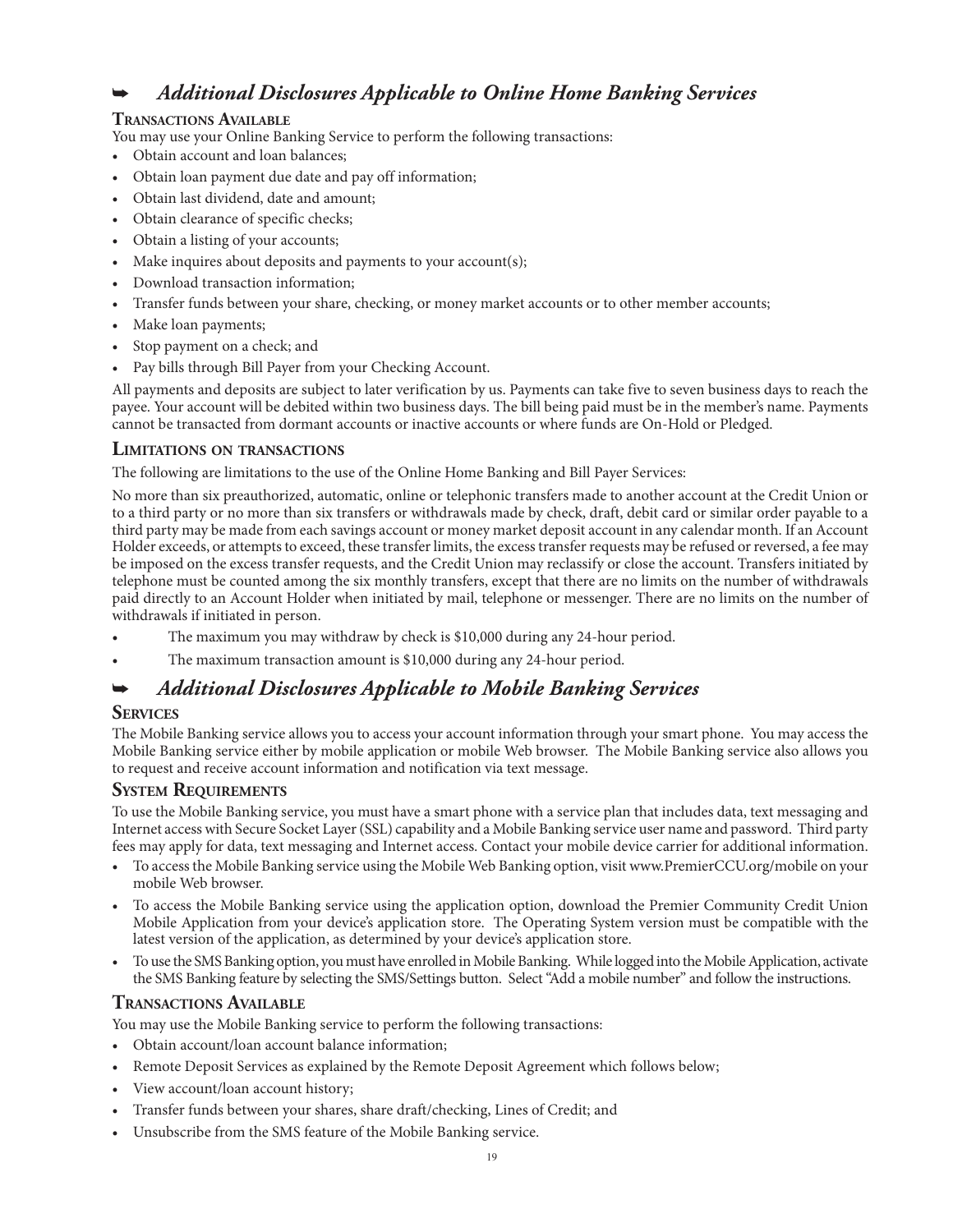## *Additional Disclosures Applicable to Online Home Banking Services*

### **Transactions Available**

You may use your Online Banking Service to perform the following transactions:

- Obtain account and loan balances;
- Obtain loan payment due date and pay off information;
- Obtain last dividend, date and amount;
- Obtain clearance of specific checks;
- Obtain a listing of your accounts;
- Make inquires about deposits and payments to your account(s);
- Download transaction information;
- Transfer funds between your share, checking, or money market accounts or to other member accounts;
- Make loan payments;
- Stop payment on a check; and
- Pay bills through Bill Payer from your Checking Account.

All payments and deposits are subject to later verification by us. Payments can take five to seven business days to reach the payee. Your account will be debited within two business days. The bill being paid must be in the member's name. Payments cannot be transacted from dormant accounts or inactive accounts or where funds are On-Hold or Pledged.

#### **Limitations on transactions**

The following are limitations to the use of the Online Home Banking and Bill Payer Services:

No more than six preauthorized, automatic, online or telephonic transfers made to another account at the Credit Union or to a third party or no more than six transfers or withdrawals made by check, draft, debit card or similar order payable to a third party may be made from each savings account or money market deposit account in any calendar month. If an Account Holder exceeds, or attempts to exceed, these transfer limits, the excess transfer requests may be refused or reversed, a fee may be imposed on the excess transfer requests, and the Credit Union may reclassify or close the account. Transfers initiated by telephone must be counted among the six monthly transfers, except that there are no limits on the number of withdrawals paid directly to an Account Holder when initiated by mail, telephone or messenger. There are no limits on the number of withdrawals if initiated in person.

- The maximum you may withdraw by check is \$10,000 during any 24-hour period.
- The maximum transaction amount is \$10,000 during any 24-hour period.

## *Additional Disclosures Applicable to Mobile Banking Services*

#### **Services**

The Mobile Banking service allows you to access your account information through your smart phone. You may access the Mobile Banking service either by mobile application or mobile Web browser. The Mobile Banking service also allows you to request and receive account information and notification via text message.

#### **System Requirements**

To use the Mobile Banking service, you must have a smart phone with a service plan that includes data, text messaging and Internet access with Secure Socket Layer (SSL) capability and a Mobile Banking service user name and password. Third party fees may apply for data, text messaging and Internet access. Contact your mobile device carrier for additional information.

- To access the Mobile Banking service using the Mobile Web Banking option, visit www.PremierCCU.org/mobile on your mobile Web browser.
- To access the Mobile Banking service using the application option, download the Premier Community Credit Union Mobile Application from your device's application store. The Operating System version must be compatible with the latest version of the application, as determined by your device's application store.
- To use the SMS Banking option, you must have enrolled in Mobile Banking. While logged into the Mobile Application, activate the SMS Banking feature by selecting the SMS/Settings button. Select "Add a mobile number" and follow the instructions.

#### **Transactions Available**

You may use the Mobile Banking service to perform the following transactions:

- Obtain account/loan account balance information;
- Remote Deposit Services as explained by the Remote Deposit Agreement which follows below;
- View account/loan account history;
- Transfer funds between your shares, share draft/checking, Lines of Credit; and
- Unsubscribe from the SMS feature of the Mobile Banking service.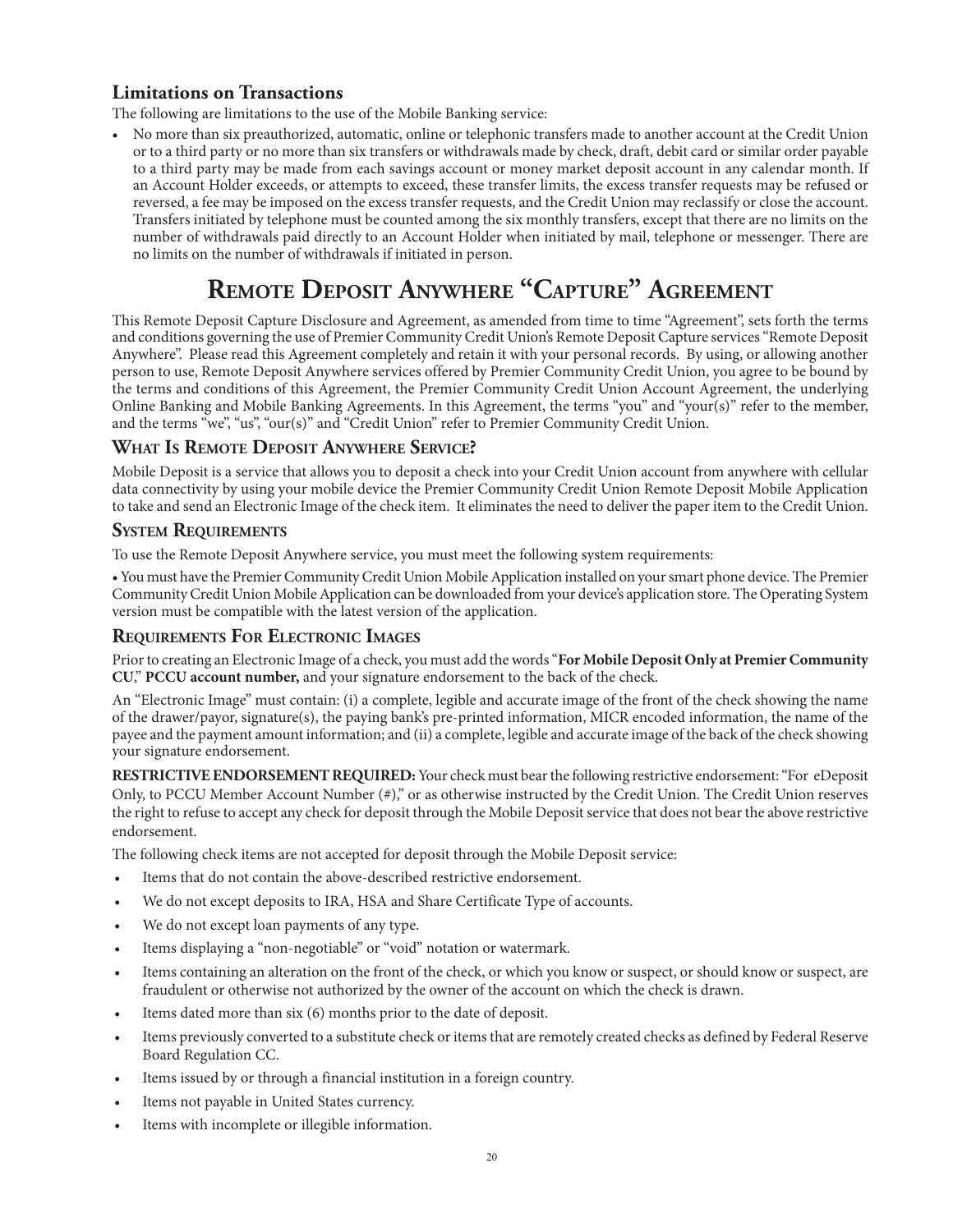## **Limitations on Transactions**

The following are limitations to the use of the Mobile Banking service:

• No more than six preauthorized, automatic, online or telephonic transfers made to another account at the Credit Union or to a third party or no more than six transfers or withdrawals made by check, draft, debit card or similar order payable to a third party may be made from each savings account or money market deposit account in any calendar month. If an Account Holder exceeds, or attempts to exceed, these transfer limits, the excess transfer requests may be refused or reversed, a fee may be imposed on the excess transfer requests, and the Credit Union may reclassify or close the account. Transfers initiated by telephone must be counted among the six monthly transfers, except that there are no limits on the number of withdrawals paid directly to an Account Holder when initiated by mail, telephone or messenger. There are no limits on the number of withdrawals if initiated in person.

# **Remote Deposit Anywhere "Capture" Agreement**

This Remote Deposit Capture Disclosure and Agreement, as amended from time to time "Agreement", sets forth the terms and conditions governing the use of Premier Community Credit Union's Remote Deposit Capture services "Remote Deposit Anywhere". Please read this Agreement completely and retain it with your personal records. By using, or allowing another person to use, Remote Deposit Anywhere services offered by Premier Community Credit Union, you agree to be bound by the terms and conditions of this Agreement, the Premier Community Credit Union Account Agreement, the underlying Online Banking and Mobile Banking Agreements. In this Agreement, the terms "you" and "your(s)" refer to the member, and the terms "we", "us", "our(s)" and "Credit Union" refer to Premier Community Credit Union.

## **What Is Remote Deposit Anywhere Service?**

Mobile Deposit is a service that allows you to deposit a check into your Credit Union account from anywhere with cellular data connectivity by using your mobile device the Premier Community Credit Union Remote Deposit Mobile Application to take and send an Electronic Image of the check item. It eliminates the need to deliver the paper item to the Credit Union.

## **System Requirements**

To use the Remote Deposit Anywhere service, you must meet the following system requirements:

• You must have the Premier Community Credit Union Mobile Application installed on your smart phone device. The Premier Community Credit Union Mobile Application can be downloaded from your device's application store. The Operating System version must be compatible with the latest version of the application.

## **Requirements For Electronic Images**

Prior to creating an Electronic Image of a check, you must add the words "**For Mobile Deposit Only at Premier Community CU**," **PCCU account number,** and your signature endorsement to the back of the check.

An "Electronic Image" must contain: (i) a complete, legible and accurate image of the front of the check showing the name of the drawer/payor, signature(s), the paying bank's pre-printed information, MICR encoded information, the name of the payee and the payment amount information; and (ii) a complete, legible and accurate image of the back of the check showing your signature endorsement.

**RESTRICTIVE ENDORSEMENT REQUIRED:** Your check must bear the following restrictive endorsement: "For eDeposit Only, to PCCU Member Account Number (#)," or as otherwise instructed by the Credit Union. The Credit Union reserves the right to refuse to accept any check for deposit through the Mobile Deposit service that does not bear the above restrictive endorsement.

The following check items are not accepted for deposit through the Mobile Deposit service:

- Items that do not contain the above-described restrictive endorsement.
- We do not except deposits to IRA, HSA and Share Certificate Type of accounts.
- We do not except loan payments of any type.
- Items displaying a "non-negotiable" or "void" notation or watermark.
- Items containing an alteration on the front of the check, or which you know or suspect, or should know or suspect, are fraudulent or otherwise not authorized by the owner of the account on which the check is drawn.
- Items dated more than six (6) months prior to the date of deposit.
- Items previously converted to a substitute check or items that are remotely created checks as defined by Federal Reserve Board Regulation CC.
- Items issued by or through a financial institution in a foreign country.
- Items not payable in United States currency.
- Items with incomplete or illegible information.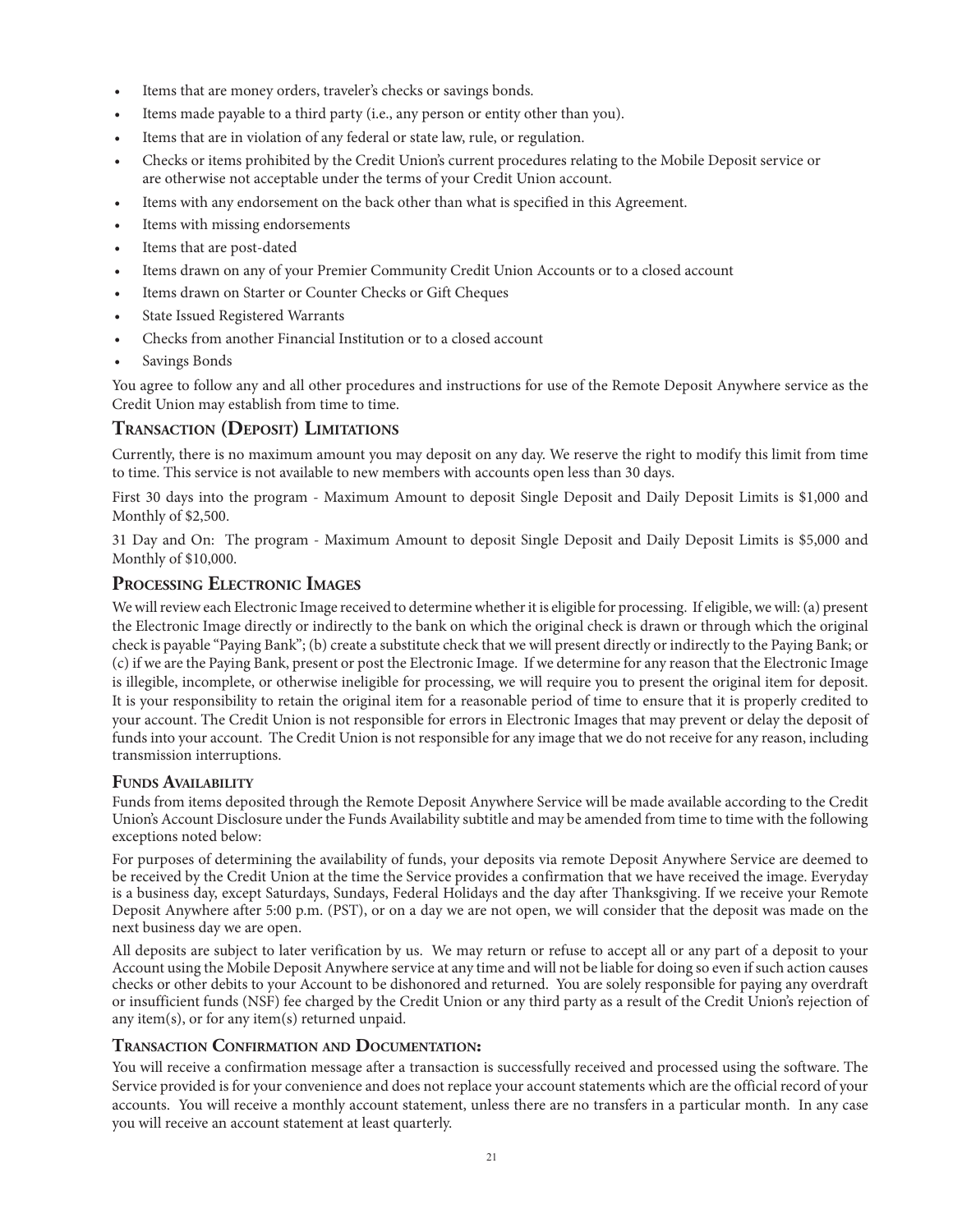- Items that are money orders, traveler's checks or savings bonds.
- Items made payable to a third party (i.e., any person or entity other than you).
- Items that are in violation of any federal or state law, rule, or regulation.
- Checks or items prohibited by the Credit Union's current procedures relating to the Mobile Deposit service or are otherwise not acceptable under the terms of your Credit Union account.
- Items with any endorsement on the back other than what is specified in this Agreement.
- Items with missing endorsements
- Items that are post-dated
- Items drawn on any of your Premier Community Credit Union Accounts or to a closed account
- Items drawn on Starter or Counter Checks or Gift Cheques
- State Issued Registered Warrants
- Checks from another Financial Institution or to a closed account
- Savings Bonds

You agree to follow any and all other procedures and instructions for use of the Remote Deposit Anywhere service as the Credit Union may establish from time to time.

### **Transaction (Deposit) Limitations**

Currently, there is no maximum amount you may deposit on any day. We reserve the right to modify this limit from time to time. This service is not available to new members with accounts open less than 30 days.

First 30 days into the program - Maximum Amount to deposit Single Deposit and Daily Deposit Limits is \$1,000 and Monthly of \$2,500.

31 Day and On: The program - Maximum Amount to deposit Single Deposit and Daily Deposit Limits is \$5,000 and Monthly of \$10,000.

### **Processing Electronic Images**

We will review each Electronic Image received to determine whether it is eligible for processing. If eligible, we will: (a) present the Electronic Image directly or indirectly to the bank on which the original check is drawn or through which the original check is payable "Paying Bank"; (b) create a substitute check that we will present directly or indirectly to the Paying Bank; or (c) if we are the Paying Bank, present or post the Electronic Image. If we determine for any reason that the Electronic Image is illegible, incomplete, or otherwise ineligible for processing, we will require you to present the original item for deposit. It is your responsibility to retain the original item for a reasonable period of time to ensure that it is properly credited to your account. The Credit Union is not responsible for errors in Electronic Images that may prevent or delay the deposit of funds into your account. The Credit Union is not responsible for any image that we do not receive for any reason, including transmission interruptions.

#### **Funds Availability**

Funds from items deposited through the Remote Deposit Anywhere Service will be made available according to the Credit Union's Account Disclosure under the Funds Availability subtitle and may be amended from time to time with the following exceptions noted below:

For purposes of determining the availability of funds, your deposits via remote Deposit Anywhere Service are deemed to be received by the Credit Union at the time the Service provides a confirmation that we have received the image. Everyday is a business day, except Saturdays, Sundays, Federal Holidays and the day after Thanksgiving. If we receive your Remote Deposit Anywhere after 5:00 p.m. (PST), or on a day we are not open, we will consider that the deposit was made on the next business day we are open.

All deposits are subject to later verification by us. We may return or refuse to accept all or any part of a deposit to your Account using the Mobile Deposit Anywhere service at any time and will not be liable for doing so even if such action causes checks or other debits to your Account to be dishonored and returned. You are solely responsible for paying any overdraft or insufficient funds (NSF) fee charged by the Credit Union or any third party as a result of the Credit Union's rejection of any item(s), or for any item(s) returned unpaid.

#### **Transaction Confirmation and Documentation:**

You will receive a confirmation message after a transaction is successfully received and processed using the software. The Service provided is for your convenience and does not replace your account statements which are the official record of your accounts. You will receive a monthly account statement, unless there are no transfers in a particular month. In any case you will receive an account statement at least quarterly.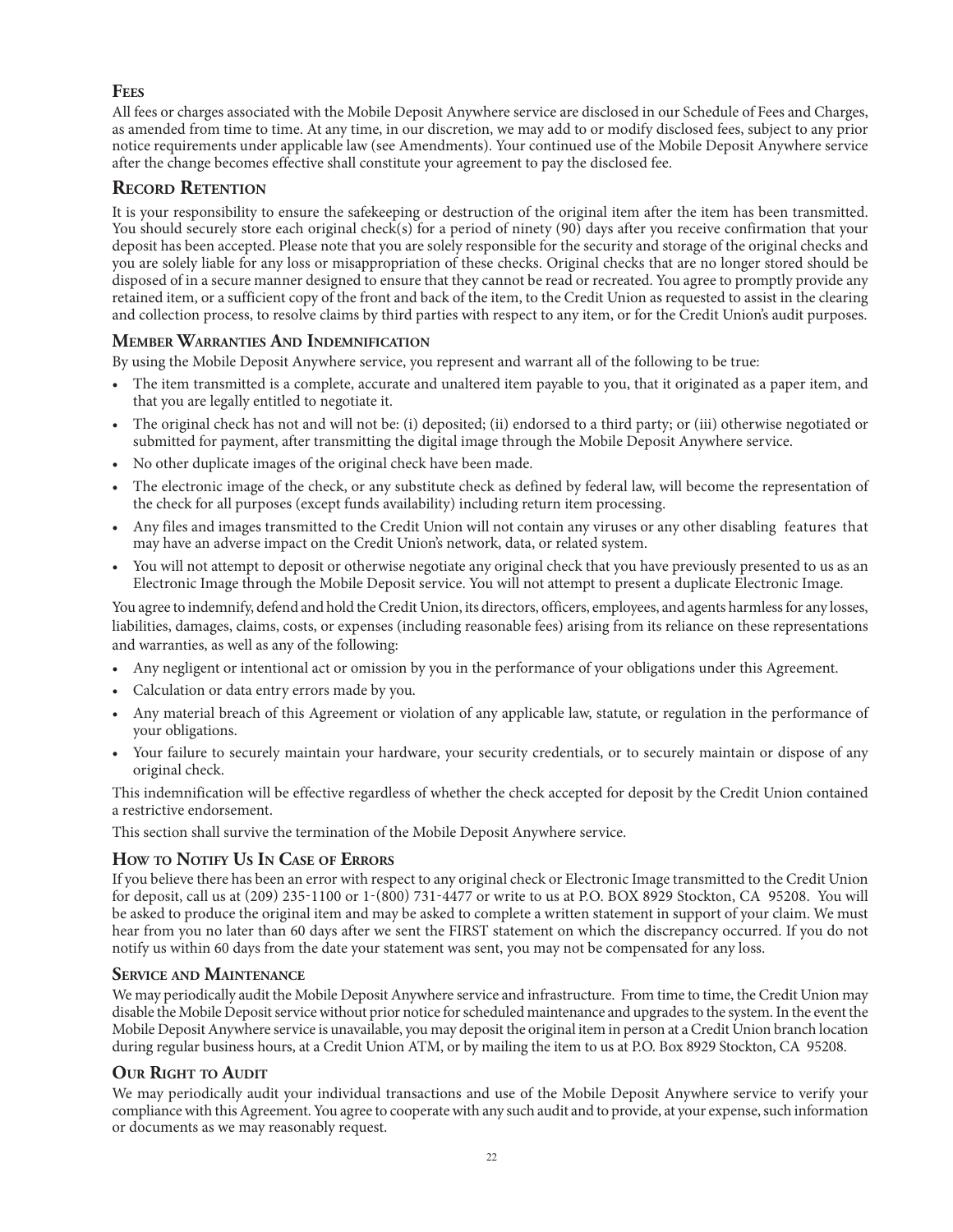## **Fees**

All fees or charges associated with the Mobile Deposit Anywhere service are disclosed in our Schedule of Fees and Charges, as amended from time to time. At any time, in our discretion, we may add to or modify disclosed fees, subject to any prior notice requirements under applicable law (see Amendments). Your continued use of the Mobile Deposit Anywhere service after the change becomes effective shall constitute your agreement to pay the disclosed fee.

## **Record Retention**

It is your responsibility to ensure the safekeeping or destruction of the original item after the item has been transmitted. You should securely store each original check(s) for a period of ninety (90) days after you receive confirmation that your deposit has been accepted. Please note that you are solely responsible for the security and storage of the original checks and you are solely liable for any loss or misappropriation of these checks. Original checks that are no longer stored should be disposed of in a secure manner designed to ensure that they cannot be read or recreated. You agree to promptly provide any retained item, or a sufficient copy of the front and back of the item, to the Credit Union as requested to assist in the clearing and collection process, to resolve claims by third parties with respect to any item, or for the Credit Union's audit purposes.

## **Member Warranties And Indemnification**

By using the Mobile Deposit Anywhere service, you represent and warrant all of the following to be true:

- The item transmitted is a complete, accurate and unaltered item payable to you, that it originated as a paper item, and that you are legally entitled to negotiate it.
- The original check has not and will not be: (i) deposited; (ii) endorsed to a third party; or (iii) otherwise negotiated or submitted for payment, after transmitting the digital image through the Mobile Deposit Anywhere service.
- No other duplicate images of the original check have been made.
- The electronic image of the check, or any substitute check as defined by federal law, will become the representation of the check for all purposes (except funds availability) including return item processing.
- Any files and images transmitted to the Credit Union will not contain any viruses or any other disabling features that may have an adverse impact on the Credit Union's network, data, or related system.
- You will not attempt to deposit or otherwise negotiate any original check that you have previously presented to us as an Electronic Image through the Mobile Deposit service. You will not attempt to present a duplicate Electronic Image.

You agree to indemnify, defend and hold the Credit Union, its directors, officers, employees, and agents harmless for any losses, liabilities, damages, claims, costs, or expenses (including reasonable fees) arising from its reliance on these representations and warranties, as well as any of the following:

- Any negligent or intentional act or omission by you in the performance of your obligations under this Agreement.
- Calculation or data entry errors made by you.
- Any material breach of this Agreement or violation of any applicable law, statute, or regulation in the performance of your obligations.
- Your failure to securely maintain your hardware, your security credentials, or to securely maintain or dispose of any original check.

This indemnification will be effective regardless of whether the check accepted for deposit by the Credit Union contained a restrictive endorsement.

This section shall survive the termination of the Mobile Deposit Anywhere service.

#### **How to Notify Us In Case of Errors**

If you believe there has been an error with respect to any original check or Electronic Image transmitted to the Credit Union for deposit, call us at (209) 235-1100 or 1-(800) 731-4477 or write to us at P.O. BOX 8929 Stockton, CA 95208. You will be asked to produce the original item and may be asked to complete a written statement in support of your claim. We must hear from you no later than 60 days after we sent the FIRST statement on which the discrepancy occurred. If you do not notify us within 60 days from the date your statement was sent, you may not be compensated for any loss.

#### **Service and Maintenance**

We may periodically audit the Mobile Deposit Anywhere service and infrastructure. From time to time, the Credit Union may disable the Mobile Deposit service without prior notice for scheduled maintenance and upgrades to the system. In the event the Mobile Deposit Anywhere service is unavailable, you may deposit the original item in person at a Credit Union branch location during regular business hours, at a Credit Union ATM, or by mailing the item to us at P.O. Box 8929 Stockton, CA 95208.

#### **Our Right to Audit**

We may periodically audit your individual transactions and use of the Mobile Deposit Anywhere service to verify your compliance with this Agreement. You agree to cooperate with any such audit and to provide, at your expense, such information or documents as we may reasonably request.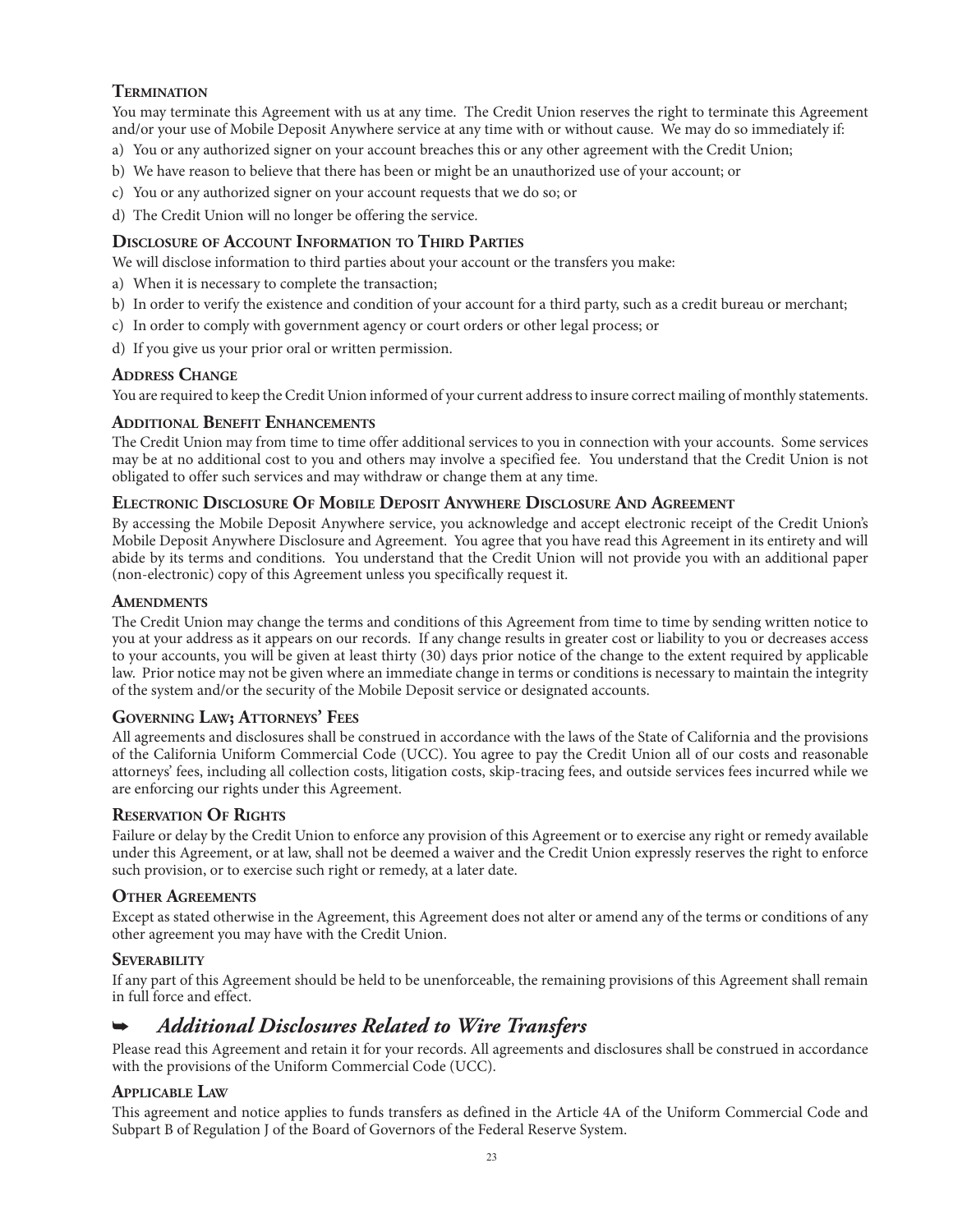## **Termination**

You may terminate this Agreement with us at any time. The Credit Union reserves the right to terminate this Agreement and/or your use of Mobile Deposit Anywhere service at any time with or without cause. We may do so immediately if:

- a) You or any authorized signer on your account breaches this or any other agreement with the Credit Union;
- b) We have reason to believe that there has been or might be an unauthorized use of your account; or
- c) You or any authorized signer on your account requests that we do so; or
- d) The Credit Union will no longer be offering the service.

### **Disclosure of Account Information to Third Parties**

We will disclose information to third parties about your account or the transfers you make:

- a) When it is necessary to complete the transaction;
- b) In order to verify the existence and condition of your account for a third party, such as a credit bureau or merchant;
- c) In order to comply with government agency or court orders or other legal process; or
- d) If you give us your prior oral or written permission.

#### **Address Change**

You are required to keep the Credit Union informed of your current address to insure correct mailing of monthly statements.

#### **Additional Benefit Enhancements**

The Credit Union may from time to time offer additional services to you in connection with your accounts. Some services may be at no additional cost to you and others may involve a specified fee. You understand that the Credit Union is not obligated to offer such services and may withdraw or change them at any time.

#### **Electronic Disclosure Of Mobile Deposit Anywhere Disclosure And Agreement**

By accessing the Mobile Deposit Anywhere service, you acknowledge and accept electronic receipt of the Credit Union's Mobile Deposit Anywhere Disclosure and Agreement. You agree that you have read this Agreement in its entirety and will abide by its terms and conditions. You understand that the Credit Union will not provide you with an additional paper (non-electronic) copy of this Agreement unless you specifically request it.

#### **Amendments**

The Credit Union may change the terms and conditions of this Agreement from time to time by sending written notice to you at your address as it appears on our records. If any change results in greater cost or liability to you or decreases access to your accounts, you will be given at least thirty (30) days prior notice of the change to the extent required by applicable law. Prior notice may not be given where an immediate change in terms or conditions is necessary to maintain the integrity of the system and/or the security of the Mobile Deposit service or designated accounts.

#### **Governing Law; Attorneys' Fees**

All agreements and disclosures shall be construed in accordance with the laws of the State of California and the provisions of the California Uniform Commercial Code (UCC). You agree to pay the Credit Union all of our costs and reasonable attorneys' fees, including all collection costs, litigation costs, skip-tracing fees, and outside services fees incurred while we are enforcing our rights under this Agreement.

#### **Reservation Of Rights**

Failure or delay by the Credit Union to enforce any provision of this Agreement or to exercise any right or remedy available under this Agreement, or at law, shall not be deemed a waiver and the Credit Union expressly reserves the right to enforce such provision, or to exercise such right or remedy, at a later date.

#### **Other Agreements**

Except as stated otherwise in the Agreement, this Agreement does not alter or amend any of the terms or conditions of any other agreement you may have with the Credit Union.

#### **Severability**

If any part of this Agreement should be held to be unenforceable, the remaining provisions of this Agreement shall remain in full force and effect.

## *Additional Disclosures Related to Wire Transfers*

Please read this Agreement and retain it for your records. All agreements and disclosures shall be construed in accordance with the provisions of the Uniform Commercial Code (UCC).

#### **Applicable Law**

This agreement and notice applies to funds transfers as defined in the Article 4A of the Uniform Commercial Code and Subpart B of Regulation J of the Board of Governors of the Federal Reserve System.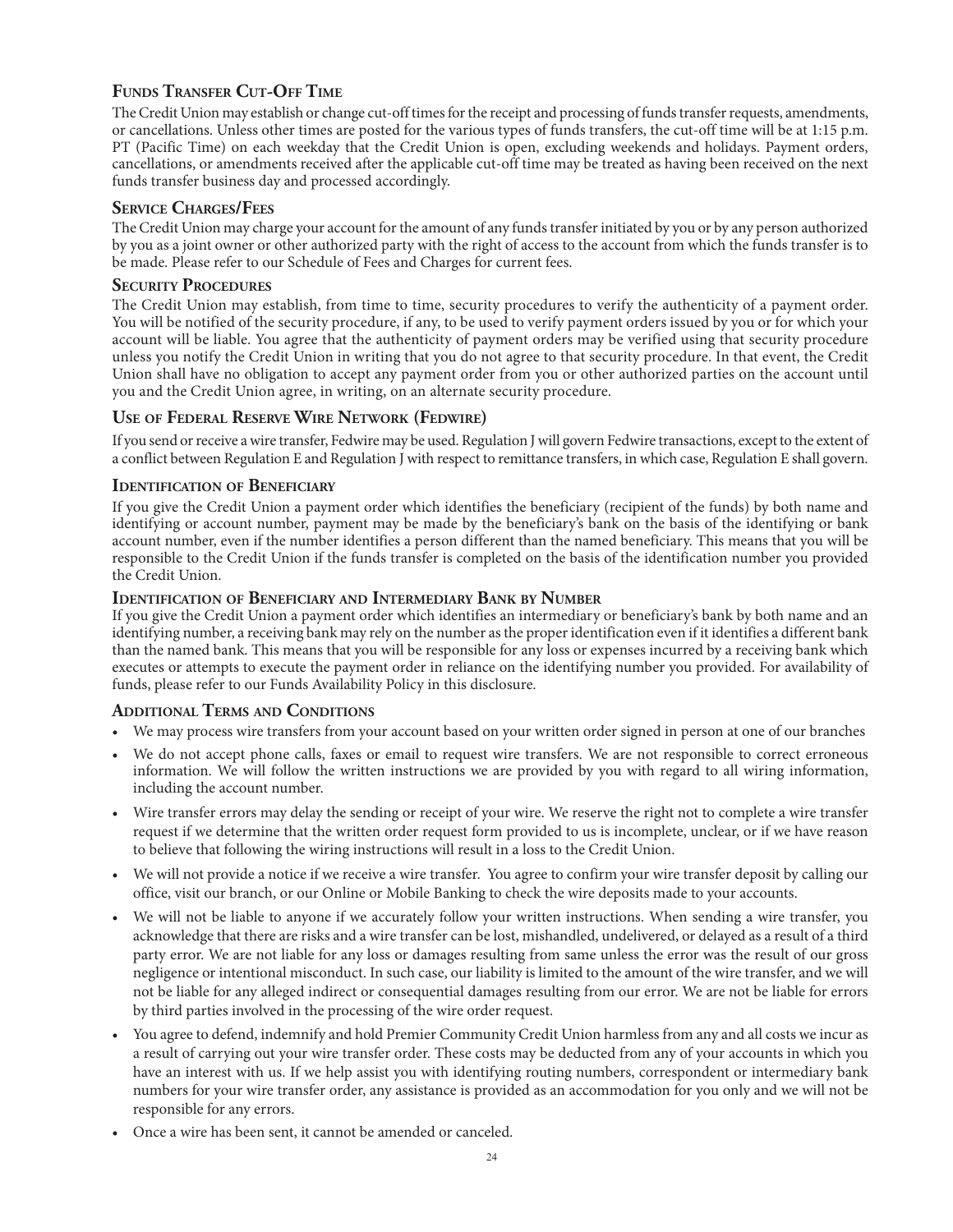## **Funds Transfer Cut-Off Time**

The Credit Union may establish or change cut-off times for the receipt and processing of funds transfer requests, amendments, or cancellations. Unless other times are posted for the various types of funds transfers, the cut-off time will be at 1:15 p.m. PT (Pacific Time) on each weekday that the Credit Union is open, excluding weekends and holidays. Payment orders, cancellations, or amendments received after the applicable cut-off time may be treated as having been received on the next funds transfer business day and processed accordingly.

#### **Service Charges/Fees**

The Credit Union may charge your account for the amount of any funds transfer initiated by you or by any person authorized by you as a joint owner or other authorized party with the right of access to the account from which the funds transfer is to be made. Please refer to our Schedule of Fees and Charges for current fees.

#### **SECURITY PROCEDURES**

The Credit Union may establish, from time to time, security procedures to verify the authenticity of a payment order. You will be notified of the security procedure, if any, to be used to verify payment orders issued by you or for which your account will be liable. You agree that the authenticity of payment orders may be verified using that security procedure unless you notify the Credit Union in writing that you do not agree to that security procedure. In that event, the Credit Union shall have no obligation to accept any payment order from you or other authorized parties on the account until you and the Credit Union agree, in writing, on an alternate security procedure.

#### **Use of Federal Reserve Wire Network (Fedwire)**

If you send or receive a wire transfer, Fedwire may be used. Regulation J will govern Fedwire transactions, except to the extent of a conflict between Regulation E and Regulation J with respect to remittance transfers, in which case, Regulation E shall govern.

#### **Identification of Beneficiary**

If you give the Credit Union a payment order which identifies the beneficiary (recipient of the funds) by both name and identifying or account number, payment may be made by the beneficiary's bank on the basis of the identifying or bank account number, even if the number identifies a person different than the named beneficiary. This means that you will be responsible to the Credit Union if the funds transfer is completed on the basis of the identification number you provided the Credit Union.

#### **Identification of Beneficiary and Intermediary Bank by Number**

If you give the Credit Union a payment order which identifies an intermediary or beneficiary's bank by both name and an identifying number, a receiving bank may rely on the number as the proper identification even if it identifies a different bank than the named bank. This means that you will be responsible for any loss or expenses incurred by a receiving bank which executes or attempts to execute the payment order in reliance on the identifying number you provided. For availability of funds, please refer to our Funds Availability Policy in this disclosure.

#### **Additional Terms and Conditions**

- We may process wire transfers from your account based on your written order signed in person at one of our branches
- We do not accept phone calls, faxes or email to request wire transfers. We are not responsible to correct erroneous information. We will follow the written instructions we are provided by you with regard to all wiring information, including the account number.
- Wire transfer errors may delay the sending or receipt of your wire. We reserve the right not to complete a wire transfer request if we determine that the written order request form provided to us is incomplete, unclear, or if we have reason to believe that following the wiring instructions will result in a loss to the Credit Union.
- We will not provide a notice if we receive a wire transfer. You agree to confirm your wire transfer deposit by calling our office, visit our branch, or our Online or Mobile Banking to check the wire deposits made to your accounts.
- We will not be liable to anyone if we accurately follow your written instructions. When sending a wire transfer, you acknowledge that there are risks and a wire transfer can be lost, mishandled, undelivered, or delayed as a result of a third party error. We are not liable for any loss or damages resulting from same unless the error was the result of our gross negligence or intentional misconduct. In such case, our liability is limited to the amount of the wire transfer, and we will not be liable for any alleged indirect or consequential damages resulting from our error. We are not be liable for errors by third parties involved in the processing of the wire order request.
- You agree to defend, indemnify and hold Premier Community Credit Union harmless from any and all costs we incur as a result of carrying out your wire transfer order. These costs may be deducted from any of your accounts in which you have an interest with us. If we help assist you with identifying routing numbers, correspondent or intermediary bank numbers for your wire transfer order, any assistance is provided as an accommodation for you only and we will not be responsible for any errors.
- Once a wire has been sent, it cannot be amended or canceled.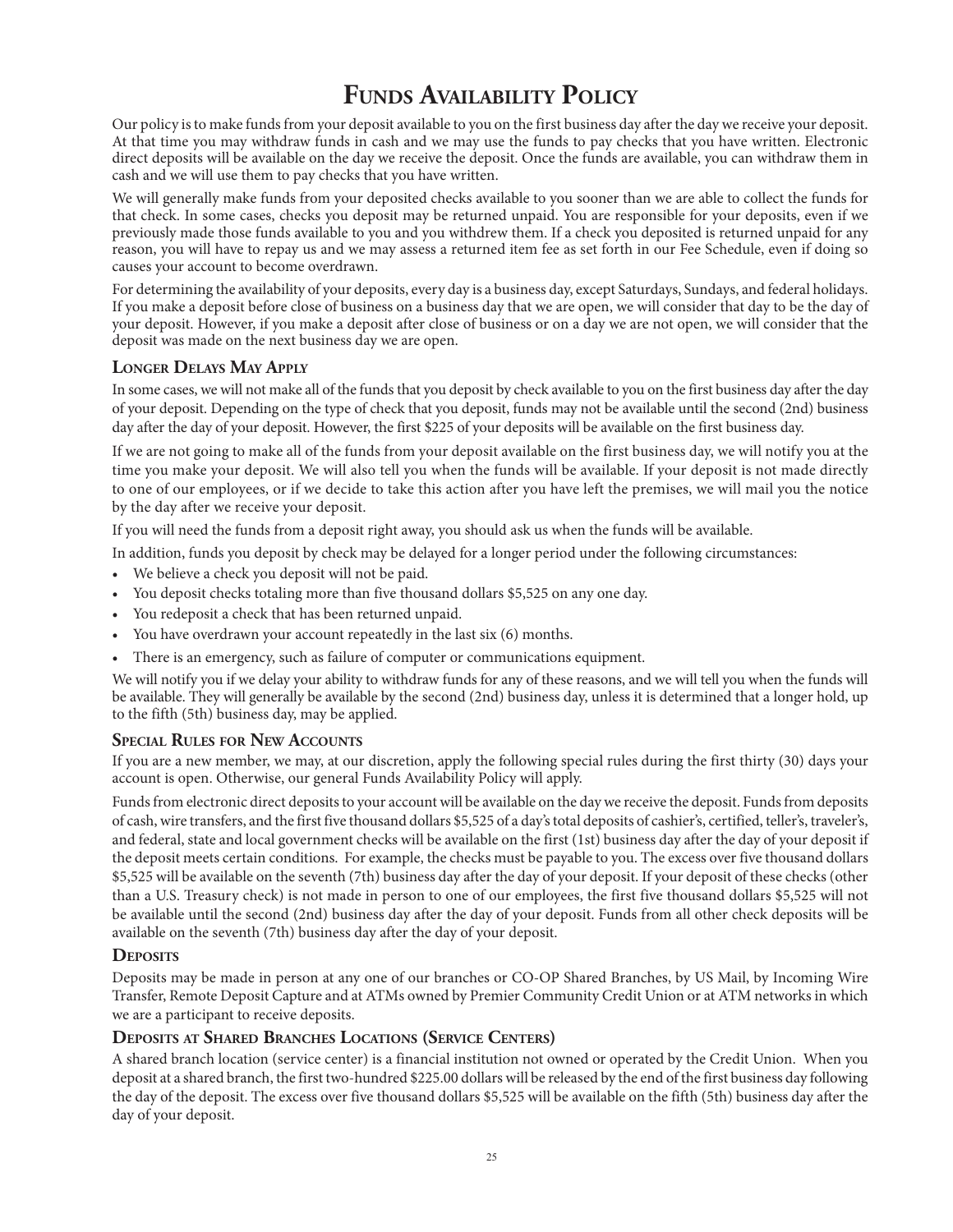# **Funds Availability Policy**

Our policy is to make funds from your deposit available to you on the first business day after the day we receive your deposit. At that time you may withdraw funds in cash and we may use the funds to pay checks that you have written. Electronic direct deposits will be available on the day we receive the deposit. Once the funds are available, you can withdraw them in cash and we will use them to pay checks that you have written.

We will generally make funds from your deposited checks available to you sooner than we are able to collect the funds for that check. In some cases, checks you deposit may be returned unpaid. You are responsible for your deposits, even if we previously made those funds available to you and you withdrew them. If a check you deposited is returned unpaid for any reason, you will have to repay us and we may assess a returned item fee as set forth in our Fee Schedule, even if doing so causes your account to become overdrawn.

For determining the availability of your deposits, every day is a business day, except Saturdays, Sundays, and federal holidays. If you make a deposit before close of business on a business day that we are open, we will consider that day to be the day of your deposit. However, if you make a deposit after close of business or on a day we are not open, we will consider that the deposit was made on the next business day we are open.

#### **Longer Delays May Apply**

In some cases, we will not make all of the funds that you deposit by check available to you on the first business day after the day of your deposit. Depending on the type of check that you deposit, funds may not be available until the second (2nd) business day after the day of your deposit. However, the first \$225 of your deposits will be available on the first business day.

If we are not going to make all of the funds from your deposit available on the first business day, we will notify you at the time you make your deposit. We will also tell you when the funds will be available. If your deposit is not made directly to one of our employees, or if we decide to take this action after you have left the premises, we will mail you the notice by the day after we receive your deposit.

If you will need the funds from a deposit right away, you should ask us when the funds will be available.

In addition, funds you deposit by check may be delayed for a longer period under the following circumstances:

- We believe a check you deposit will not be paid.
- You deposit checks totaling more than five thousand dollars \$5,525 on any one day.
- You redeposit a check that has been returned unpaid.
- You have overdrawn your account repeatedly in the last six (6) months.
- There is an emergency, such as failure of computer or communications equipment.

We will notify you if we delay your ability to withdraw funds for any of these reasons, and we will tell you when the funds will be available. They will generally be available by the second (2nd) business day, unless it is determined that a longer hold, up to the fifth (5th) business day, may be applied.

#### **Special Rules for New Accounts**

If you are a new member, we may, at our discretion, apply the following special rules during the first thirty (30) days your account is open. Otherwise, our general Funds Availability Policy will apply.

Funds from electronic direct deposits to your account will be available on the day we receive the deposit. Funds from deposits of cash, wire transfers, and the first five thousand dollars \$5,525 of a day's total deposits of cashier's, certified, teller's, traveler's, and federal, state and local government checks will be available on the first (1st) business day after the day of your deposit if the deposit meets certain conditions. For example, the checks must be payable to you. The excess over five thousand dollars \$5,525 will be available on the seventh (7th) business day after the day of your deposit. If your deposit of these checks (other than a U.S. Treasury check) is not made in person to one of our employees, the first five thousand dollars \$5,525 will not be available until the second (2nd) business day after the day of your deposit. Funds from all other check deposits will be available on the seventh (7th) business day after the day of your deposit.

#### **Deposits**

Deposits may be made in person at any one of our branches or CO-OP Shared Branches, by US Mail, by Incoming Wire Transfer, Remote Deposit Capture and at ATMs owned by Premier Community Credit Union or at ATM networks in which we are a participant to receive deposits.

#### **Deposits at Shared Branches Locations (Service Centers)**

A shared branch location (service center) is a financial institution not owned or operated by the Credit Union. When you deposit at a shared branch, the first two-hundred \$225.00 dollars will be released by the end of the first business day following the day of the deposit. The excess over five thousand dollars \$5,525 will be available on the fifth (5th) business day after the day of your deposit.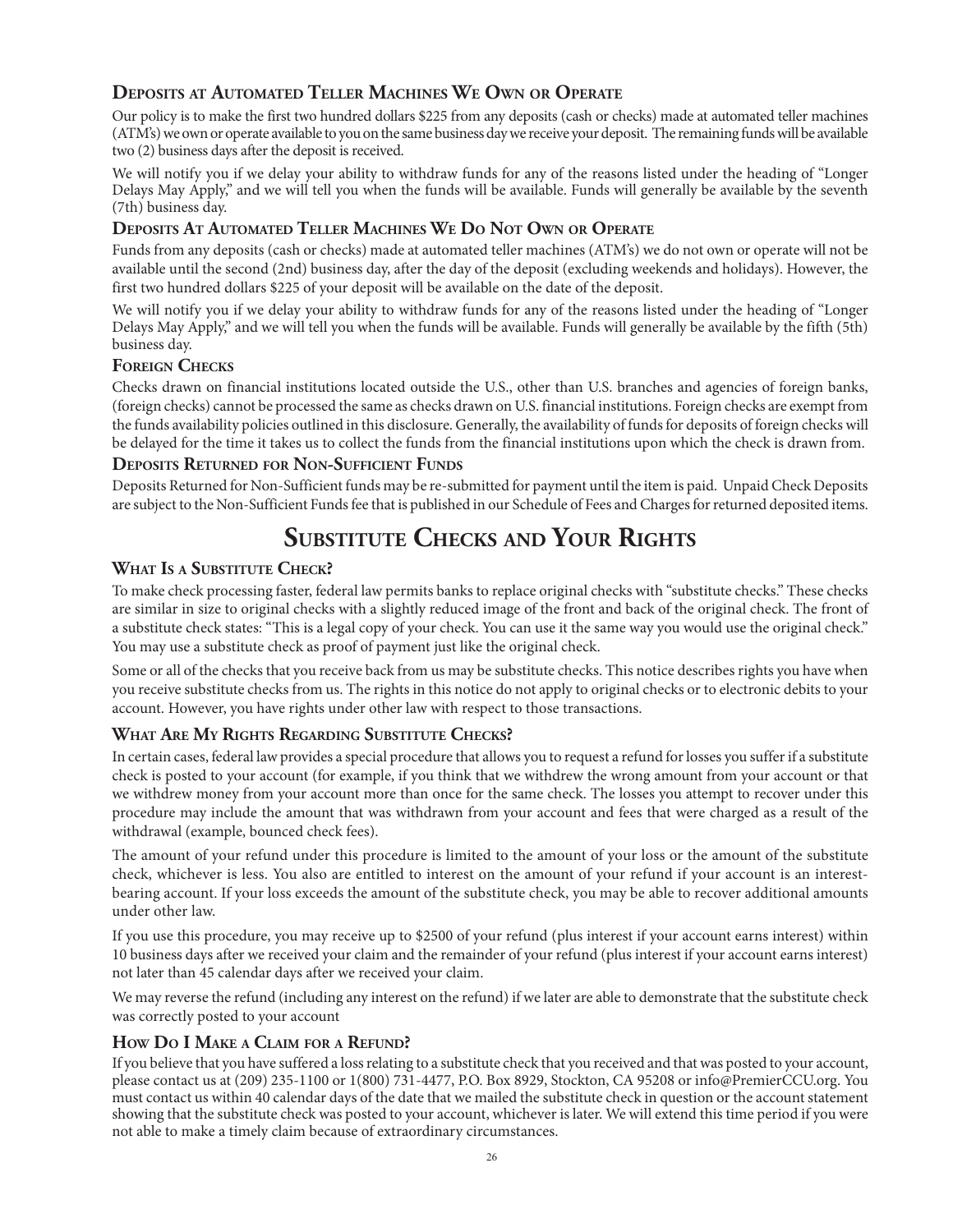## **Deposits at Automated Teller Machines We Own or Operate**

Our policy is to make the first two hundred dollars \$225 from any deposits (cash or checks) made at automated teller machines (ATM's) we own or operate available to you on the same business day we receive your deposit. The remaining funds will be available two (2) business days after the deposit is received.

We will notify you if we delay your ability to withdraw funds for any of the reasons listed under the heading of "Longer Delays May Apply," and we will tell you when the funds will be available. Funds will generally be available by the seventh (7th) business day.

## **Deposits At Automated Teller Machines We Do Not Own or Operate**

Funds from any deposits (cash or checks) made at automated teller machines (ATM's) we do not own or operate will not be available until the second (2nd) business day, after the day of the deposit (excluding weekends and holidays). However, the first two hundred dollars \$225 of your deposit will be available on the date of the deposit.

We will notify you if we delay your ability to withdraw funds for any of the reasons listed under the heading of "Longer Delays May Apply," and we will tell you when the funds will be available. Funds will generally be available by the fifth (5th) business day.

#### **Foreign Checks**

Checks drawn on financial institutions located outside the U.S., other than U.S. branches and agencies of foreign banks, (foreign checks) cannot be processed the same as checks drawn on U.S. financial institutions. Foreign checks are exempt from the funds availability policies outlined in this disclosure. Generally, the availability of funds for deposits of foreign checks will be delayed for the time it takes us to collect the funds from the financial institutions upon which the check is drawn from.

#### **Deposits Returned for Non-Sufficient Funds**

Deposits Returned for Non-Sufficient funds may be re-submitted for payment until the item is paid. Unpaid Check Deposits are subject to the Non-Sufficient Funds fee that is published in our Schedule of Fees and Charges for returned deposited items.

# **Substitute Checks and Your Rights**

## **What Is <sup>a</sup> Substitute Check?**

To make check processing faster, federal law permits banks to replace original checks with "substitute checks." These checks are similar in size to original checks with a slightly reduced image of the front and back of the original check. The front of a substitute check states: "This is a legal copy of your check. You can use it the same way you would use the original check." You may use a substitute check as proof of payment just like the original check.

Some or all of the checks that you receive back from us may be substitute checks. This notice describes rights you have when you receive substitute checks from us. The rights in this notice do not apply to original checks or to electronic debits to your account. However, you have rights under other law with respect to those transactions.

## **What Are My Rights Regarding Substitute Checks?**

In certain cases, federal law provides a special procedure that allows you to request a refund for losses you suffer if a substitute check is posted to your account (for example, if you think that we withdrew the wrong amount from your account or that we withdrew money from your account more than once for the same check. The losses you attempt to recover under this procedure may include the amount that was withdrawn from your account and fees that were charged as a result of the withdrawal (example, bounced check fees).

The amount of your refund under this procedure is limited to the amount of your loss or the amount of the substitute check, whichever is less. You also are entitled to interest on the amount of your refund if your account is an interestbearing account. If your loss exceeds the amount of the substitute check, you may be able to recover additional amounts under other law.

If you use this procedure, you may receive up to \$2500 of your refund (plus interest if your account earns interest) within 10 business days after we received your claim and the remainder of your refund (plus interest if your account earns interest) not later than 45 calendar days after we received your claim.

We may reverse the refund (including any interest on the refund) if we later are able to demonstrate that the substitute check was correctly posted to your account

## **How Do I Make <sup>a</sup> Claim for <sup>a</sup> Refund?**

If you believe that you have suffered a loss relating to a substitute check that you received and that was posted to your account, please contact us at (209) 235-1100 or 1(800) 731-4477, P.O. Box 8929, Stockton, CA 95208 or info@PremierCCU.org. You must contact us within 40 calendar days of the date that we mailed the substitute check in question or the account statement showing that the substitute check was posted to your account, whichever is later. We will extend this time period if you were not able to make a timely claim because of extraordinary circumstances.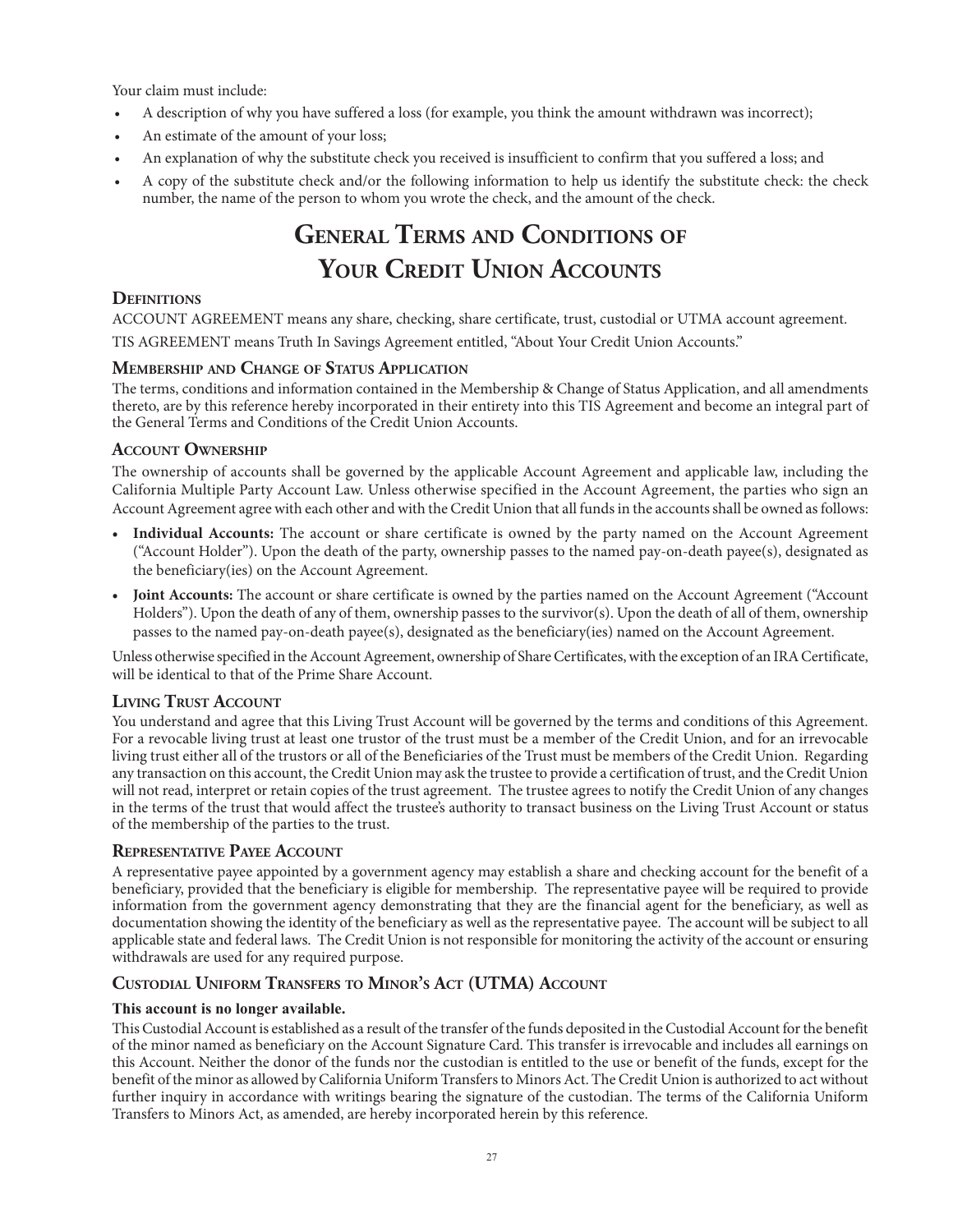Your claim must include:

- A description of why you have suffered a loss (for example, you think the amount withdrawn was incorrect);
- An estimate of the amount of your loss;
- An explanation of why the substitute check you received is insufficient to confirm that you suffered a loss; and
- A copy of the substitute check and/or the following information to help us identify the substitute check: the check number, the name of the person to whom you wrote the check, and the amount of the check.

# **General Terms and Conditions of Your Credit Union Accounts**

#### **Definitions**

ACCOUNT AGREEMENT means any share, checking, share certificate, trust, custodial or UTMA account agreement. TIS AGREEMENT means Truth In Savings Agreement entitled, "About Your Credit Union Accounts."

#### **Membership and Change of Status Application**

The terms, conditions and information contained in the Membership & Change of Status Application, and all amendments thereto, are by this reference hereby incorporated in their entirety into this TIS Agreement and become an integral part of the General Terms and Conditions of the Credit Union Accounts.

#### **Account Ownership**

The ownership of accounts shall be governed by the applicable Account Agreement and applicable law, including the California Multiple Party Account Law. Unless otherwise specified in the Account Agreement, the parties who sign an Account Agreement agree with each other and with the Credit Union that all funds in the accounts shall be owned as follows:

- **• Individual Accounts:** The account or share certificate is owned by the party named on the Account Agreement ("Account Holder"). Upon the death of the party, ownership passes to the named pay-on-death payee(s), designated as the beneficiary(ies) on the Account Agreement.
- **• Joint Accounts:** The account or share certificate is owned by the parties named on the Account Agreement ("Account Holders"). Upon the death of any of them, ownership passes to the survivor(s). Upon the death of all of them, ownership passes to the named pay-on-death payee(s), designated as the beneficiary(ies) named on the Account Agreement.

Unless otherwise specified in the Account Agreement, ownership of Share Certificates, with the exception of an IRA Certificate, will be identical to that of the Prime Share Account.

#### **Living Trust Account**

You understand and agree that this Living Trust Account will be governed by the terms and conditions of this Agreement. For a revocable living trust at least one trustor of the trust must be a member of the Credit Union, and for an irrevocable living trust either all of the trustors or all of the Beneficiaries of the Trust must be members of the Credit Union. Regarding any transaction on this account, the Credit Union may ask the trustee to provide a certification of trust, and the Credit Union will not read, interpret or retain copies of the trust agreement. The trustee agrees to notify the Credit Union of any changes in the terms of the trust that would affect the trustee's authority to transact business on the Living Trust Account or status of the membership of the parties to the trust.

#### **Representative Payee Account**

A representative payee appointed by a government agency may establish a share and checking account for the benefit of a beneficiary, provided that the beneficiary is eligible for membership. The representative payee will be required to provide information from the government agency demonstrating that they are the financial agent for the beneficiary, as well as documentation showing the identity of the beneficiary as well as the representative payee. The account will be subject to all applicable state and federal laws. The Credit Union is not responsible for monitoring the activity of the account or ensuring withdrawals are used for any required purpose.

#### **Custodial Uniform Transfers to Minor's Act (UTMA) Account**

#### **This account is no longer available.**

This Custodial Account is established as a result of the transfer of the funds deposited in the Custodial Account for the benefit of the minor named as beneficiary on the Account Signature Card. This transfer is irrevocable and includes all earnings on this Account. Neither the donor of the funds nor the custodian is entitled to the use or benefit of the funds, except for the benefit of the minor as allowed by California Uniform Transfers to Minors Act. The Credit Union is authorized to act without further inquiry in accordance with writings bearing the signature of the custodian. The terms of the California Uniform Transfers to Minors Act, as amended, are hereby incorporated herein by this reference.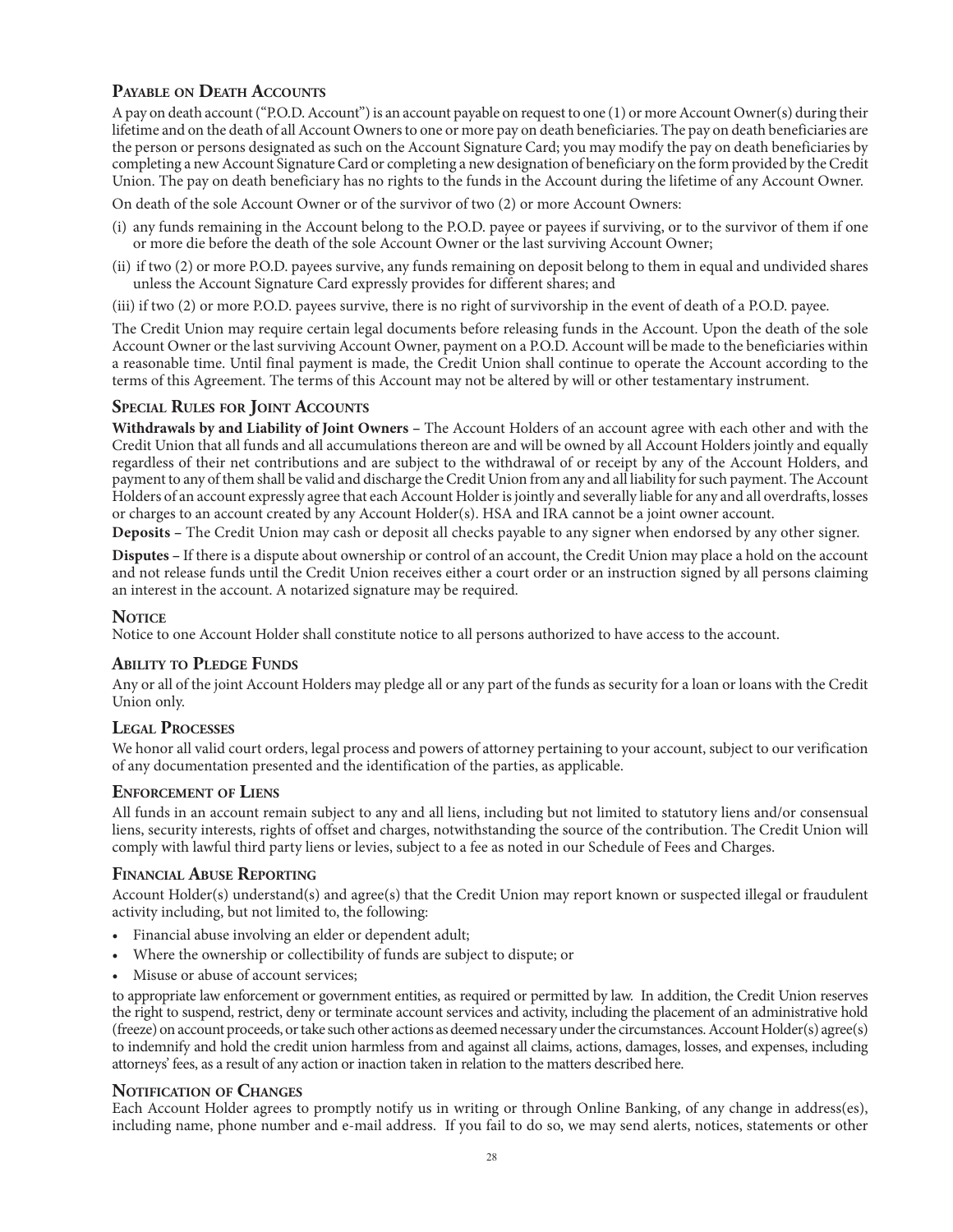### **Payable on Death Accounts**

A pay on death account ("P.O.D. Account") is an account payable on request to one (1) or more Account Owner(s) during their lifetime and on the death of all Account Owners to one or more pay on death beneficiaries. The pay on death beneficiaries are the person or persons designated as such on the Account Signature Card; you may modify the pay on death beneficiaries by completing a new Account Signature Card or completing a new designation of beneficiary on the form provided by the Credit Union. The pay on death beneficiary has no rights to the funds in the Account during the lifetime of any Account Owner.

On death of the sole Account Owner or of the survivor of two (2) or more Account Owners:

- (i) any funds remaining in the Account belong to the P.O.D. payee or payees if surviving, or to the survivor of them if one or more die before the death of the sole Account Owner or the last surviving Account Owner;
- (ii) if two (2) or more P.O.D. payees survive, any funds remaining on deposit belong to them in equal and undivided shares unless the Account Signature Card expressly provides for different shares; and

(iii) if two (2) or more P.O.D. payees survive, there is no right of survivorship in the event of death of a P.O.D. payee.

The Credit Union may require certain legal documents before releasing funds in the Account. Upon the death of the sole Account Owner or the last surviving Account Owner, payment on a P.O.D. Account will be made to the beneficiaries within a reasonable time. Until final payment is made, the Credit Union shall continue to operate the Account according to the terms of this Agreement. The terms of this Account may not be altered by will or other testamentary instrument.

#### **Special Rules for Joint Accounts**

**Withdrawals by and Liability of Joint Owners –** The Account Holders of an account agree with each other and with the Credit Union that all funds and all accumulations thereon are and will be owned by all Account Holders jointly and equally regardless of their net contributions and are subject to the withdrawal of or receipt by any of the Account Holders, and payment to any of them shall be valid and discharge the Credit Union from any and all liability for such payment. The Account Holders of an account expressly agree that each Account Holder is jointly and severally liable for any and all overdrafts, losses or charges to an account created by any Account Holder(s). HSA and IRA cannot be a joint owner account.

**Deposits –** The Credit Union may cash or deposit all checks payable to any signer when endorsed by any other signer.

**Disputes –** If there is a dispute about ownership or control of an account, the Credit Union may place a hold on the account and not release funds until the Credit Union receives either a court order or an instruction signed by all persons claiming an interest in the account. A notarized signature may be required.

#### **NOTICE**

Notice to one Account Holder shall constitute notice to all persons authorized to have access to the account.

#### **Ability to Pledge Funds**

Any or all of the joint Account Holders may pledge all or any part of the funds as security for a loan or loans with the Credit Union only.

#### **Legal Processes**

We honor all valid court orders, legal process and powers of attorney pertaining to your account, subject to our verification of any documentation presented and the identification of the parties, as applicable.

#### **Enforcement of Liens**

All funds in an account remain subject to any and all liens, including but not limited to statutory liens and/or consensual liens, security interests, rights of offset and charges, notwithstanding the source of the contribution. The Credit Union will comply with lawful third party liens or levies, subject to a fee as noted in our Schedule of Fees and Charges.

#### **Financial Abuse Reporting**

Account Holder(s) understand(s) and agree(s) that the Credit Union may report known or suspected illegal or fraudulent activity including, but not limited to, the following:

- Financial abuse involving an elder or dependent adult;
- Where the ownership or collectibility of funds are subject to dispute; or
- Misuse or abuse of account services;

to appropriate law enforcement or government entities, as required or permitted by law. In addition, the Credit Union reserves the right to suspend, restrict, deny or terminate account services and activity, including the placement of an administrative hold (freeze) on account proceeds, or take such other actions as deemed necessary under the circumstances. Account Holder(s) agree(s) to indemnify and hold the credit union harmless from and against all claims, actions, damages, losses, and expenses, including attorneys' fees, as a result of any action or inaction taken in relation to the matters described here.

#### **Notification of Changes**

Each Account Holder agrees to promptly notify us in writing or through Online Banking, of any change in address(es), including name, phone number and e-mail address. If you fail to do so, we may send alerts, notices, statements or other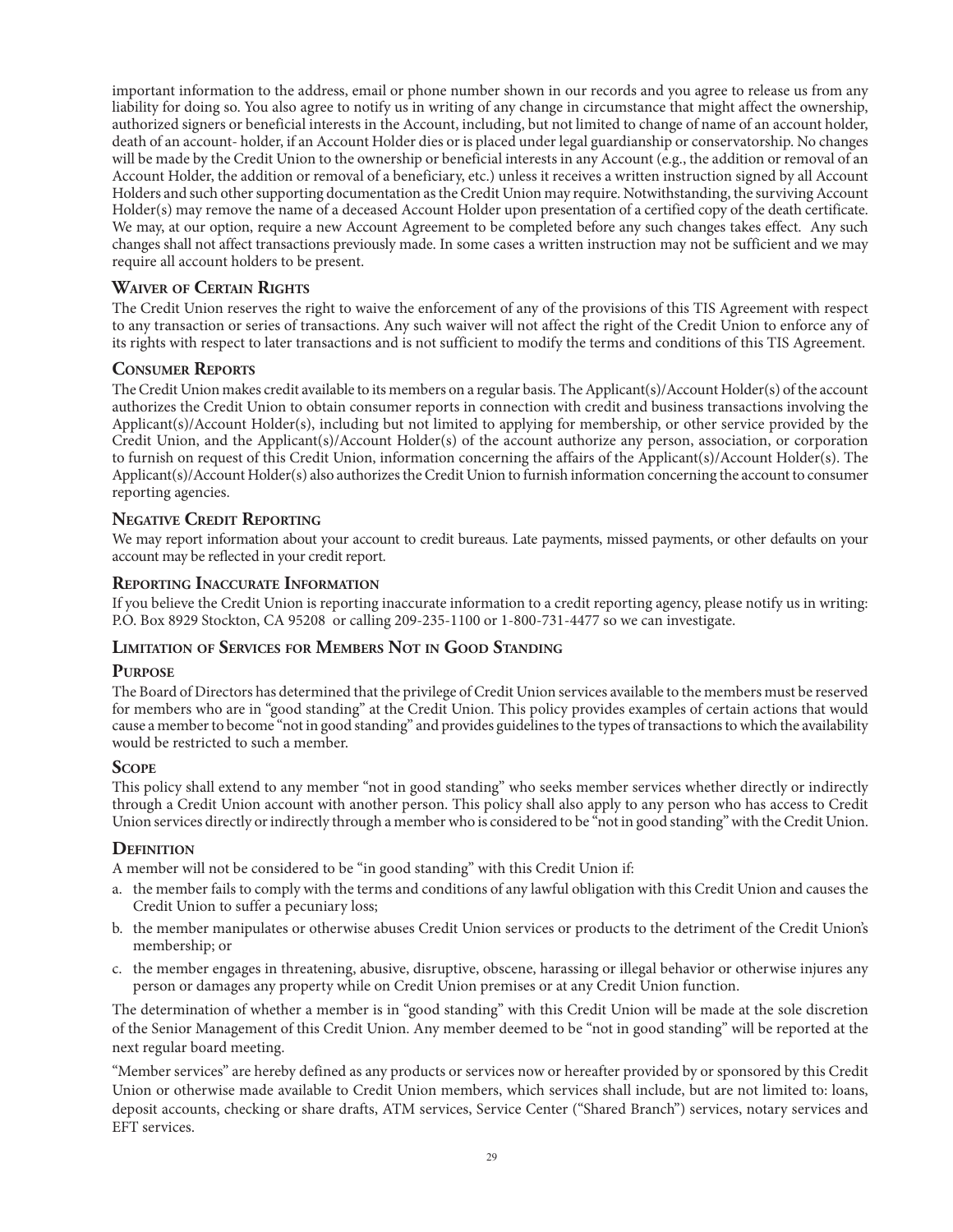important information to the address, email or phone number shown in our records and you agree to release us from any liability for doing so. You also agree to notify us in writing of any change in circumstance that might affect the ownership, authorized signers or beneficial interests in the Account, including, but not limited to change of name of an account holder, death of an account- holder, if an Account Holder dies or is placed under legal guardianship or conservatorship. No changes will be made by the Credit Union to the ownership or beneficial interests in any Account (e.g., the addition or removal of an Account Holder, the addition or removal of a beneficiary, etc.) unless it receives a written instruction signed by all Account Holders and such other supporting documentation as the Credit Union may require. Notwithstanding, the surviving Account Holder(s) may remove the name of a deceased Account Holder upon presentation of a certified copy of the death certificate. We may, at our option, require a new Account Agreement to be completed before any such changes takes effect. Any such changes shall not affect transactions previously made. In some cases a written instruction may not be sufficient and we may require all account holders to be present.

#### **Waiver of Certain Rights**

The Credit Union reserves the right to waive the enforcement of any of the provisions of this TIS Agreement with respect to any transaction or series of transactions. Any such waiver will not affect the right of the Credit Union to enforce any of its rights with respect to later transactions and is not sufficient to modify the terms and conditions of this TIS Agreement.

#### **Consumer Reports**

The Credit Union makes credit available to its members on a regular basis. The Applicant(s)/Account Holder(s) of the account authorizes the Credit Union to obtain consumer reports in connection with credit and business transactions involving the Applicant(s)/Account Holder(s), including but not limited to applying for membership, or other service provided by the Credit Union, and the Applicant(s)/Account Holder(s) of the account authorize any person, association, or corporation to furnish on request of this Credit Union, information concerning the affairs of the Applicant(s)/Account Holder(s). The Applicant(s)/Account Holder(s) also authorizes the Credit Union to furnish information concerning the account to consumer reporting agencies.

#### **Negative Credit Reporting**

We may report information about your account to credit bureaus. Late payments, missed payments, or other defaults on your account may be reflected in your credit report.

#### **Reporting Inaccurate Information**

If you believe the Credit Union is reporting inaccurate information to a credit reporting agency, please notify us in writing: P.O. Box 8929 Stockton, CA 95208 or calling 209-235-1100 or 1-800-731-4477 so we can investigate.

#### **Limitation of Services for Members Not in Good Standing**

#### **Purpose**

The Board of Directors has determined that the privilege of Credit Union services available to the members must be reserved for members who are in "good standing" at the Credit Union. This policy provides examples of certain actions that would cause a member to become "not in good standing" and provides guidelines to the types of transactions to which the availability would be restricted to such a member.

#### **Scope**

This policy shall extend to any member "not in good standing" who seeks member services whether directly or indirectly through a Credit Union account with another person. This policy shall also apply to any person who has access to Credit Union services directly or indirectly through a member who is considered to be "not in good standing" with the Credit Union.

#### **Definition**

A member will not be considered to be "in good standing" with this Credit Union if:

- a. the member fails to comply with the terms and conditions of any lawful obligation with this Credit Union and causes the Credit Union to suffer a pecuniary loss;
- b. the member manipulates or otherwise abuses Credit Union services or products to the detriment of the Credit Union's membership; or
- c. the member engages in threatening, abusive, disruptive, obscene, harassing or illegal behavior or otherwise injures any person or damages any property while on Credit Union premises or at any Credit Union function.

The determination of whether a member is in "good standing" with this Credit Union will be made at the sole discretion of the Senior Management of this Credit Union. Any member deemed to be "not in good standing" will be reported at the next regular board meeting.

"Member services" are hereby defined as any products or services now or hereafter provided by or sponsored by this Credit Union or otherwise made available to Credit Union members, which services shall include, but are not limited to: loans, deposit accounts, checking or share drafts, ATM services, Service Center ("Shared Branch") services, notary services and EFT services.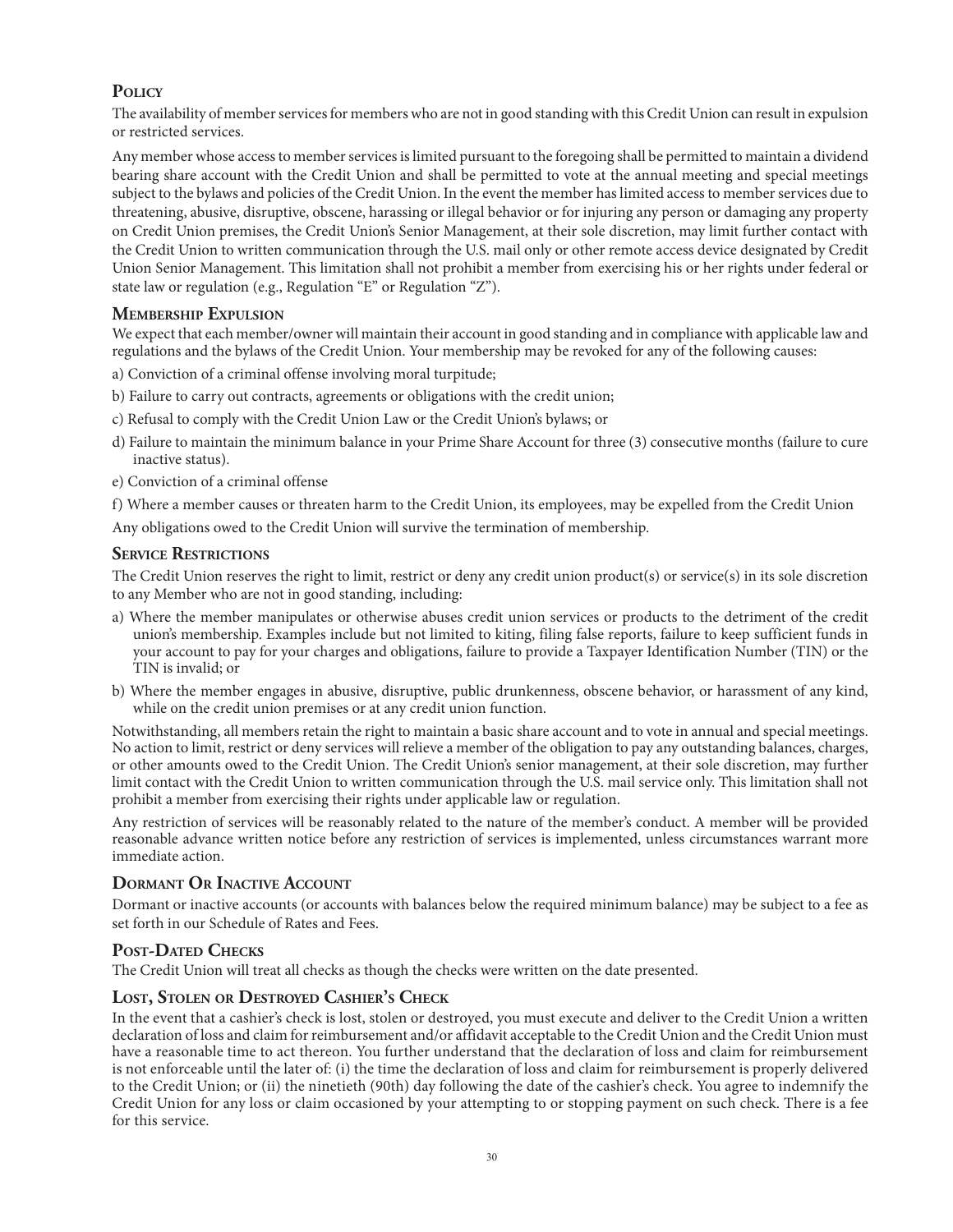## **Policy**

The availability of member services for members who are not in good standing with this Credit Union can result in expulsion or restricted services.

Any member whose access to member services is limited pursuant to the foregoing shall be permitted to maintain a dividend bearing share account with the Credit Union and shall be permitted to vote at the annual meeting and special meetings subject to the bylaws and policies of the Credit Union. In the event the member has limited access to member services due to threatening, abusive, disruptive, obscene, harassing or illegal behavior or for injuring any person or damaging any property on Credit Union premises, the Credit Union's Senior Management, at their sole discretion, may limit further contact with the Credit Union to written communication through the U.S. mail only or other remote access device designated by Credit Union Senior Management. This limitation shall not prohibit a member from exercising his or her rights under federal or state law or regulation (e.g., Regulation "E" or Regulation "Z").

#### **Membership Expulsion**

We expect that each member/owner will maintain their account in good standing and in compliance with applicable law and regulations and the bylaws of the Credit Union. Your membership may be revoked for any of the following causes:

- a) Conviction of a criminal offense involving moral turpitude;
- b) Failure to carry out contracts, agreements or obligations with the credit union;
- c) Refusal to comply with the Credit Union Law or the Credit Union's bylaws; or
- d) Failure to maintain the minimum balance in your Prime Share Account for three (3) consecutive months (failure to cure inactive status).
- e) Conviction of a criminal offense

f) Where a member causes or threaten harm to the Credit Union, its employees, may be expelled from the Credit Union Any obligations owed to the Credit Union will survive the termination of membership.

#### **Service Restrictions**

The Credit Union reserves the right to limit, restrict or deny any credit union product(s) or service(s) in its sole discretion to any Member who are not in good standing, including:

- a) Where the member manipulates or otherwise abuses credit union services or products to the detriment of the credit union's membership. Examples include but not limited to kiting, filing false reports, failure to keep sufficient funds in your account to pay for your charges and obligations, failure to provide a Taxpayer Identification Number (TIN) or the TIN is invalid; or
- b) Where the member engages in abusive, disruptive, public drunkenness, obscene behavior, or harassment of any kind, while on the credit union premises or at any credit union function.

Notwithstanding, all members retain the right to maintain a basic share account and to vote in annual and special meetings. No action to limit, restrict or deny services will relieve a member of the obligation to pay any outstanding balances, charges, or other amounts owed to the Credit Union. The Credit Union's senior management, at their sole discretion, may further limit contact with the Credit Union to written communication through the U.S. mail service only. This limitation shall not prohibit a member from exercising their rights under applicable law or regulation.

Any restriction of services will be reasonably related to the nature of the member's conduct. A member will be provided reasonable advance written notice before any restriction of services is implemented, unless circumstances warrant more immediate action.

#### **Dormant Or Inactive Account**

Dormant or inactive accounts (or accounts with balances below the required minimum balance) may be subject to a fee as set forth in our Schedule of Rates and Fees.

#### **Post-Dated Checks**

The Credit Union will treat all checks as though the checks were written on the date presented.

#### **Lost, Stolen or Destroyed Cashier's Check**

In the event that a cashier's check is lost, stolen or destroyed, you must execute and deliver to the Credit Union a written declaration of loss and claim for reimbursement and/or affidavit acceptable to the Credit Union and the Credit Union must have a reasonable time to act thereon. You further understand that the declaration of loss and claim for reimbursement is not enforceable until the later of: (i) the time the declaration of loss and claim for reimbursement is properly delivered to the Credit Union; or (ii) the ninetieth (90th) day following the date of the cashier's check. You agree to indemnify the Credit Union for any loss or claim occasioned by your attempting to or stopping payment on such check. There is a fee for this service.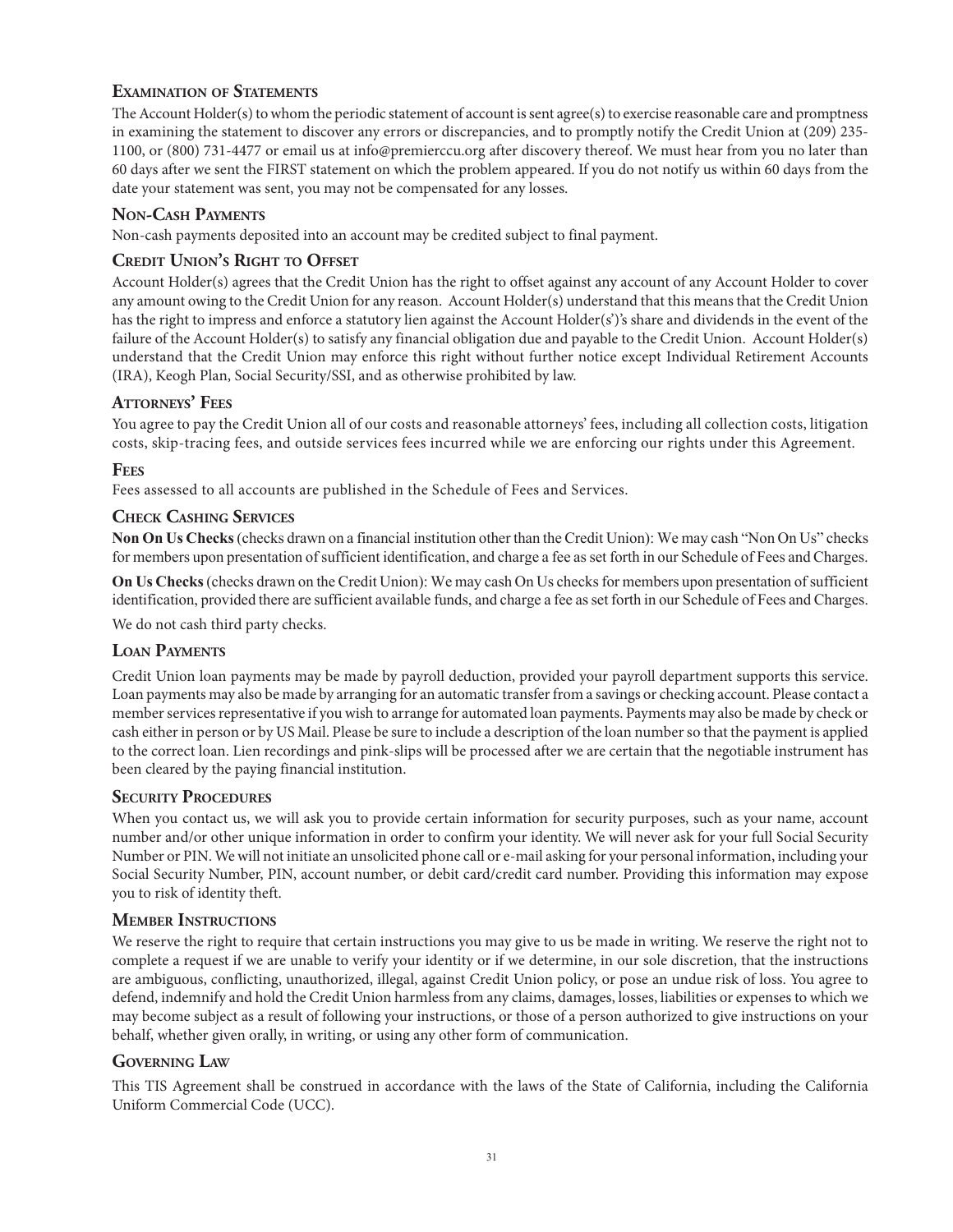## **Examination of Statements**

The Account Holder(s) to whom the periodic statement of account is sent agree(s) to exercise reasonable care and promptness in examining the statement to discover any errors or discrepancies, and to promptly notify the Credit Union at (209) 235- 1100, or (800) 731-4477 or email us at info@premierccu.org after discovery thereof. We must hear from you no later than 60 days after we sent the FIRST statement on which the problem appeared. If you do not notify us within 60 days from the date your statement was sent, you may not be compensated for any losses.

### **Non-Cash Payments**

Non-cash payments deposited into an account may be credited subject to final payment.

### **Credit Union's Right to Offset**

Account Holder(s) agrees that the Credit Union has the right to offset against any account of any Account Holder to cover any amount owing to the Credit Union for any reason. Account Holder(s) understand that this means that the Credit Union has the right to impress and enforce a statutory lien against the Account Holder(s')'s share and dividends in the event of the failure of the Account Holder(s) to satisfy any financial obligation due and payable to the Credit Union. Account Holder(s) understand that the Credit Union may enforce this right without further notice except Individual Retirement Accounts (IRA), Keogh Plan, Social Security/SSI, and as otherwise prohibited by law.

### **Attorneys' Fees**

You agree to pay the Credit Union all of our costs and reasonable attorneys' fees, including all collection costs, litigation costs, skip-tracing fees, and outside services fees incurred while we are enforcing our rights under this Agreement.

#### **Fees**

Fees assessed to all accounts are published in the Schedule of Fees and Services.

#### **Check Cashing Services**

**Non On Us Checks** (checks drawn on a financial institution other than the Credit Union): We may cash "Non On Us" checks for members upon presentation of sufficient identification, and charge a fee as set forth in our Schedule of Fees and Charges.

**On Us Checks** (checks drawn on the Credit Union): We may cash On Us checks for members upon presentation of sufficient identification, provided there are sufficient available funds, and charge a fee as set forth in our Schedule of Fees and Charges.

We do not cash third party checks.

### **Loan Payments**

Credit Union loan payments may be made by payroll deduction, provided your payroll department supports this service. Loan payments may also be made by arranging for an automatic transfer from a savings or checking account. Please contact a member services representative if you wish to arrange for automated loan payments. Payments may also be made by check or cash either in person or by US Mail. Please be sure to include a description of the loan number so that the payment is applied to the correct loan. Lien recordings and pink-slips will be processed after we are certain that the negotiable instrument has been cleared by the paying financial institution.

#### **SECURITY PROCEDURES**

When you contact us, we will ask you to provide certain information for security purposes, such as your name, account number and/or other unique information in order to confirm your identity. We will never ask for your full Social Security Number or PIN. We will not initiate an unsolicited phone call or e-mail asking for your personal information, including your Social Security Number, PIN, account number, or debit card/credit card number. Providing this information may expose you to risk of identity theft.

#### **Member Instructions**

We reserve the right to require that certain instructions you may give to us be made in writing. We reserve the right not to complete a request if we are unable to verify your identity or if we determine, in our sole discretion, that the instructions are ambiguous, conflicting, unauthorized, illegal, against Credit Union policy, or pose an undue risk of loss. You agree to defend, indemnify and hold the Credit Union harmless from any claims, damages, losses, liabilities or expenses to which we may become subject as a result of following your instructions, or those of a person authorized to give instructions on your behalf, whether given orally, in writing, or using any other form of communication.

#### **Governing Law**

This TIS Agreement shall be construed in accordance with the laws of the State of California, including the California Uniform Commercial Code (UCC).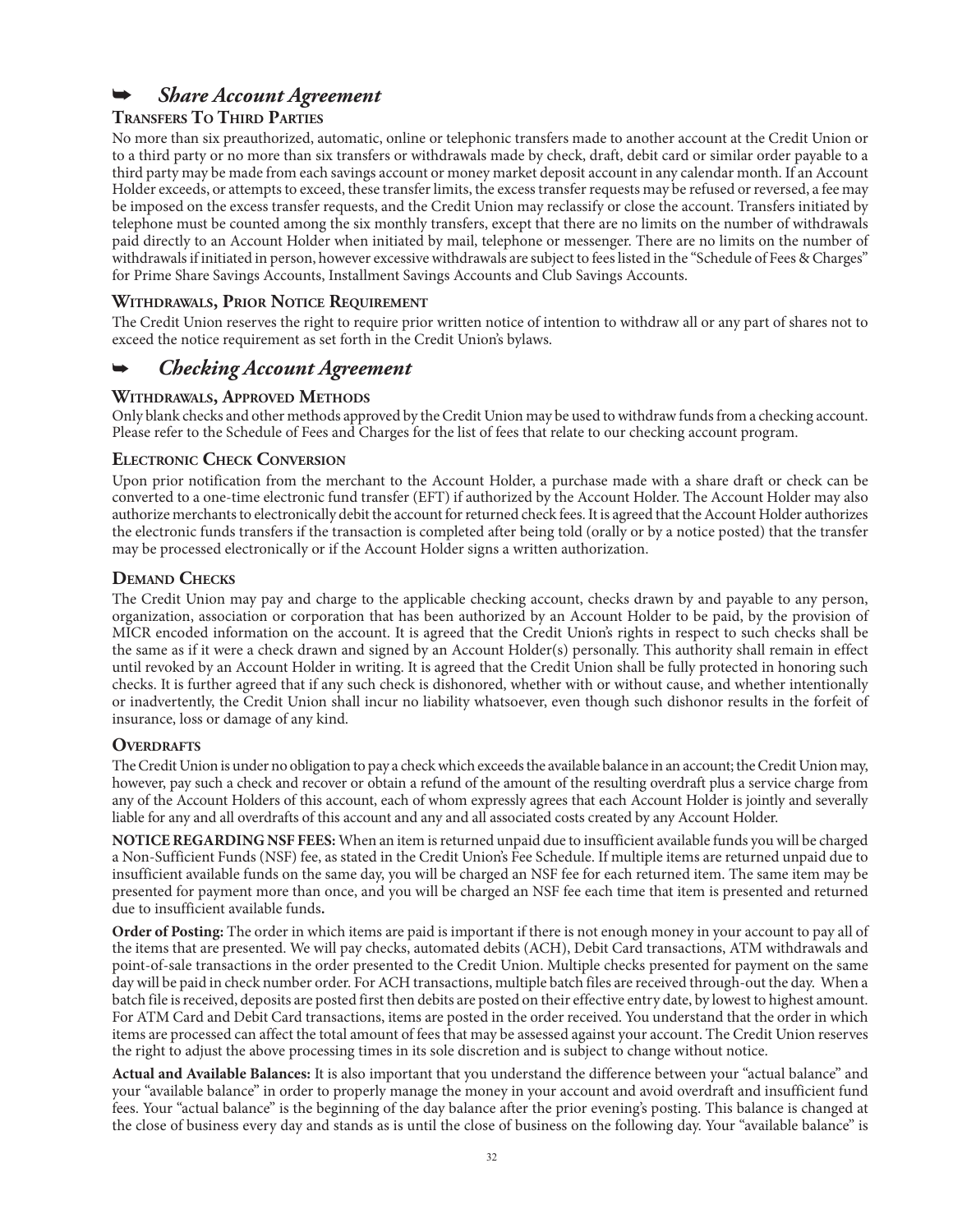## *Share Account Agreement*

### **Transfers To Third Parties**

No more than six preauthorized, automatic, online or telephonic transfers made to another account at the Credit Union or to a third party or no more than six transfers or withdrawals made by check, draft, debit card or similar order payable to a third party may be made from each savings account or money market deposit account in any calendar month. If an Account Holder exceeds, or attempts to exceed, these transfer limits, the excess transfer requests may be refused or reversed, a fee may be imposed on the excess transfer requests, and the Credit Union may reclassify or close the account. Transfers initiated by telephone must be counted among the six monthly transfers, except that there are no limits on the number of withdrawals paid directly to an Account Holder when initiated by mail, telephone or messenger. There are no limits on the number of withdrawals if initiated in person, however excessive withdrawals are subject to fees listed in the "Schedule of Fees & Charges" for Prime Share Savings Accounts, Installment Savings Accounts and Club Savings Accounts.

#### **Withdrawals, Prior Notice Requirement**

The Credit Union reserves the right to require prior written notice of intention to withdraw all or any part of shares not to exceed the notice requirement as set forth in the Credit Union's bylaws.

## *Checking Account Agreement*

#### **Withdrawals, Approved Methods**

Only blank checks and other methods approved by the Credit Union may be used to withdraw funds from a checking account. Please refer to the Schedule of Fees and Charges for the list of fees that relate to our checking account program.

#### **Electronic Check Conversion**

Upon prior notification from the merchant to the Account Holder, a purchase made with a share draft or check can be converted to a one-time electronic fund transfer (EFT) if authorized by the Account Holder. The Account Holder may also authorize merchants to electronically debit the account for returned check fees. It is agreed that the Account Holder authorizes the electronic funds transfers if the transaction is completed after being told (orally or by a notice posted) that the transfer may be processed electronically or if the Account Holder signs a written authorization.

#### **Demand Checks**

The Credit Union may pay and charge to the applicable checking account, checks drawn by and payable to any person, organization, association or corporation that has been authorized by an Account Holder to be paid, by the provision of MICR encoded information on the account. It is agreed that the Credit Union's rights in respect to such checks shall be the same as if it were a check drawn and signed by an Account Holder(s) personally. This authority shall remain in effect until revoked by an Account Holder in writing. It is agreed that the Credit Union shall be fully protected in honoring such checks. It is further agreed that if any such check is dishonored, whether with or without cause, and whether intentionally or inadvertently, the Credit Union shall incur no liability whatsoever, even though such dishonor results in the forfeit of insurance, loss or damage of any kind.

#### **OVERDRAFTS**

The Credit Union is under no obligation to pay a check which exceeds the available balance in an account; the Credit Union may, however, pay such a check and recover or obtain a refund of the amount of the resulting overdraft plus a service charge from any of the Account Holders of this account, each of whom expressly agrees that each Account Holder is jointly and severally liable for any and all overdrafts of this account and any and all associated costs created by any Account Holder.

**NOTICE REGARDING NSF FEES:** When an item is returned unpaid due to insufficient available funds you will be charged a Non-Sufficient Funds (NSF) fee, as stated in the Credit Union's Fee Schedule. If multiple items are returned unpaid due to insufficient available funds on the same day, you will be charged an NSF fee for each returned item. The same item may be presented for payment more than once, and you will be charged an NSF fee each time that item is presented and returned due to insufficient available funds**.**

**Order of Posting:** The order in which items are paid is important if there is not enough money in your account to pay all of the items that are presented. We will pay checks, automated debits (ACH), Debit Card transactions, ATM withdrawals and point-of-sale transactions in the order presented to the Credit Union. Multiple checks presented for payment on the same day will be paid in check number order. For ACH transactions, multiple batch files are received through-out the day. When a batch file is received, deposits are posted first then debits are posted on their effective entry date, by lowest to highest amount. For ATM Card and Debit Card transactions, items are posted in the order received. You understand that the order in which items are processed can affect the total amount of fees that may be assessed against your account. The Credit Union reserves the right to adjust the above processing times in its sole discretion and is subject to change without notice.

**Actual and Available Balances:** It is also important that you understand the difference between your "actual balance" and your "available balance" in order to properly manage the money in your account and avoid overdraft and insufficient fund fees. Your "actual balance" is the beginning of the day balance after the prior evening's posting. This balance is changed at the close of business every day and stands as is until the close of business on the following day. Your "available balance" is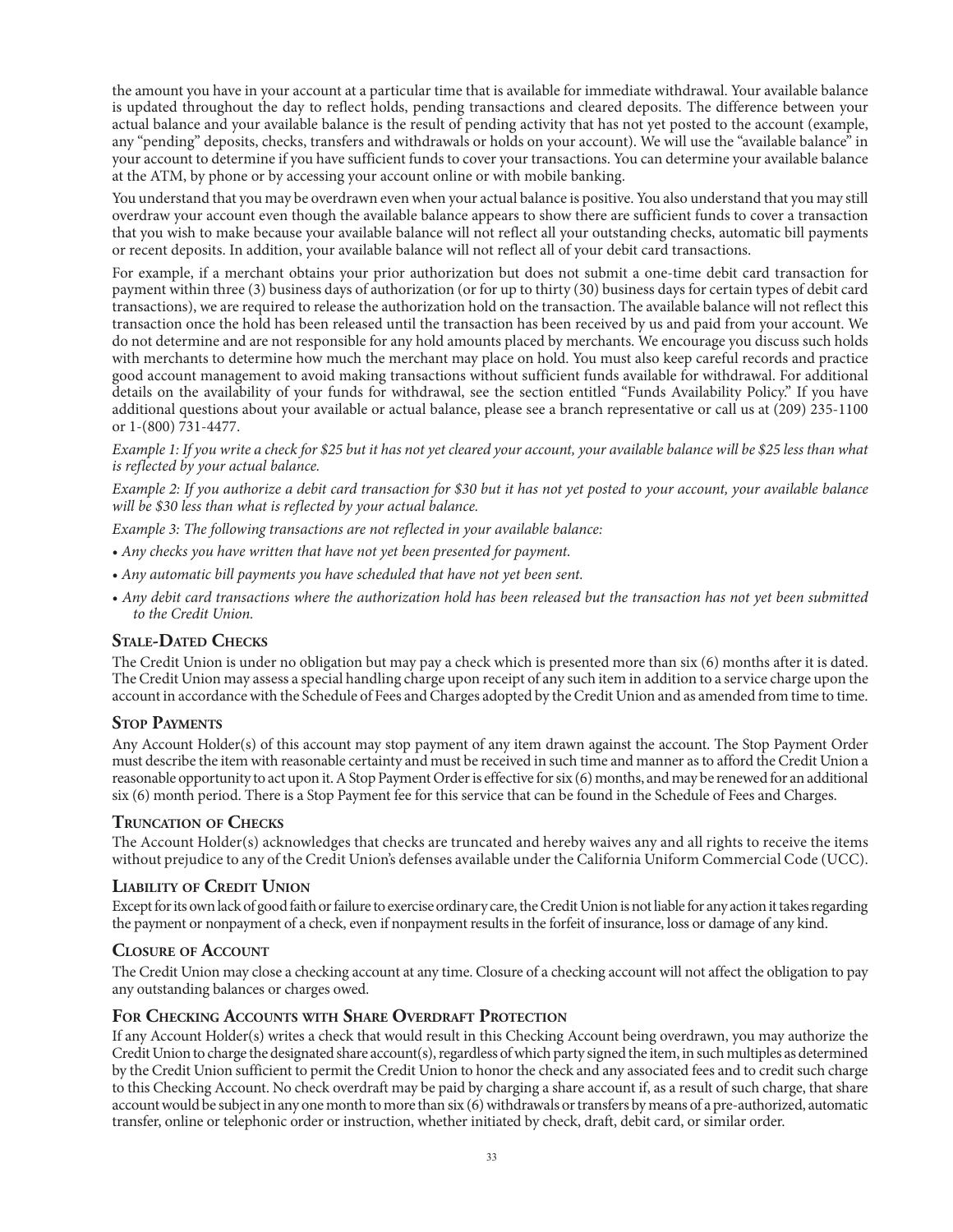the amount you have in your account at a particular time that is available for immediate withdrawal. Your available balance is updated throughout the day to reflect holds, pending transactions and cleared deposits. The difference between your actual balance and your available balance is the result of pending activity that has not yet posted to the account (example, any "pending" deposits, checks, transfers and withdrawals or holds on your account). We will use the "available balance" in your account to determine if you have sufficient funds to cover your transactions. You can determine your available balance at the ATM, by phone or by accessing your account online or with mobile banking.

You understand that you may be overdrawn even when your actual balance is positive. You also understand that you may still overdraw your account even though the available balance appears to show there are sufficient funds to cover a transaction that you wish to make because your available balance will not reflect all your outstanding checks, automatic bill payments or recent deposits. In addition, your available balance will not reflect all of your debit card transactions.

For example, if a merchant obtains your prior authorization but does not submit a one-time debit card transaction for payment within three (3) business days of authorization (or for up to thirty (30) business days for certain types of debit card transactions), we are required to release the authorization hold on the transaction. The available balance will not reflect this transaction once the hold has been released until the transaction has been received by us and paid from your account. We do not determine and are not responsible for any hold amounts placed by merchants. We encourage you discuss such holds with merchants to determine how much the merchant may place on hold. You must also keep careful records and practice good account management to avoid making transactions without sufficient funds available for withdrawal. For additional details on the availability of your funds for withdrawal, see the section entitled "Funds Availability Policy." If you have additional questions about your available or actual balance, please see a branch representative or call us at (209) 235-1100 or 1-(800) 731-4477.

*Example 1: If you write a check for \$25 but it has not yet cleared your account, your available balance will be \$25 less than what is reflected by your actual balance.*

*Example 2: If you authorize a debit card transaction for \$30 but it has not yet posted to your account, your available balance will be \$30 less than what is reflected by your actual balance.*

*Example 3: The following transactions are not reflected in your available balance:*

- *Any checks you have written that have not yet been presented for payment.*
- *Any automatic bill payments you have scheduled that have not yet been sent.*
- *Any debit card transactions where the authorization hold has been released but the transaction has not yet been submitted to the Credit Union.*

#### **Stale-Dated Checks**

The Credit Union is under no obligation but may pay a check which is presented more than six (6) months after it is dated. The Credit Union may assess a special handling charge upon receipt of any such item in addition to a service charge upon the account in accordance with the Schedule of Fees and Charges adopted by the Credit Union and as amended from time to time.

#### **Stop Payments**

Any Account Holder(s) of this account may stop payment of any item drawn against the account. The Stop Payment Order must describe the item with reasonable certainty and must be received in such time and manner as to afford the Credit Union a reasonable opportunity to act upon it. A Stop Payment Order is effective for six (6) months, and may be renewed for an additional six (6) month period. There is a Stop Payment fee for this service that can be found in the Schedule of Fees and Charges.

#### **Truncation of Checks**

The Account Holder(s) acknowledges that checks are truncated and hereby waives any and all rights to receive the items without prejudice to any of the Credit Union's defenses available under the California Uniform Commercial Code (UCC).

#### **Liability of Credit Union**

Except for its own lack of good faith or failure to exercise ordinary care, the Credit Union is not liable for any action it takes regarding the payment or nonpayment of a check, even if nonpayment results in the forfeit of insurance, loss or damage of any kind.

#### **Closure of Account**

The Credit Union may close a checking account at any time. Closure of a checking account will not affect the obligation to pay any outstanding balances or charges owed.

#### **For Checking Accounts with Share Overdraft Protection**

If any Account Holder(s) writes a check that would result in this Checking Account being overdrawn, you may authorize the Credit Union to charge the designated share account(s), regardless of which party signed the item, in such multiples as determined by the Credit Union sufficient to permit the Credit Union to honor the check and any associated fees and to credit such charge to this Checking Account. No check overdraft may be paid by charging a share account if, as a result of such charge, that share account would be subject in any one month to more than six (6) withdrawals or transfers by means of a pre-authorized, automatic transfer, online or telephonic order or instruction, whether initiated by check, draft, debit card, or similar order.